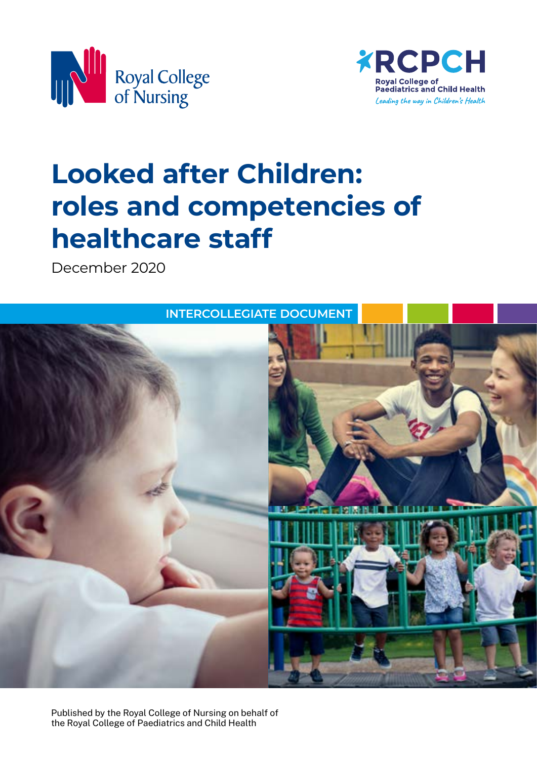



# **Looked after Children: roles and competencies of healthcare staff**

December 2020



Published by the Royal College of Nursing on behalf of the Royal College of Paediatrics and Child Health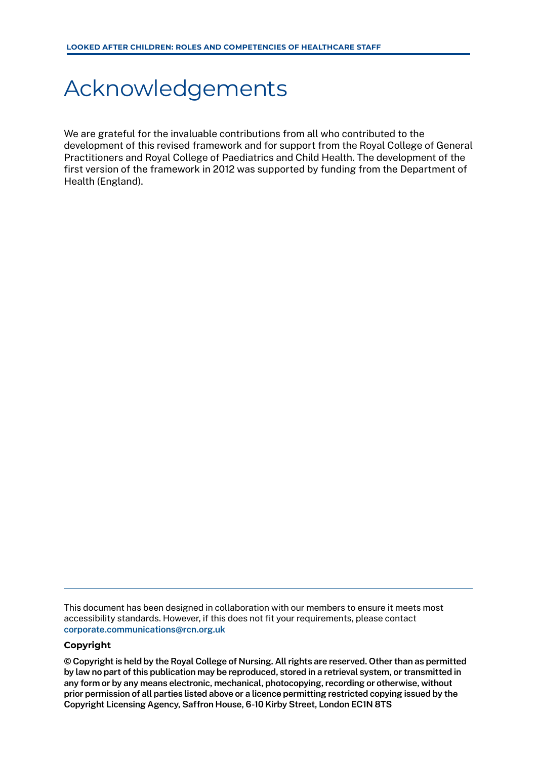## Acknowledgements

We are grateful for the invaluable contributions from all who contributed to the development of this revised framework and for support from the Royal College of General Practitioners and Royal College of Paediatrics and Child Health. The development of the first version of the framework in 2012 was supported by funding from the Department of Health (England).

This document has been designed in collaboration with our members to ensure it meets most accessibility standards. However, if this does not fit your requirements, please contact corporate.communications@rcn.org.uk

### **Copyright**

© Copyright is held by the Royal College of Nursing. All rights are reserved. Other than as permitted by law no part of this publication may be reproduced, stored in a retrieval system, or transmitted in any form or by any means electronic, mechanical, photocopying, recording or otherwise, without prior permission of all parties listed above or a licence permitting restricted copying issued by the Copyright Licensing Agency, Saffron House, 6-10 Kirby Street, London EC1N 8TS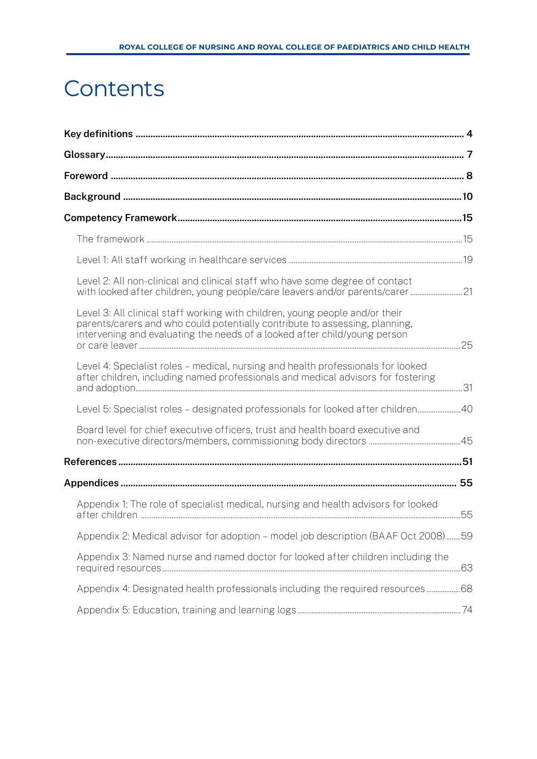## <span id="page-2-0"></span>**Contents**

| Level 2: All non-clinical and clinical staff who have some degree of contact<br>with looked after children, young people/care leavers and/or parents/carer 21                                                                            |  |
|------------------------------------------------------------------------------------------------------------------------------------------------------------------------------------------------------------------------------------------|--|
| Level 3: All clinical staff working with children, young people and/or their<br>parents/carers and who could potentially contribute to assessing, planning,<br>intervening and evaluating the needs of a looked after child/young person |  |
| Level 4: Specialist roles - medical, nursing and health professionals for looked<br>after children, including named professionals and medical advisors for fostering                                                                     |  |
| Level 5: Specialist roles - designated professionals for looked after children40                                                                                                                                                         |  |
| Board level for chief executive officers, trust and health board executive and                                                                                                                                                           |  |
|                                                                                                                                                                                                                                          |  |
|                                                                                                                                                                                                                                          |  |
| Appendix 1: The role of specialist medical, nursing and health advisors for looked                                                                                                                                                       |  |
| Appendix 2: Medical advisor for adoption - model job description (BAAF Oct 2008)59                                                                                                                                                       |  |
| Appendix 3: Named nurse and named doctor for looked after children including the                                                                                                                                                         |  |
| Appendix 4: Designated health professionals including the required resources68                                                                                                                                                           |  |
|                                                                                                                                                                                                                                          |  |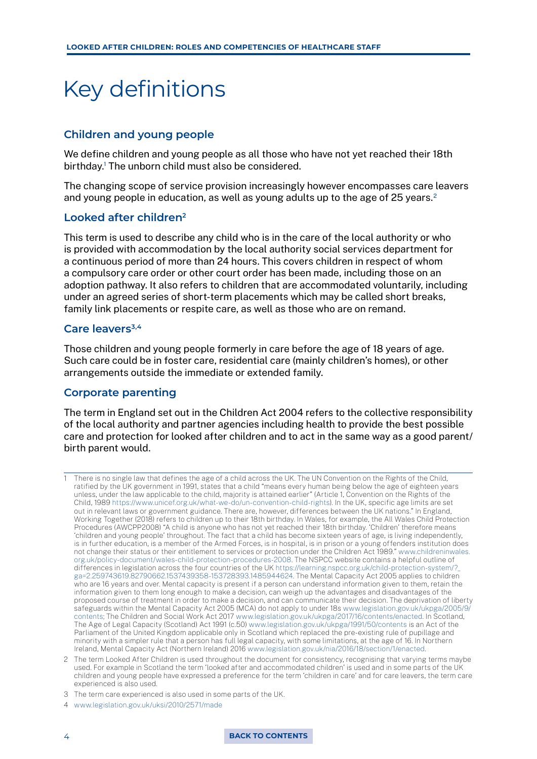# <span id="page-3-0"></span>Key definitions

### **Children and young people**

We define children and young people as all those who have not yet reached their 18th birthday.<sup>1</sup> The unborn child must also be considered.

The changing scope of service provision increasingly however encompasses care leavers and young people in education, as well as young adults up to the age of 25 years.<sup>2</sup>

### **Looked after children2**

This term is used to describe any child who is in the care of the local authority or who is provided with accommodation by the local authority social services department for a continuous period of more than 24 hours. This covers children in respect of whom a compulsory care order or other court order has been made, including those on an adoption pathway. It also refers to children that are accommodated voluntarily, including under an agreed series of short-term placements which may be called short breaks, family link placements or respite care, as well as those who are on remand.

### Care leavers<sup>3,4</sup>

Those children and young people formerly in care before the age of 18 years of age. Such care could be in foster care, residential care (mainly children's homes), or other arrangements outside the immediate or extended family.

### **Corporate parenting**

The term in England set out in the Children Act 2004 refers to the collective responsibility of the local authority and partner agencies including health to provide the best possible care and protection for looked after children and to act in the same way as a good parent/ birth parent would.

<sup>1</sup> There is no single law that defines the age of a child across the UK. The UN Convention on the Rights of the Child, ratified by the UK government in 1991, states that a child "means every human being below the age of eighteen years unless, under the law applicable to the child, majority is attained earlier" (Article 1, Convention on the Rights of the Child, 198[9 https://www.unicef.org.uk/what-we-do/un-convention-child-rights\)]( https://www.unicef.org.uk/what-we-do/un-convention-child-rights). In the UK, specific age limits are set out in relevant laws or government guidance. There are, however, differences between the UK nations." In England, Working Together (2018) refers to children up to their 18th birthday. In Wales, for example, the All Wales Child Protection Procedures (AWCPP2008) "A child is anyone who has not yet reached their 18th birthday. 'Children' therefore means 'children and young people' throughout. The fact that a child has become sixteen years of age, is living independently, is in further education, is a member of the Armed Forces, is in hospital, is in prison or a young offenders institution does not change their status or their entitlement to services or protection under the Children Act 1989." [www.childreninwales.](https://www.childreninwales.org.uk/policy-document/wales-child-protection-procedures-2008/) [org.uk/policy-document/wales-child-protection-procedures-2008](https://www.childreninwales.org.uk/policy-document/wales-child-protection-procedures-2008/). The NSPCC website contains a helpful outline of differences in legislation across the four countries of the UK [https://learning.nspcc.org.uk/child-protection-system/?\\_](https://learning.nspcc.org.uk/child-protection-system?_ga=2.259743619.82790662.1537439358-153728393.1485944624) [ga=2.259743619.82790662.1537439358-153728393.1485944624.](https://learning.nspcc.org.uk/child-protection-system?_ga=2.259743619.82790662.1537439358-153728393.1485944624) The Mental Capacity Act 2005 applies to children who are 16 years and over. Mental capacity is present if a person can understand information given to them, retain the information given to them long enough to make a decision, can weigh up the advantages and disadvantages of the proposed course of treatment in order to make a decision, and can communicate their decision. The deprivation of liberty safeguards within the Mental Capacity Act 2005 (MCA) do not apply to under 18s [www.legislation.gov.uk/ukpga/2005/9/](https://www.legislation.gov.uk/ukpga/2005/9/contents) [contents](https://www.legislation.gov.uk/ukpga/2005/9/contents); The Children and Social Work Act 2017 [www.legislation.gov.uk/ukpga/2017/16/contents/enacted](https://www.legislation.gov.uk/ukpga/2017/16/contents/enacted). In Scotland, The Age of Legal Capacity (Scotland) Act 1991 (c.50) [www.legislation.gov.uk/ukpga/1991/50/contents](https://www.legislation.gov.uk/ukpga/1991/50/contents) is an Act of the Parliament of the United Kingdom applicable only in Scotland which replaced the pre-existing rule of pupillage and minority with a simpler rule that a person has full legal capacity, with some limitations, at the age of 16. In Northern Ireland, Mental Capacity Act (Northern Ireland) 2016 [www.legislation.gov.uk/nia/2016/18/section/1/enacted](https://www.legislation.gov.uk/nia/2016/18/section/1/enacted).

<sup>2</sup> The term Looked After Children is used throughout the document for consistency, recognising that varying terms maybe used. For example in Scotland the term 'looked after and accommodated children' is used and in some parts of the UK children and young people have expressed a preference for the term 'children in care' and for care leavers, the term care experienced is also used.

<sup>3</sup> The term care experienced is also used in some parts of the UK.

<sup>4</sup> [www.legislation.gov.uk/uksi/2010/2571/made](https://www.legislation.gov.uk/uksi/2010/2571/made)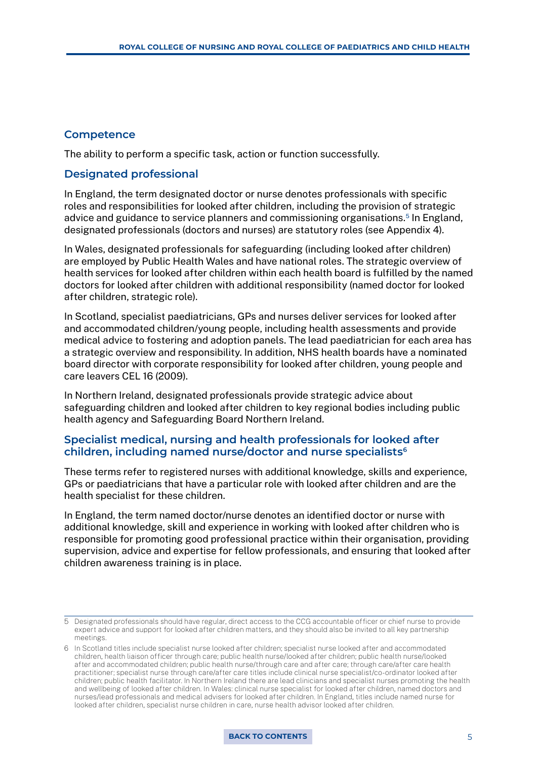### **Competence**

The ability to perform a specific task, action or function successfully.

### **Designated professional**

In England, the term designated doctor or nurse denotes professionals with specific roles and responsibilities for looked after children, including the provision of strategic advice and guidance to service planners and commissioning organisations.<sup>5</sup> In England, designated professionals (doctors and nurses) are statutory roles (see Appendix 4).

In Wales, designated professionals for safeguarding (including looked after children) are employed by Public Health Wales and have national roles. The strategic overview of health services for looked after children within each health board is fulfilled by the named doctors for looked after children with additional responsibility (named doctor for looked after children, strategic role).

In Scotland, specialist paediatricians, GPs and nurses deliver services for looked after and accommodated children/young people, including health assessments and provide medical advice to fostering and adoption panels. The lead paediatrician for each area has a strategic overview and responsibility. In addition, NHS health boards have a nominated board director with corporate responsibility for looked after children, young people and care leavers CEL 16 (2009).

In Northern Ireland, designated professionals provide strategic advice about safeguarding children and looked after children to key regional bodies including public health agency and Safeguarding Board Northern Ireland.

### **Specialist medical, nursing and health professionals for looked after children, including named nurse/doctor and nurse specialists6**

These terms refer to registered nurses with additional knowledge, skills and experience, GPs or paediatricians that have a particular role with looked after children and are the health specialist for these children.

In England, the term named doctor/nurse denotes an identified doctor or nurse with additional knowledge, skill and experience in working with looked after children who is responsible for promoting good professional practice within their organisation, providing supervision, advice and expertise for fellow professionals, and ensuring that looked after children awareness training is in place.

<sup>6</sup> In Scotland titles include specialist nurse looked after children; specialist nurse looked after and accommodated children, health liaison officer through care; public health nurse/looked after children; public health nurse/looked after and accommodated children; public health nurse/through care and after care; through care/after care health practitioner; specialist nurse through care/after care titles include clinical nurse specialist/co-ordinator looked after children; public health facilitator. In Northern Ireland there are lead clinicians and specialist nurses promoting the health and wellbeing of looked after children. In Wales: clinical nurse specialist for looked after children, named doctors and nurses/lead professionals and medical advisers for looked after children. In England, titles include named nurse for looked after children, specialist nurse children in care, nurse health advisor looked after children.



<sup>5</sup> Designated professionals should have regular, direct access to the CCG accountable officer or chief nurse to provide expert advice and support for looked after children matters, and they should also be invited to all key partnership meetings.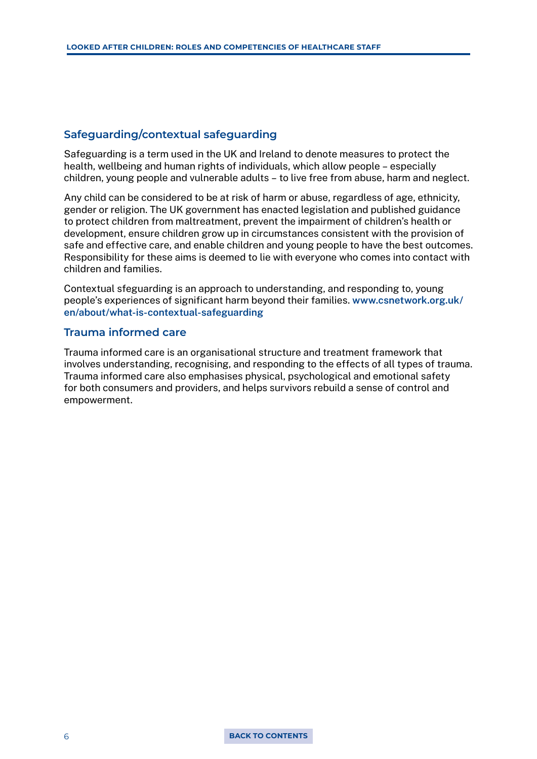### **Safeguarding/contextual safeguarding**

Safeguarding is a term used in the UK and Ireland to denote measures to protect the health, wellbeing and human rights of individuals, which allow people – especially children, young people and vulnerable adults – to live free from abuse, harm and neglect.

Any child can be considered to be at risk of harm or abuse, regardless of age, ethnicity, gender or religion. The UK government has enacted legislation and published guidance to protect children from maltreatment, prevent the impairment of children's health or development, ensure children grow up in circumstances consistent with the provision of safe and effective care, and enable children and young people to have the best outcomes. Responsibility for these aims is deemed to lie with everyone who comes into contact with children and families.

Contextual sfeguarding is an approach to understanding, and responding to, young people's experiences of significant harm beyond their families. [www.csnetwork.org.uk/](https://www.csnetwork.org.uk/en/about/what-is-contextual-safeguarding) [en/about/what-is-contextual-safeguarding](https://www.csnetwork.org.uk/en/about/what-is-contextual-safeguarding)

### **Trauma informed care**

Trauma informed care is an organisational structure and treatment framework that involves understanding, recognising, and responding to the effects of all types of trauma. Trauma informed care also emphasises physical, psychological and emotional safety for both consumers and providers, and helps survivors rebuild a sense of control and empowerment.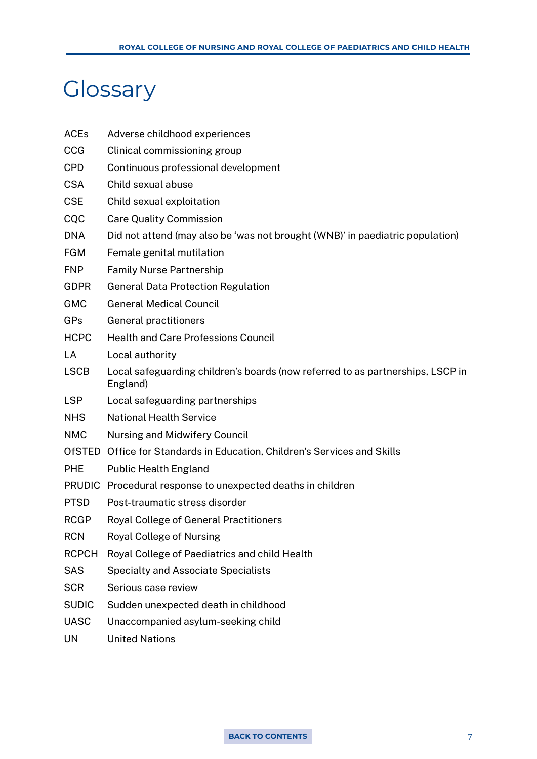# <span id="page-6-0"></span>**Glossary**

| <b>ACEs</b>  | Adverse childhood experiences                                                              |
|--------------|--------------------------------------------------------------------------------------------|
| <b>CCG</b>   | Clinical commissioning group                                                               |
| <b>CPD</b>   | Continuous professional development                                                        |
| <b>CSA</b>   | Child sexual abuse                                                                         |
| <b>CSE</b>   | Child sexual exploitation                                                                  |
| CQC          | <b>Care Quality Commission</b>                                                             |
| <b>DNA</b>   | Did not attend (may also be 'was not brought (WNB)' in paediatric population)              |
| <b>FGM</b>   | Female genital mutilation                                                                  |
| <b>FNP</b>   | <b>Family Nurse Partnership</b>                                                            |
| <b>GDPR</b>  | <b>General Data Protection Regulation</b>                                                  |
| <b>GMC</b>   | <b>General Medical Council</b>                                                             |
| <b>GPs</b>   | <b>General practitioners</b>                                                               |
| <b>HCPC</b>  | <b>Health and Care Professions Council</b>                                                 |
| LA           | Local authority                                                                            |
| <b>LSCB</b>  | Local safeguarding children's boards (now referred to as partnerships, LSCP in<br>England) |
| <b>LSP</b>   | Local safeguarding partnerships                                                            |
| <b>NHS</b>   | <b>National Health Service</b>                                                             |
| <b>NMC</b>   | <b>Nursing and Midwifery Council</b>                                                       |
|              | OfSTED Office for Standards in Education, Children's Services and Skills                   |
| <b>PHE</b>   | <b>Public Health England</b>                                                               |
|              | PRUDIC Procedural response to unexpected deaths in children                                |
| <b>PTSD</b>  | Post-traumatic stress disorder                                                             |
| <b>RCGP</b>  | Royal College of General Practitioners                                                     |
| <b>RCN</b>   | <b>Royal College of Nursing</b>                                                            |
| <b>RCPCH</b> | Royal College of Paediatrics and child Health                                              |
| <b>SAS</b>   | <b>Specialty and Associate Specialists</b>                                                 |
| <b>SCR</b>   | Serious case review                                                                        |
| <b>SUDIC</b> | Sudden unexpected death in childhood                                                       |
| <b>UASC</b>  | Unaccompanied asylum-seeking child                                                         |
| <b>UN</b>    | <b>United Nations</b>                                                                      |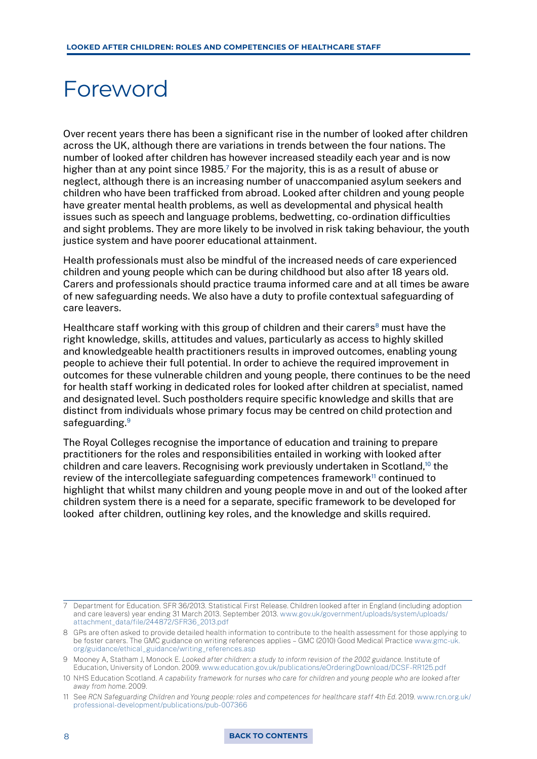## <span id="page-7-0"></span>Foreword

Over recent years there has been a significant rise in the number of looked after children across the UK, although there are variations in trends between the four nations. The number of looked after children has however increased steadily each year and is now higher than at any point since  $1985$ .<sup>7</sup> For the majority, this is as a result of abuse or neglect, although there is an increasing number of unaccompanied asylum seekers and children who have been trafficked from abroad. Looked after children and young people have greater mental health problems, as well as developmental and physical health issues such as speech and language problems, bedwetting, co-ordination difficulties and sight problems. They are more likely to be involved in risk taking behaviour, the youth justice system and have poorer educational attainment.

Health professionals must also be mindful of the increased needs of care experienced children and young people which can be during childhood but also after 18 years old. Carers and professionals should practice trauma informed care and at all times be aware of new safeguarding needs. We also have a duty to profile contextual safeguarding of care leavers.

Healthcare staff working with this group of children and their carers<sup>8</sup> must have the right knowledge, skills, attitudes and values, particularly as access to highly skilled and knowledgeable health practitioners results in improved outcomes, enabling young people to achieve their full potential. In order to achieve the required improvement in outcomes for these vulnerable children and young people, there continues to be the need for health staff working in dedicated roles for looked after children at specialist, named and designated level. Such postholders require specific knowledge and skills that are distinct from individuals whose primary focus may be centred on child protection and safeguarding.<sup>9</sup>

The Royal Colleges recognise the importance of education and training to prepare practitioners for the roles and responsibilities entailed in working with looked after children and care leavers. Recognising work previously undertaken in Scotland,10 the review of the intercollegiate safeguarding competences framework<sup>11</sup> continued to highlight that whilst many children and young people move in and out of the looked after children system there is a need for a separate, specific framework to be developed for looked after children, outlining key roles, and the knowledge and skills required.

<sup>7</sup> Department for Education. SFR 36/2013. Statistical First Release. Children looked after in England (including adoption and care leavers) year ending 31 March 2013. September 2013. [www.gov.uk/government/uploads/system/uploads/](https://assets.publishing.service.gov.uk/government/uploads/system/uploads/attachment_data/file/244872/SFR36_2013.pdf) [attachment\\_data/file/244872/SFR36\\_2013.pdf](https://assets.publishing.service.gov.uk/government/uploads/system/uploads/attachment_data/file/244872/SFR36_2013.pdf)

<sup>8</sup> GPs are often asked to provide detailed health information to contribute to the health assessment for those applying to be foster carers. The GMC guidance on writing references applies – GMC (2010) Good Medical Practice [www.gmc-uk.](https://www.gmc-uk.org/ethical-guidance/ethical-guidance-for-doctors/writing-references) [org/guidance/ethical\\_guidance/writing\\_references.asp](https://www.gmc-uk.org/ethical-guidance/ethical-guidance-for-doctors/writing-references)

<sup>9</sup> Mooney A, Statham J, Monock E. *Looked after children: a study to inform revision of the 2002 guidance*. Institute of Education, University of London. 2009. [www.education.gov.uk/publications/eOrderingDownload/DCSF-RR125.pdf](http://www.education.gov.uk/publications/eOrderingDownload/DCSF-RR125.pdf)

<sup>10</sup> NHS Education Scotland. *A capability framework for nurses who care for children and young people who are looked after away from home*. 2009.

<sup>11</sup> See *RCN Safeguarding Children and Young people: roles and competences for healthcare staff 4th Ed*. 2019. [www.rcn.org.uk/](http://www.rcn.org.uk/professional-development/publications/pub-007366) [professional-development/publications/pub-007366](http://www.rcn.org.uk/professional-development/publications/pub-007366)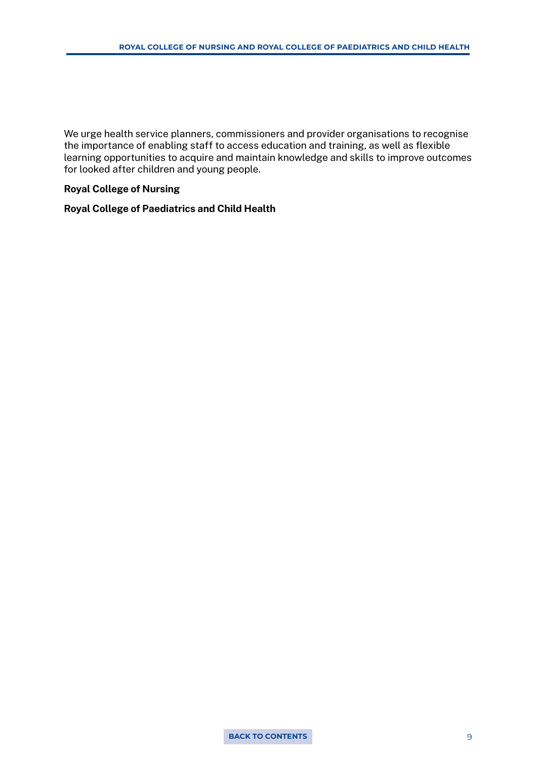We urge health service planners, commissioners and provider organisations to recognise the importance of enabling staff to access education and training, as well as flexible learning opportunities to acquire and maintain knowledge and skills to improve outcomes for looked after children and young people.

### Royal College of Nursing

### Royal College of Paediatrics and Child Health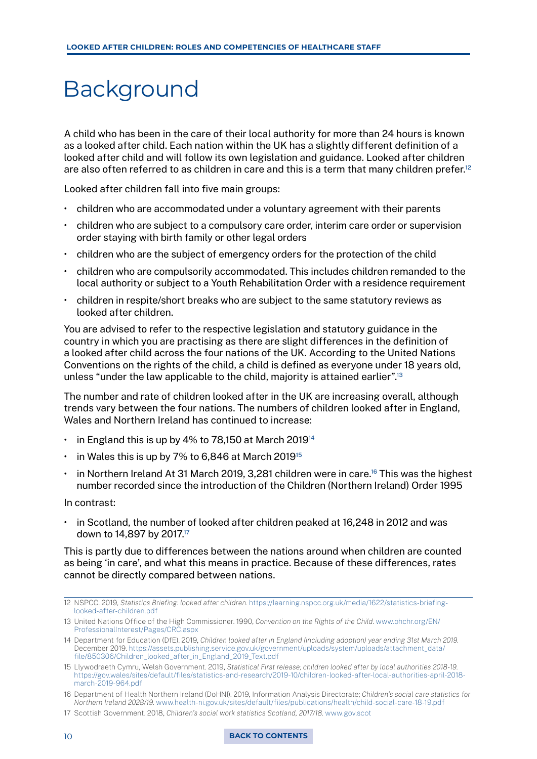# <span id="page-9-0"></span>Background

A child who has been in the care of their local authority for more than 24 hours is known as a looked after child. Each nation within the UK has a slightly different definition of a looked after child and will follow its own legislation and guidance. Looked after children are also often referred to as children in care and this is a term that many children prefer.<sup>12</sup>

Looked after children fall into five main groups:

- children who are accommodated under a voluntary agreement with their parents
- children who are subject to a compulsory care order, interim care order or supervision order staying with birth family or other legal orders
- children who are the subject of emergency orders for the protection of the child
- children who are compulsorily accommodated. This includes children remanded to the local authority or subject to a Youth Rehabilitation Order with a residence requirement
- children in respite/short breaks who are subject to the same statutory reviews as looked after children.

You are advised to refer to the respective legislation and statutory guidance in the country in which you are practising as there are slight differences in the definition of a looked after child across the four nations of the UK. According to the United Nations Conventions on the rights of the child, a child is defined as everyone under 18 years old, unless "under the law applicable to the child, majority is attained earlier".13

The number and rate of children looked after in the UK are increasing overall, although trends vary between the four nations. The numbers of children looked after in England, Wales and Northern Ireland has continued to increase:

- in England this is up by  $4\%$  to 78.150 at March 2019<sup>14</sup>
- in Wales this is up by 7% to 6,846 at March 2019<sup>15</sup>
- in Northern Ireland At 31 March 2019, 3,281 children were in care.<sup>16</sup> This was the highest number recorded since the introduction of the Children (Northern Ireland) Order 1995

In contrast:

• in Scotland, the number of looked after children peaked at 16,248 in 2012 and was down to 14,897 by 2017.17

This is partly due to differences between the nations around when children are counted as being 'in care', and what this means in practice. Because of these differences, rates cannot be directly compared between nations.

<sup>12</sup> NSPCC. 2019, *Statistics Briefing: looked after children*. [https://learning.nspcc.org.uk/media/1622/statistics-briefing](https://learning.nspcc.org.uk/media/1622/statistics-briefing-looked-after-children.pdf)[looked-after-children.pdf](https://learning.nspcc.org.uk/media/1622/statistics-briefing-looked-after-children.pdf)

<sup>13</sup> United Nations Office of the High Commissioner. 1990, *Convention on the Rights of the Child*. [www.ohchr.org/EN/](https://www.ohchr.org/EN/ProfessionalInterest/Pages/CRC.aspx) [ProfessionalInterest/Pages/CRC.aspx](https://www.ohchr.org/EN/ProfessionalInterest/Pages/CRC.aspx)

<sup>14</sup> Department for Education (DfE). 2019, *Children looked after in England (including adoption) year ending 31st March 2019*. December 2019. [https://assets.publishing.service.gov.uk/government/uploads/system/uploads/attachment\\_data/](https://assets.publishing.service.gov.uk/government/uploads/system/uploads/attachment_data/file/850306/Children_looked_after_in_England_2019_Text.pdf) [file/850306/Children\\_looked\\_after\\_in\\_England\\_2019\\_Text.pdf](https://assets.publishing.service.gov.uk/government/uploads/system/uploads/attachment_data/file/850306/Children_looked_after_in_England_2019_Text.pdf)

<sup>15</sup> Llywodraeth Cymru, Welsh Government. 2019, *Statistical First release; children looked after by local authorities 2018-19*. [https://gov.wales/sites/default/files/statistics-and-research/2019-10/children-looked-after-local-authorities-april-2018](https://gov.wales/sites/default/files/statistics-and-research/2019-10/children-looked-after-local-authorities-april-2018-march-2019-964.pdf) [march-2019-964.pdf](https://gov.wales/sites/default/files/statistics-and-research/2019-10/children-looked-after-local-authorities-april-2018-march-2019-964.pdf)

<sup>16</sup> Department of Health Northern Ireland (DoHNI). 2019, Information Analysis Directorate; *Children's social care statistics for Northern Ireland 2028/19*. [www.health-ni.gov.uk/sites/default/files/publications/health/child-social-care-18-19.pdf](https://www.health-ni.gov.uk/sites/default/files/publications/health/child-social-care-18-19.pdf)

<sup>17</sup> Scottish Government. 2018, *Children's social work statistics Scotland, 2017/18*. [www.gov.scot](https://www.gov.scot)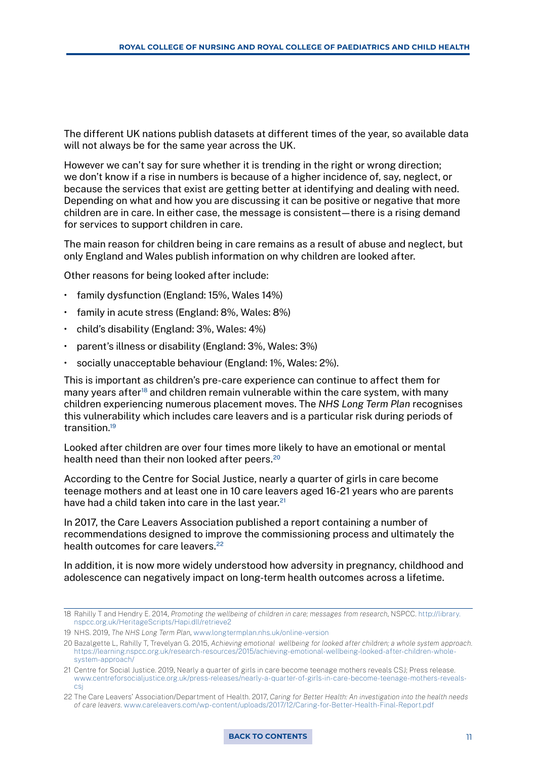The different UK nations publish datasets at different times of the year, so available data will not always be for the same year across the UK.

However we can't say for sure whether it is trending in the right or wrong direction; we don't know if a rise in numbers is because of a higher incidence of, say, neglect, or because the services that exist are getting better at identifying and dealing with need. Depending on what and how you are discussing it can be positive or negative that more children are in care. In either case, the message is consistent—there is a rising demand for services to support children in care.

The main reason for children being in care remains as a result of abuse and neglect, but only England and Wales publish information on why children are looked after.

Other reasons for being looked after include:

- family dysfunction (England: 15%, Wales 14%)
- family in acute stress (England: 8%, Wales: 8%)
- child's disability (England: 3%, Wales: 4%)
- parent's illness or disability (England: 3%, Wales: 3%)
- socially unacceptable behaviour (England: 1%, Wales: 2%).

This is important as children's pre-care experience can continue to affect them for many years after<sup>18</sup> and children remain vulnerable within the care system, with many children experiencing numerous placement moves. The *NHS Long Term Plan* recognises this vulnerability which includes care leavers and is a particular risk during periods of transition.19

Looked after children are over four times more likely to have an emotional or mental health need than their non looked after peers.<sup>20</sup>

According to the Centre for Social Justice, nearly a quarter of girls in care become teenage mothers and at least one in 10 care leavers aged 16-21 years who are parents have had a child taken into care in the last year.<sup>21</sup>

In 2017, the Care Leavers Association published a report containing a number of recommendations designed to improve the commissioning process and ultimately the health outcomes for care leavers.<sup>22</sup>

In addition, it is now more widely understood how adversity in pregnancy, childhood and adolescence can negatively impact on long-term health outcomes across a lifetime.

<sup>18</sup> Rahilly T and Hendry E. 2014, *Promoting the wellbeing of children in care; messages from research*, NSPCC. [http://library.](http://library.nspcc.org.uk/HeritageScripts/Hapi.dll/retrieve2) [nspcc.org.uk/HeritageScripts/Hapi.dll/retrieve2](http://library.nspcc.org.uk/HeritageScripts/Hapi.dll/retrieve2)

<sup>19</sup> NHS. 2019, *The NHS Long Term Plan*, [www.longtermplan.nhs.uk/online-version](https://www.longtermplan.nhs.uk/online-version/)

<sup>20</sup> Bazalgette L, Rahilly T, Trevelyan G. 2015, *Achieving emotional wellbeing for looked after children; a whole system approach*. [https://learning.nspcc.org.uk/research-resources/2015/achieving-emotional-wellbeing-looked-after-children-whole](https://learning.nspcc.org.uk/research-resources/2015/achieving-emotional-wellbeing-looked-after-children-whole-system-approach)[system-approach/](https://learning.nspcc.org.uk/research-resources/2015/achieving-emotional-wellbeing-looked-after-children-whole-system-approach)

<sup>21</sup> Centre for Social Justice. 2019, Nearly a quarter of girls in care become teenage mothers reveals CSJ; Press release. [www.centreforsocialjustice.org.uk/press-releases/nearly-a-quarter-of-girls-in-care-become-teenage-mothers-reveals](https://www.centreforsocialjustice.org.uk/press-releases/nearly-a-quarter-of-girls-in-care-become-teenage-mothers-reveals-csj)csi

<sup>22</sup> The Care Leavers' Association/Department of Health. 2017, *Caring for Better Health: An investigation into the health needs of care leavers*. [www.careleavers.com/wp-content/uploads/2017/12/Caring-for-Better-Health-Final-Report.pdf](https://www.careleavers.com/wp-content/uploads/2017/12/Caring-for-Better-Health-Final-Report.pdf)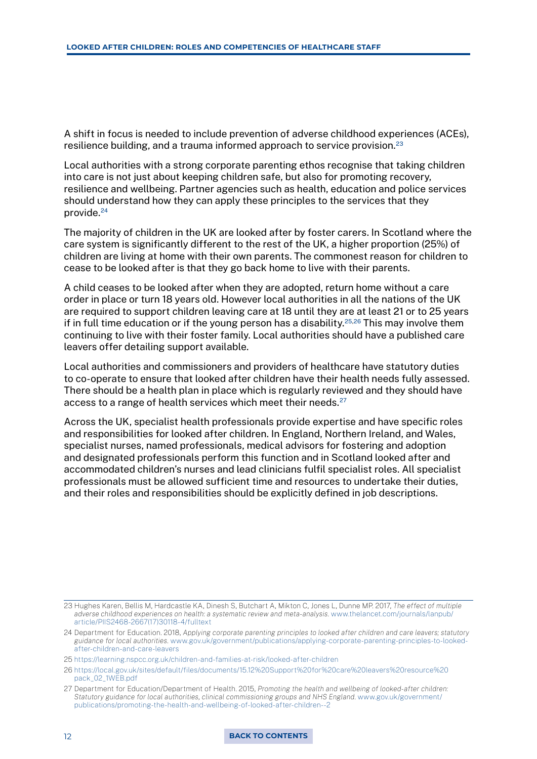A shift in focus is needed to include prevention of adverse childhood experiences (ACEs), resilience building, and a trauma informed approach to service provision.23

Local authorities with a strong corporate parenting ethos recognise that taking children into care is not just about keeping children safe, but also for promoting recovery, resilience and wellbeing. Partner agencies such as health, education and police services should understand how they can apply these principles to the services that they provide.24

The majority of children in the UK are looked after by foster carers. In Scotland where the care system is significantly different to the rest of the UK, a higher proportion (25%) of children are living at home with their own parents. The commonest reason for children to cease to be looked after is that they go back home to live with their parents.

A child ceases to be looked after when they are adopted, return home without a care order in place or turn 18 years old. However local authorities in all the nations of the UK are required to support children leaving care at 18 until they are at least 21 or to 25 years if in full time education or if the young person has a disability.<sup>25,26</sup> This may involve them continuing to live with their foster family. Local authorities should have a published care leavers offer detailing support available.

Local authorities and commissioners and providers of healthcare have statutory duties to co-operate to ensure that looked after children have their health needs fully assessed. There should be a health plan in place which is regularly reviewed and they should have access to a range of health services which meet their needs.<sup>27</sup>

Across the UK, specialist health professionals provide expertise and have specific roles and responsibilities for looked after children. In England, Northern Ireland, and Wales, specialist nurses, named professionals, medical advisors for fostering and adoption and designated professionals perform this function and in Scotland looked after and accommodated children's nurses and lead clinicians fulfil specialist roles. All specialist professionals must be allowed sufficient time and resources to undertake their duties, and their roles and responsibilities should be explicitly defined in job descriptions.

<sup>23</sup> Hughes Karen, Bellis M, Hardcastle KA, Dinesh S, Butchart A, Mikton C, Jones L, Dunne MP. 2017, *The effect of multiple adverse childhood experiences on health: a systematic review and meta-analysis*. [www.thelancet.com/journals/lanpub/](https://www.thelancet.com/journals/lanpub/article/PIIS2468-2667(17)30118-4/fulltext) [article/PIIS2468-2667\(17\)30118-4/fulltext](https://www.thelancet.com/journals/lanpub/article/PIIS2468-2667(17)30118-4/fulltext)

<sup>24</sup> Department for Education. 2018, *Applying corporate parenting principles to looked after children and care leavers; statutory guidance for local authorities*. [www.gov.uk/government/publications/applying-corporate-parenting-principles-to-looked](https://www.gov.uk/government/publications/applying-corporate-parenting-principles-to-looked-after-children-and-care-leavers)[after-children-and-care-leavers](https://www.gov.uk/government/publications/applying-corporate-parenting-principles-to-looked-after-children-and-care-leavers)

<sup>25</sup> <https://learning.nspcc.org.uk/children-and-families-at-risk/looked-after-children>

<sup>26</sup> [https://local.gov.uk/sites/default/files/documents/15.12%20Support%20for%20care%20leavers%20resource%20](https://local.gov.uk/sites/default/files/documents/15.12%20Support%20for%20care%20leavers%20resource%20pack_02_1WEB.pdf) [pack\\_02\\_1WEB.pdf](https://local.gov.uk/sites/default/files/documents/15.12%20Support%20for%20care%20leavers%20resource%20pack_02_1WEB.pdf)

<sup>27</sup> Department for Education/Department of Health. 2015, *Promoting the health and wellbeing of looked-after children: Statutory guidance for local authorities, clinical commissioning groups and NHS England*. [www.gov.uk/government/](https://www.gov.uk/government/publications/promoting-the-health-and-wellbeing-of-looked-after-children--2) [publications/promoting-the-health-and-wellbeing-of-looked-after-children--2](https://www.gov.uk/government/publications/promoting-the-health-and-wellbeing-of-looked-after-children--2)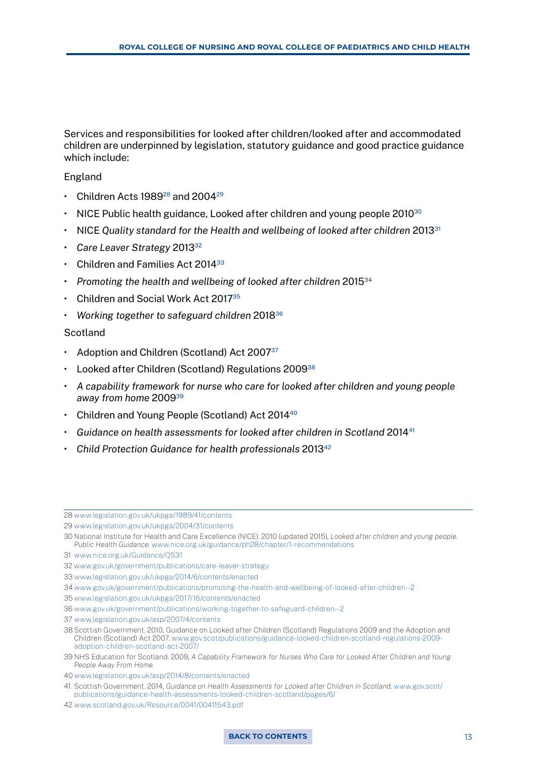Services and responsibilities for looked after children/looked after and accommodated children are underpinned by legislation, statutory guidance and good practice guidance which include:

### England

- Children Acts 1989 $^{28}$  and 2004 $^{29}$
- NICE Public health guidance, Looked after children and young people 2010 $30$
- NICE Quality standard for the Health and wellbeing of looked after children 2013<sup>31</sup>
- Care Leaver Strategy 2013<sup>32</sup>
- Children and Families Act 2014 $33$
- *Promoting the health and wellbeing of looked after children* 201534
- Children and Social Work Act 2017<sup>35</sup>
- *Working together to safeguard children* 201836

### Scotland

- Adoption and Children (Scotland) Act 2007<sup>37</sup>
- Looked after Children (Scotland) Regulations 2009<sup>38</sup>
- *A capability framework for nurse who care for looked after children and young people away from home* 200939
- Children and Young People (Scotland) Act 2014 $40$
- *Guidance on health assessments for looked after children in Scotland* 201441
- *Child Protection Guidance for health professionals* 201342

35 [www.legislation.gov.uk/ukpga/2017/16/contents/enacted](https://www.legislation.gov.uk/ukpga/2017/16/contents/enacted)

37 [www.legislation.gov.uk/asp/2007/4/contents](https://www.legislation.gov.uk/asp/2007/4/contents)

39 NHS Education for Scotland. 2009, *A Capability Framework for Nurses Who Care for Looked After Children and Young People Away From Home*.

<sup>28</sup> [www.legislation.gov.uk/ukpga/1989/41/contents](https://www.legislation.gov.uk/ukpga/1989/41/contents)

<sup>29</sup> [www.legislation.gov.uk/ukpga/2004/31/contents](http://www.legislation.gov.uk/ukpga/2004/31/contents)

<sup>30</sup> National Institute for Health and Care Excellence (NICE). 2010 (updated 2015), *Looked after children and young people. Public Health Guidance*. [www.nice.org.uk/guidance/ph28/chapter/1-recommendations](https://www.nice.org.uk/guidance/ph28/chapter/1-recommendations)

<sup>31</sup> [www.nice.org.uk/Guidance/QS31](https://www.nice.org.uk/Guidance/QS31)

<sup>32</sup> [www.gov.uk/government/publications/care-leaver-strategy](https://www.gov.uk/government/publications/care-leaver-strategy)

<sup>33</sup> [www.legislation.gov.uk/ukpga/2014/6/contents/enacted](https://www.legislation.gov.uk/ukpga/2014/6/contents/enacted)

<sup>34</sup> [www.gov.uk/government/publications/promoting-the-health-and-wellbeing-of-looked-after-children--2](https://www.gov.uk/government/publications/promoting-the-health-and-wellbeing-of-looked-after-children--2)

<sup>36</sup> [www.gov.uk/government/publications/working-together-to-safeguard-children--2](https://www.gov.uk/government/publications/working-together-to-safeguard-children--2)

<sup>38</sup> Scottish Government. 2010, Guidance on Looked after Children (Scotland) Regulations 2009 and the Adoption and Children (Scotland) Act 2007. [www.gov.scot/publications/guidance-looked-children-scotland-regulations-2009](https://www.gov.scot/publications/guidance-looked-children-scotland-regulations-2009-adoption-children-scotland-act-2007/) [adoption-children-scotland-act-2007/](https://www.gov.scot/publications/guidance-looked-children-scotland-regulations-2009-adoption-children-scotland-act-2007/)

<sup>40</sup> [www.legislation.gov.uk/asp/2014/8/contents/enacted](https://www.legislation.gov.uk/asp/2014/8/contents/enacted)

<sup>41</sup> Scottish Government. 2014, *Guidance on Health Assessments for Looked after Children in Scotland*. [www.gov.scot/](https://www.gov.scot/publications/guidance-health-assessments-looked-children-scotland/pages/6/) [publications/guidance-health-assessments-looked-children-scotland/pages/6/](https://www.gov.scot/publications/guidance-health-assessments-looked-children-scotland/pages/6/)

<sup>42</sup> [www.scotland.gov.uk/Resource/0041/00411543.pdf](https://www2.gov.scot/Resource/0041/00411543.pdf)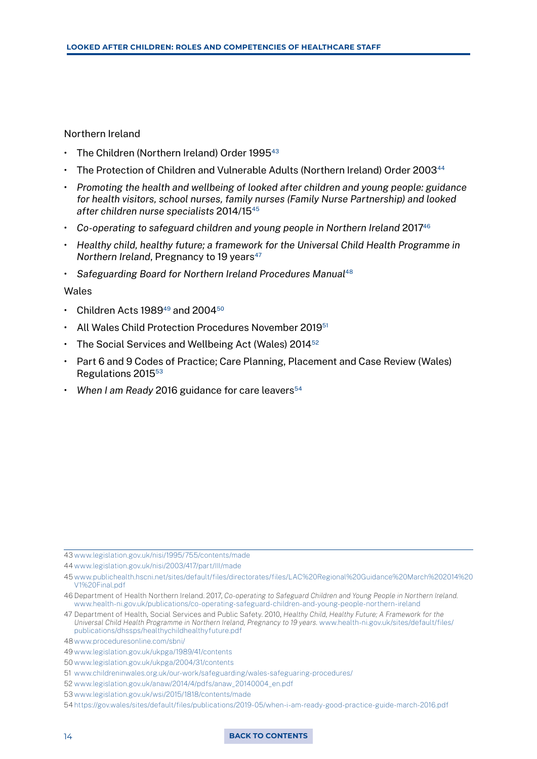### Northern Ireland

- The Children (Northern Ireland) Order 1995<sup>43</sup>
- The Protection of Children and Vulnerable Adults (Northern Ireland) Order 2003<sup>44</sup>
- *Promoting the health and wellbeing of looked after children and young people: guidance for health visitors, school nurses, family nurses (Family Nurse Partnership) and looked after children nurse specialists* 2014/1545
- *Co-operating to safeguard children and young people in Northern Ireland* 201746
- *Healthy child, healthy future; a framework for the Universal Child Health Programme in Northern Ireland*, Pregnancy to 19 years<sup>47</sup>
- *Safeguarding Board for Northern Ireland Procedures Manual*<sup>48</sup>

#### Wales

- Children Acts 1989 $49$  and 2004 $50$
- All Wales Child Protection Procedures November 2019<sup>51</sup>
- The Social Services and Wellbeing Act (Wales) 2014<sup>52</sup>
- Part 6 and 9 Codes of Practice; Care Planning, Placement and Case Review (Wales) Regulations 201553
- When I am Ready 2016 guidance for care leavers<sup>54</sup>

48 [www.proceduresonline.com/sbni/](https://www.proceduresonline.com/sbni/)

<sup>43</sup> [www.legislation.gov.uk/nisi/1995/755/contents/made](https://www.legislation.gov.uk/nisi/1995/755/contents/made)

<sup>44</sup> [www.legislation.gov.uk/nisi/2003/417/part/III/made](https://www.legislation.gov.uk/nisi/2003/417/part/III/made)

<sup>45</sup> [www.publichealth.hscni.net/sites/default/files/directorates/files/LAC%20Regional%20Guidance%20March%202014%20](https://www.publichealth.hscni.net/sites/default/files/directorates/files/LAC%20Regional%20Guidance%20March%202014%20V1%20Final.pdf) [V1%20Final.pdf](https://www.publichealth.hscni.net/sites/default/files/directorates/files/LAC%20Regional%20Guidance%20March%202014%20V1%20Final.pdf)

<sup>46</sup> Department of Health Northern Ireland. 2017, *Co-operating to Safeguard Children and Young People in Northern Ireland*. [www.health-ni.gov.uk/publications/co-operating-safeguard-children-and-young-people-northern-ireland](https://www.health-ni.gov.uk/publications/co-operating-safeguard-children-and-young-people-northern-ireland)

<sup>47</sup> Department of Health, Social Services and Public Safety. 2010, *Healthy Child, Healthy Future; A Framework for the Universal Child Health Programme in Northern Ireland, Pregnancy to 19 years.* [www.health-ni.gov.uk/sites/default/files/](https://www.health-ni.gov.uk/sites/default/files/publications/dhssps/healthychildhealthyfuture.pdf) [publications/dhssps/healthychildhealthyfuture.pdf](https://www.health-ni.gov.uk/sites/default/files/publications/dhssps/healthychildhealthyfuture.pdf)

<sup>49</sup> [www.legislation.gov.uk/ukpga/1989/41/contents](https://www.legislation.gov.uk/ukpga/1989/41/contents)

<sup>50</sup> [www.legislation.gov.uk/ukpga/2004/31/contents](https://www.legislation.gov.uk/ukpga/2004/31/contents)

<sup>51</sup> [www.childreninwales.org.uk/our-work/safeguarding/wales-safeguaring-procedures/](https://www.childreninwales.org.uk/our-work/safeguarding/wales-safeguaring-procedures/)

<sup>52</sup> [www.legislation.gov.uk/anaw/2014/4/pdfs/anaw\\_20140004\\_en.pdf](https://www.legislation.gov.uk/anaw/2014/4/pdfs/anaw_20140004_en.pdf)

<sup>53</sup> [www.legislation.gov.uk/wsi/2015/1818/contents/made](https://www.legislation.gov.uk/wsi/2015/1818/contents/made)

<sup>54</sup><https://gov.wales/sites/default/files/publications/2019-05/when-i-am-ready-good-practice-guide-march-2016.pdf>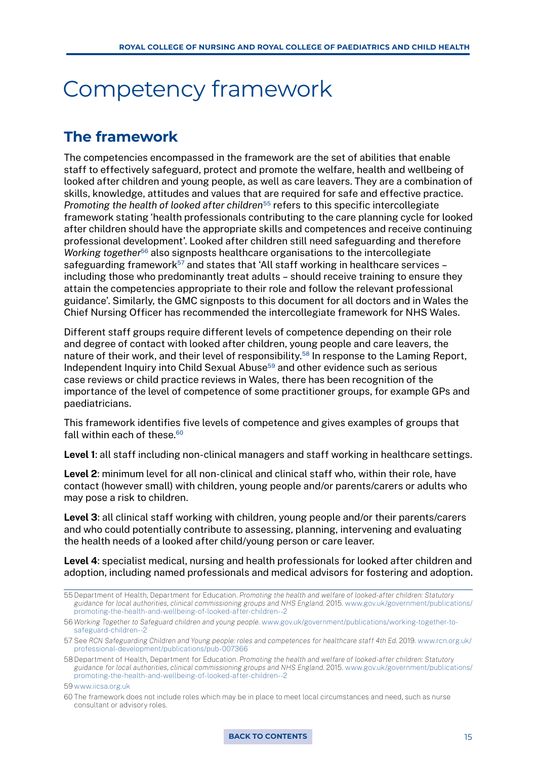# <span id="page-14-0"></span>Competency framework

### **The framework**

The competencies encompassed in the framework are the set of abilities that enable staff to effectively safeguard, protect and promote the welfare, health and wellbeing of looked after children and young people, as well as care leavers. They are a combination of skills, knowledge, attitudes and values that are required for safe and effective practice. *Promoting the health of looked after children*<sup>55</sup> refers to this specific intercollegiate framework stating 'health professionals contributing to the care planning cycle for looked after children should have the appropriate skills and competences and receive continuing professional development'. Looked after children still need safeguarding and therefore *Working together*56 also signposts healthcare organisations to the intercollegiate safeguarding framework<sup>57</sup> and states that 'All staff working in healthcare services  $$ including those who predominantly treat adults – should receive training to ensure they attain the competencies appropriate to their role and follow the relevant professional guidance'. Similarly, the GMC signposts to this document for all doctors and in Wales the Chief Nursing Officer has recommended the intercollegiate framework for NHS Wales.

Different staff groups require different levels of competence depending on their role and degree of contact with looked after children, young people and care leavers, the nature of their work, and their level of responsibility.<sup>58</sup> In response to the Laming Report, Independent Inquiry into Child Sexual Abuse<sup>59</sup> and other evidence such as serious case reviews or child practice reviews in Wales, there has been recognition of the importance of the level of competence of some practitioner groups, for example GPs and paediatricians.

This framework identifies five levels of competence and gives examples of groups that fall within each of these.<sup>60</sup>

Level 1: all staff including non-clinical managers and staff working in healthcare settings.

Level 2: minimum level for all non-clinical and clinical staff who, within their role, have contact (however small) with children, young people and/or parents/carers or adults who may pose a risk to children.

Level 3: all clinical staff working with children, young people and/or their parents/carers and who could potentially contribute to assessing, planning, intervening and evaluating the health needs of a looked after child/young person or care leaver.

Level 4: specialist medical, nursing and health professionals for looked after children and adoption, including named professionals and medical advisors for fostering and adoption.

59 [www.iicsa.org.uk](https://www.iicsa.org.uk)

<sup>60</sup> The framework does not include roles which may be in place to meet local circumstances and need, such as nurse consultant or advisory roles.



<sup>55</sup> Department of Health, Department for Education. *Promoting the health and welfare of looked-after children: Statutory guidance for local authorities, clinical commissioning groups and NHS England*. 2015. [www.gov.uk/government/publications/](https://www.gov.uk/government/publications/promoting-the-health-and-wellbeing-of-looked-after-children--2) [promoting-the-health-and-wellbeing-of-looked-after-children--2](https://www.gov.uk/government/publications/promoting-the-health-and-wellbeing-of-looked-after-children--2)

<sup>56</sup> *Working Together to Safeguard children and young people*. [www.gov.uk/government/publications/working-together-to](https://www.gov.uk/government/publications/working-together-to-safeguard-children--2)[safeguard-children--2](https://www.gov.uk/government/publications/working-together-to-safeguard-children--2)

<sup>57</sup> See *RCN Safeguarding Children and Young people: roles and competences for healthcare staff 4th Ed*. 2019. [www.rcn.org.uk/](http://www.rcn.org.uk/professional-development/publications/pub-007366) [professional-development/publications/pub-007366](http://www.rcn.org.uk/professional-development/publications/pub-007366)

<sup>58</sup> Department of Health, Department for Education. *Promoting the health and welfare of looked-after children: Statutory guidance for local authorities, clinical commissioning groups and NHS England*. 2015. [www.gov.uk/government/publications/](https://www.gov.uk/government/publications/promoting-the-health-and-wellbeing-of-looked-after-children--2) [promoting-the-health-and-wellbeing-of-looked-after-children--2](https://www.gov.uk/government/publications/promoting-the-health-and-wellbeing-of-looked-after-children--2)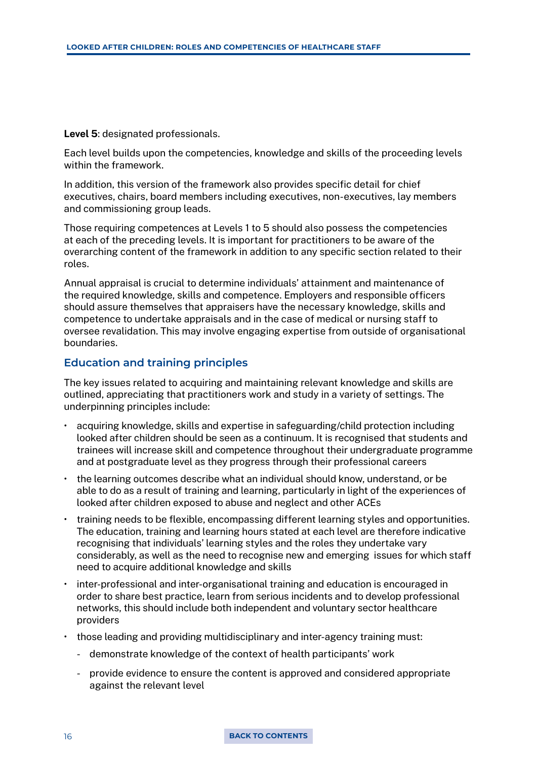### Level 5: designated professionals.

Each level builds upon the competencies, knowledge and skills of the proceeding levels within the framework.

In addition, this version of the framework also provides specific detail for chief executives, chairs, board members including executives, non-executives, lay members and commissioning group leads.

Those requiring competences at Levels 1 to 5 should also possess the competencies at each of the preceding levels. It is important for practitioners to be aware of the overarching content of the framework in addition to any specific section related to their roles.

Annual appraisal is crucial to determine individuals' attainment and maintenance of the required knowledge, skills and competence. Employers and responsible officers should assure themselves that appraisers have the necessary knowledge, skills and competence to undertake appraisals and in the case of medical or nursing staff to oversee revalidation. This may involve engaging expertise from outside of organisational boundaries.

### **Education and training principles**

The key issues related to acquiring and maintaining relevant knowledge and skills are outlined, appreciating that practitioners work and study in a variety of settings. The underpinning principles include:

- acquiring knowledge, skills and expertise in safeguarding/child protection including looked after children should be seen as a continuum. It is recognised that students and trainees will increase skill and competence throughout their undergraduate programme and at postgraduate level as they progress through their professional careers
- the learning outcomes describe what an individual should know, understand, or be able to do as a result of training and learning, particularly in light of the experiences of looked after children exposed to abuse and neglect and other ACEs
- training needs to be flexible, encompassing different learning styles and opportunities. The education, training and learning hours stated at each level are therefore indicative recognising that individuals' learning styles and the roles they undertake vary considerably, as well as the need to recognise new and emerging issues for which staff need to acquire additional knowledge and skills
- inter-professional and inter-organisational training and education is encouraged in order to share best practice, learn from serious incidents and to develop professional networks, this should include both independent and voluntary sector healthcare providers
- those leading and providing multidisciplinary and inter-agency training must:
	- demonstrate knowledge of the context of health participants' work
	- provide evidence to ensure the content is approved and considered appropriate against the relevant level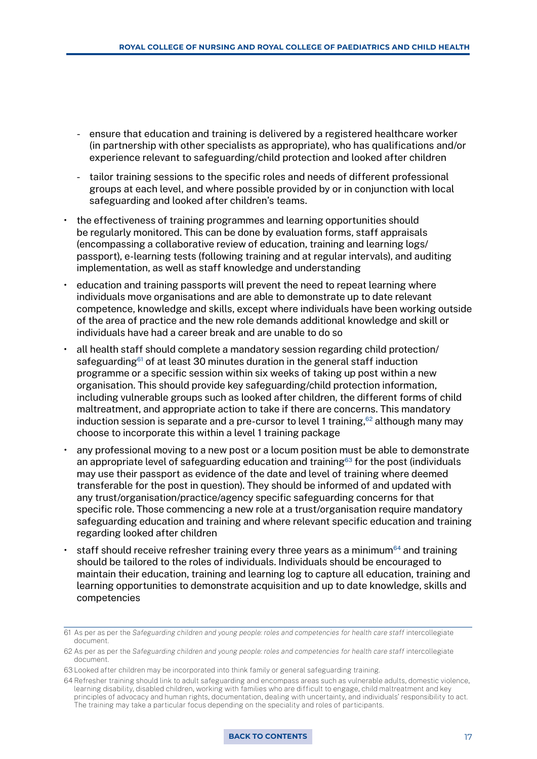- ensure that education and training is delivered by a registered healthcare worker (in partnership with other specialists as appropriate), who has qualifications and/or experience relevant to safeguarding/child protection and looked after children
- tailor training sessions to the specific roles and needs of different professional groups at each level, and where possible provided by or in conjunction with local safeguarding and looked after children's teams.
- the effectiveness of training programmes and learning opportunities should be regularly monitored. This can be done by evaluation forms, staff appraisals (encompassing a collaborative review of education, training and learning logs/ passport), e-learning tests (following training and at regular intervals), and auditing implementation, as well as staff knowledge and understanding
- education and training passports will prevent the need to repeat learning where individuals move organisations and are able to demonstrate up to date relevant competence, knowledge and skills, except where individuals have been working outside of the area of practice and the new role demands additional knowledge and skill or individuals have had a career break and are unable to do so
- all health staff should complete a mandatory session regarding child protection/ safeguarding<sup> $61$ </sup> of at least 30 minutes duration in the general staff induction programme or a specific session within six weeks of taking up post within a new organisation. This should provide key safeguarding/child protection information, including vulnerable groups such as looked after children, the different forms of child maltreatment, and appropriate action to take if there are concerns. This mandatory induction session is separate and a pre-cursor to level 1 training,  $62$  although many may choose to incorporate this within a level 1 training package
- any professional moving to a new post or a locum position must be able to demonstrate an appropriate level of safeguarding education and training $63$  for the post (individuals may use their passport as evidence of the date and level of training where deemed transferable for the post in question). They should be informed of and updated with any trust/organisation/practice/agency specific safeguarding concerns for that specific role. Those commencing a new role at a trust/organisation require mandatory safeguarding education and training and where relevant specific education and training regarding looked after children
- staff should receive refresher training every three years as a minimum<sup>64</sup> and training should be tailored to the roles of individuals. Individuals should be encouraged to maintain their education, training and learning log to capture all education, training and learning opportunities to demonstrate acquisition and up to date knowledge, skills and competencies

<sup>61</sup> As per as per the *Safeguarding children and young people: roles and competencies for health care staff* intercollegiate document.

<sup>62</sup> As per as per the *Safeguarding children and young people: roles and competencies for health care staff* intercollegiate document.

<sup>63</sup> Looked after children may be incorporated into think family or general safeguarding training.

<sup>64</sup> Refresher training should link to adult safeguarding and encompass areas such as vulnerable adults, domestic violence, learning disability, disabled children, working with families who are difficult to engage, child maltreatment and key principles of advocacy and human rights, documentation, dealing with uncertainty, and individuals' responsibility to act. The training may take a particular focus depending on the speciality and roles of participants.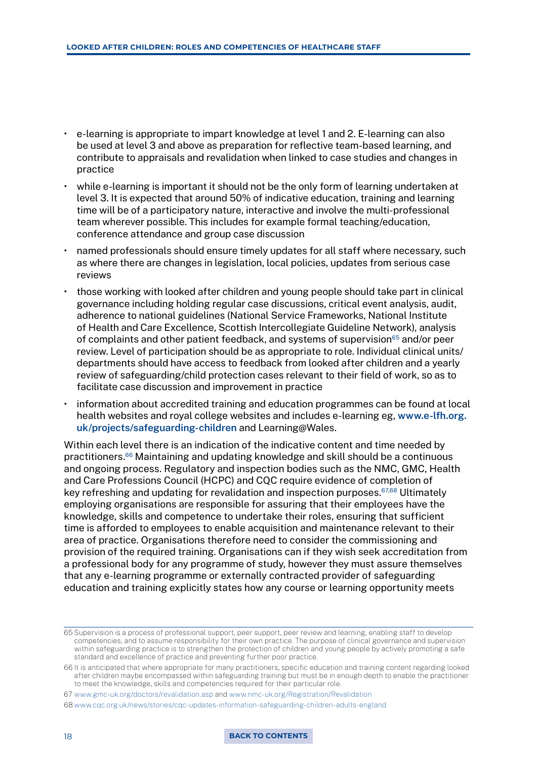- e-learning is appropriate to impart knowledge at level 1 and 2. E-learning can also be used at level 3 and above as preparation for reflective team-based learning, and contribute to appraisals and revalidation when linked to case studies and changes in practice
- while e-learning is important it should not be the only form of learning undertaken at level 3. It is expected that around 50% of indicative education, training and learning time will be of a participatory nature, interactive and involve the multi-professional team wherever possible. This includes for example formal teaching/education, conference attendance and group case discussion
- named professionals should ensure timely updates for all staff where necessary, such as where there are changes in legislation, local policies, updates from serious case reviews
- those working with looked after children and young people should take part in clinical governance including holding regular case discussions, critical event analysis, audit, adherence to national guidelines (National Service Frameworks, National Institute of Health and Care Excellence, Scottish Intercollegiate Guideline Network), analysis of complaints and other patient feedback, and systems of supervision<sup>65</sup> and/or peer review. Level of participation should be as appropriate to role. Individual clinical units/ departments should have access to feedback from looked after children and a yearly review of safeguarding/child protection cases relevant to their field of work, so as to facilitate case discussion and improvement in practice
- information about accredited training and education programmes can be found at local health websites and royal college websites and includes e-learning eg, [www.e-lfh.org.](https://www.e-lfh.org.uk/programmes/safeguarding-children/) [uk/projects/safeguarding-children](https://www.e-lfh.org.uk/programmes/safeguarding-children/) and Learning@Wales.

Within each level there is an indication of the indicative content and time needed by practitioners. $66$  Maintaining and updating knowledge and skill should be a continuous and ongoing process. Regulatory and inspection bodies such as the NMC, GMC, Health and Care Professions Council (HCPC) and CQC require evidence of completion of key refreshing and updating for revalidation and inspection purposes.<sup>67,68</sup> Ultimately employing organisations are responsible for assuring that their employees have the knowledge, skills and competence to undertake their roles, ensuring that sufficient time is afforded to employees to enable acquisition and maintenance relevant to their area of practice. Organisations therefore need to consider the commissioning and provision of the required training. Organisations can if they wish seek accreditation from a professional body for any programme of study, however they must assure themselves that any e-learning programme or externally contracted provider of safeguarding education and training explicitly states how any course or learning opportunity meets

<sup>65</sup> Supervision is a process of professional support, peer support, peer review and learning, enabling staff to develop competencies, and to assume responsibility for their own practice. The purpose of clinical governance and supervision within safeguarding practice is to strengthen the protection of children and young people by actively promoting a safe standard and excellence of practice and preventing further poor practice.

<sup>66</sup> It is anticipated that where appropriate for many practitioners, specific education and training content regarding looked after children maybe encompassed within safeguarding training but must be in enough depth to enable the practitioner to meet the knowledge, skills and competencies required for their particular role.

<sup>67</sup> [www.gmc-uk.org/doctors/revalidation.asp](https://www.gmc-uk.org/registration-and-licensing/managing-your-registration/revalidation) and [www.nmc-uk.org/Registration/Revalidation](http://revalidation.nmc.org.uk) 68 [www.cqc.org.uk/news/stories/cqc-updates-information-safeguarding-children-adults-england](https://www.cqc.org.uk/news/stories/cqc-updates-information-safeguarding-children-adults-england)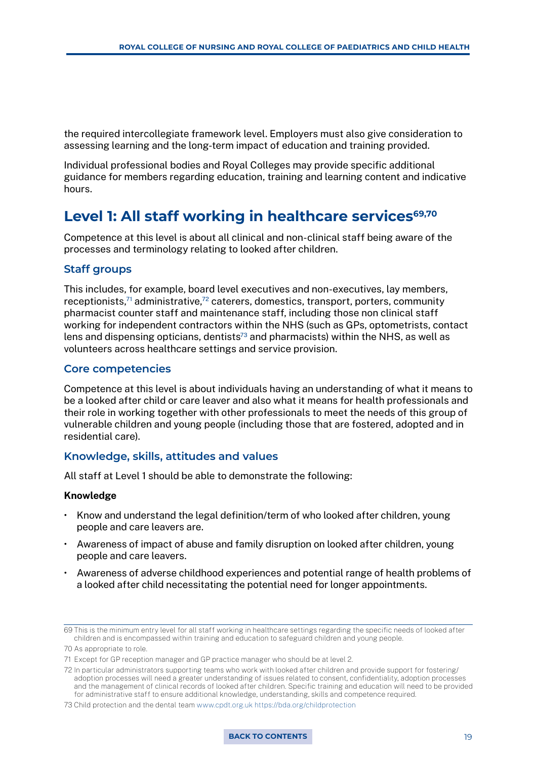<span id="page-18-0"></span>the required intercollegiate framework level. Employers must also give consideration to assessing learning and the long-term impact of education and training provided.

Individual professional bodies and Royal Colleges may provide specific additional guidance for members regarding education, training and learning content and indicative hours.

### Level 1: All staff working in healthcare services<sup>69,70</sup>

Competence at this level is about all clinical and non-clinical staff being aware of the processes and terminology relating to looked after children.

### **Staff groups**

This includes, for example, board level executives and non-executives, lay members, receptionists, $7$ <sup>1</sup> administrative, $7$ <sup>2</sup> caterers, domestics, transport, porters, community pharmacist counter staff and maintenance staff, including those non clinical staff working for independent contractors within the NHS (such as GPs, optometrists, contact lens and dispensing opticians, dentists<sup>73</sup> and pharmacists) within the NHS, as well as volunteers across healthcare settings and service provision.

### **Core competencies**

Competence at this level is about individuals having an understanding of what it means to be a looked after child or care leaver and also what it means for health professionals and their role in working together with other professionals to meet the needs of this group of vulnerable children and young people (including those that are fostered, adopted and in residential care).

### **Knowledge, skills, attitudes and values**

All staff at Level 1 should be able to demonstrate the following:

### Knowledge

- Know and understand the legal definition/term of who looked after children, young people and care leavers are.
- Awareness of impact of abuse and family disruption on looked after children, young people and care leavers.
- Awareness of adverse childhood experiences and potential range of health problems of a looked after child necessitating the potential need for longer appointments.

<sup>69</sup> This is the minimum entry level for all staff working in healthcare settings regarding the specific needs of looked after children and is encompassed within training and education to safeguard children and young people.

<sup>70</sup> As appropriate to role.

<sup>71</sup> Except for GP reception manager and GP practice manager who should be at level 2.

<sup>72</sup> In particular administrators supporting teams who work with looked after children and provide support for fostering/ adoption processes will need a greater understanding of issues related to consent, confidentiality, adoption processes and the management of clinical records of looked after children. Specific training and education will need to be provided for administrative staff to ensure additional knowledge, understanding, skills and competence required.

<sup>73</sup> Child protection and the dental team [www.cpdt.org.uk](https://bda.org/childprotection) <https://bda.org/childprotection>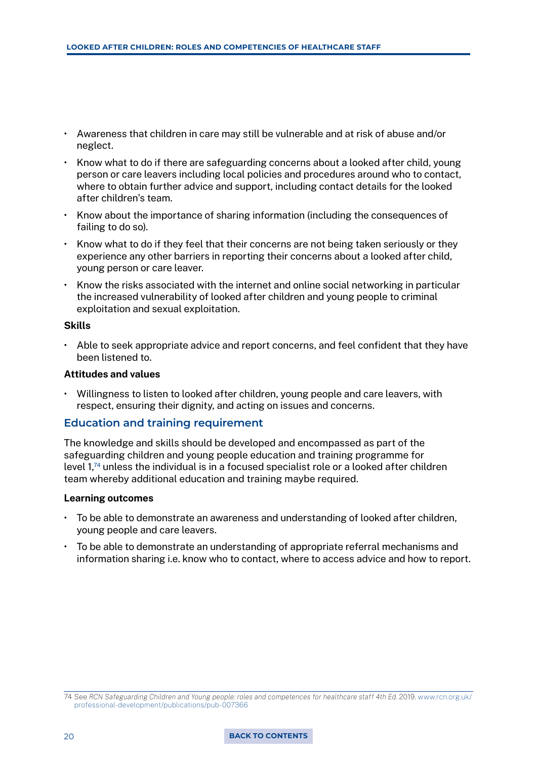- Awareness that children in care may still be vulnerable and at risk of abuse and/or neglect.
- Know what to do if there are safeguarding concerns about a looked after child, young person or care leavers including local policies and procedures around who to contact, where to obtain further advice and support, including contact details for the looked after children's team.
- Know about the importance of sharing information (including the consequences of failing to do so).
- Know what to do if they feel that their concerns are not being taken seriously or they experience any other barriers in reporting their concerns about a looked after child, young person or care leaver.
- Know the risks associated with the internet and online social networking in particular the increased vulnerability of looked after children and young people to criminal exploitation and sexual exploitation.

### Skills

• Able to seek appropriate advice and report concerns, and feel confident that they have been listened to.

### Attitudes and values

• Willingness to listen to looked after children, young people and care leavers, with respect, ensuring their dignity, and acting on issues and concerns.

### **Education and training requirement**

The knowledge and skills should be developed and encompassed as part of the safeguarding children and young people education and training programme for level 1,74 unless the individual is in a focused specialist role or a looked after children team whereby additional education and training maybe required.

### Learning outcomes

- To be able to demonstrate an awareness and understanding of looked after children, young people and care leavers.
- To be able to demonstrate an understanding of appropriate referral mechanisms and information sharing i.e. know who to contact, where to access advice and how to report.

<sup>74</sup> See *RCN Safeguarding Children and Young people: roles and competences for healthcare staff 4th Ed*. 2019. [www.rcn.org.uk/](http://www.rcn.org.uk/professional-development/publications/pub-007366) [professional-development/publications/pub-007366](http://www.rcn.org.uk/professional-development/publications/pub-007366)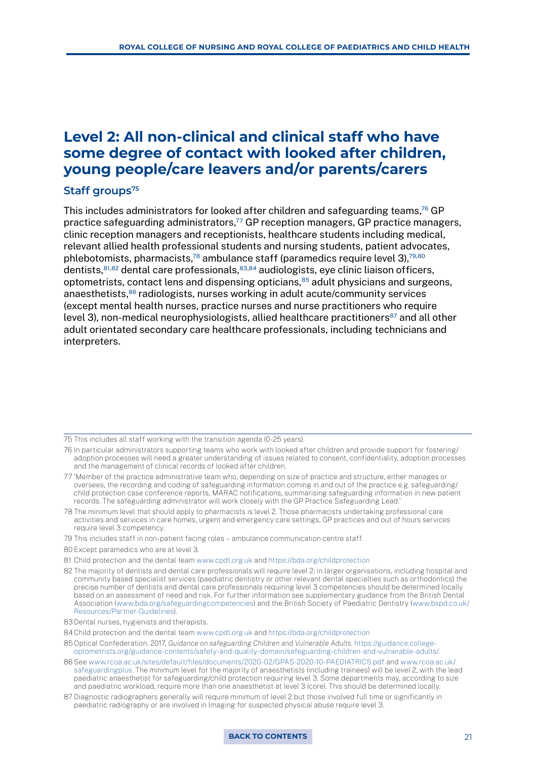### <span id="page-20-0"></span>**Level 2: All non-clinical and clinical staff who have some degree of contact with looked after children, young people/care leavers and/or parents/carers**

### Staff groups<sup>75</sup>

This includes administrators for looked after children and safeguarding teams,<sup>76</sup> GP practice safeguarding administrators,<sup>77</sup> GP reception managers, GP practice managers, clinic reception managers and receptionists, healthcare students including medical, relevant allied health professional students and nursing students, patient advocates, phlebotomists, pharmacists,<sup>78</sup> ambulance staff (paramedics require level 3),<sup>79,80</sup> dentists, 81,82 dental care professionals, 83,84 audiologists, eye clinic liaison officers, optometrists, contact lens and dispensing opticians,85 adult physicians and surgeons, anaesthetists,<sup>86</sup> radiologists, nurses working in adult acute/community services (except mental health nurses, practice nurses and nurse practitioners who require level 3), non-medical neurophysiologists, allied healthcare practitioners<sup>87</sup> and all other adult orientated secondary care healthcare professionals, including technicians and interpreters.

80 Except paramedics who are at level 3.

<sup>87</sup> Diagnostic radiographers generally will require minimum of level 2 but those involved full time or significantly in paediatric radiography or are involved in Imaging for suspected physical abuse require level 3.



<sup>75</sup> This includes all staff working with the transition agenda (0-25 years).

<sup>76</sup> In particular administrators supporting teams who work with looked after children and provide support for fostering/ adoption processes will need a greater understanding of issues related to consent, confidentiality, adoption processes and the management of clinical records of looked after children.

<sup>77 &#</sup>x27;Member of the practice administrative team who, depending on size of practice and structure, either manages or oversees, the recording and coding of safeguarding information coming in and out of the practice e.g. safeguarding/ child protection case conference reports, MARAC notifications, summarising safeguarding information in new patient records. The safeguarding administrator will work closely with the GP Practice Safeguarding Lead.'

<sup>78</sup> The minimum level that should apply to pharmacists is level 2. Those pharmacists undertaking professional care activities and services in care homes, urgent and emergency care settings, GP practices and out of hours services require level 3 competency.

<sup>79</sup> This includes staff in non-patient facing roles – ambulance communication centre staff.

<sup>81</sup> Child protection and the dental team [www.cpdt.org.uk](https://bda.org/childprotection) and <https://bda.org/childprotection>

<sup>82</sup> The majority of dentists and dental care professionals will require level 2; in larger organisations, including hospital and community based specialist services (paediatric dentistry or other relevant dental specialties such as orthodontics) the precise number of dentists and dental care professionals requiring level 3 competencies should be determined locally based on an assessment of need and risk. For further information see supplementary guidance from the British Dental Association [\(www.bda.org/safeguardingcompetencies](https://www.bda.org/safeguardingcompetencies)) and the British Society of Paediatric Dentistry [\(www.bspd.co.uk/](https://www.bspd.co.uk/Professionals/Resources/Partner-Guidelines) [Resources/Partner-Guidelines\)](https://www.bspd.co.uk/Professionals/Resources/Partner-Guidelines).

<sup>83</sup> Dental nurses, hygienists and therapists.

<sup>84</sup>Child protection and the dental team [www.cpdt.org.uk](https://bda.org/childprotection) and <https://bda.org/childprotection>

<sup>85</sup> Optical Confederation. 2017, *Guidance on safeguarding Children and Vulnerable Adults*. [https://guidance.college](https://guidance.college-optometrists.org/guidance-contents/safety-and-quality-domain/safeguarding-children-and-vulnerable-adults/)[optometrists.org/guidance-contents/safety-and-quality-domain/safeguarding-children-and-vulnerable-adults/](https://guidance.college-optometrists.org/guidance-contents/safety-and-quality-domain/safeguarding-children-and-vulnerable-adults/).

<sup>86</sup> See [www.rcoa.ac.uk/sites/default/files/documents/2020-02/GPAS-2020-10-PAEDIATRICS.pdf](https://www.rcoa.ac.uk/sites/default/files/documents/2020-02/GPAS-2020-10-PAEDIATRICS.pdf) and [www.rcoa.ac.uk/](https://www.rcoa.ac.uk/safety-standards-quality/guidance-resources/safeguarding-ethics-consent) [safeguardingplus.](https://www.rcoa.ac.uk/safety-standards-quality/guidance-resources/safeguarding-ethics-consent) The minimum level for the majority of anaesthetists (including trainees) will be level 2, with the lead paediatric anaesthetist for safeguarding/child protection requiring level 3. Some departments may, according to size and paediatric workload, require more than one anaesthetist at level 3 (core). This should be determined locally.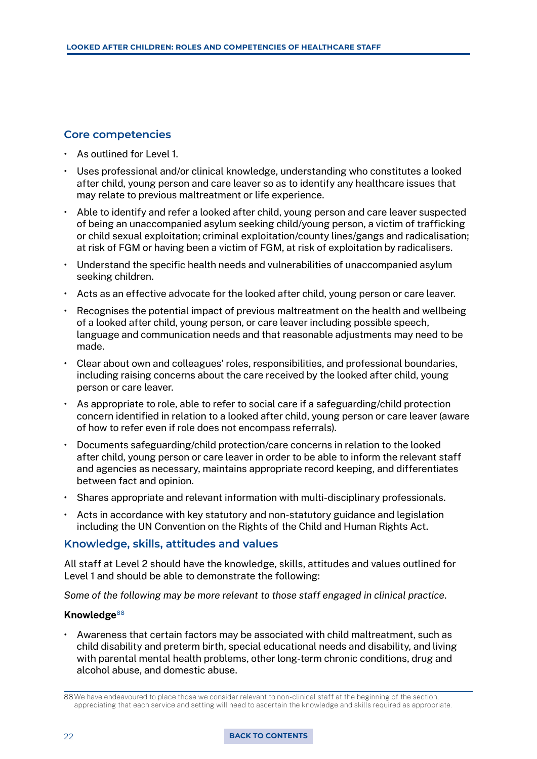### **Core competencies**

- As outlined for Level 1.
- Uses professional and/or clinical knowledge, understanding who constitutes a looked after child, young person and care leaver so as to identify any healthcare issues that may relate to previous maltreatment or life experience.
- Able to identify and refer a looked after child, young person and care leaver suspected of being an unaccompanied asylum seeking child/young person, a victim of trafficking or child sexual exploitation; criminal exploitation/county lines/gangs and radicalisation; at risk of FGM or having been a victim of FGM, at risk of exploitation by radicalisers.
- Understand the specific health needs and vulnerabilities of unaccompanied asylum seeking children.
- Acts as an effective advocate for the looked after child, young person or care leaver.
- Recognises the potential impact of previous maltreatment on the health and wellbeing of a looked after child, young person, or care leaver including possible speech, language and communication needs and that reasonable adjustments may need to be made.
- Clear about own and colleagues' roles, responsibilities, and professional boundaries, including raising concerns about the care received by the looked after child, young person or care leaver.
- As appropriate to role, able to refer to social care if a safeguarding/child protection concern identified in relation to a looked after child, young person or care leaver (aware of how to refer even if role does not encompass referrals).
- Documents safeguarding/child protection/care concerns in relation to the looked after child, young person or care leaver in order to be able to inform the relevant staff and agencies as necessary, maintains appropriate record keeping, and differentiates between fact and opinion.
- Shares appropriate and relevant information with multi-disciplinary professionals.
- Acts in accordance with key statutory and non-statutory guidance and legislation including the UN Convention on the Rights of the Child and Human Rights Act.

### **Knowledge, skills, attitudes and values**

All staff at Level 2 should have the knowledge, skills, attitudes and values outlined for Level 1 and should be able to demonstrate the following:

*Some of the following may be more relevant to those staff engaged in clinical practice*.

### Knowledge<sup>88</sup>

• Awareness that certain factors may be associated with child maltreatment, such as child disability and preterm birth, special educational needs and disability, and living with parental mental health problems, other long-term chronic conditions, drug and alcohol abuse, and domestic abuse.

<sup>88</sup> We have endeavoured to place those we consider relevant to non-clinical staff at the beginning of the section, appreciating that each service and setting will need to ascertain the knowledge and skills required as appropriate.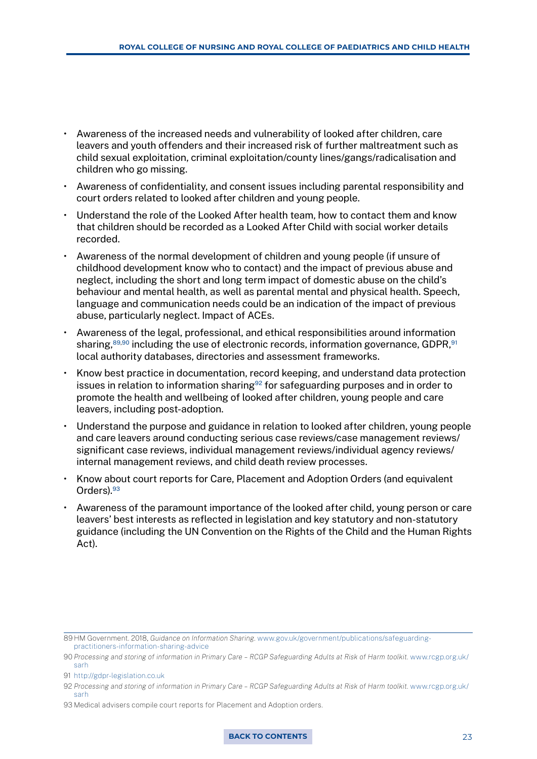- Awareness of the increased needs and vulnerability of looked after children, care leavers and youth offenders and their increased risk of further maltreatment such as child sexual exploitation, criminal exploitation/county lines/gangs/radicalisation and children who go missing.
- Awareness of confidentiality, and consent issues including parental responsibility and court orders related to looked after children and young people.
- Understand the role of the Looked After health team, how to contact them and know that children should be recorded as a Looked After Child with social worker details recorded.
- Awareness of the normal development of children and young people (if unsure of childhood development know who to contact) and the impact of previous abuse and neglect, including the short and long term impact of domestic abuse on the child's behaviour and mental health, as well as parental mental and physical health. Speech, language and communication needs could be an indication of the impact of previous abuse, particularly neglect. Impact of ACEs.
- Awareness of the legal, professional, and ethical responsibilities around information sharing, $89,90$  including the use of electronic records, information governance, GDPR,  $91$ local authority databases, directories and assessment frameworks.
- Know best practice in documentation, record keeping, and understand data protection issues in relation to information sharing<sup>92</sup> for safeguarding purposes and in order to promote the health and wellbeing of looked after children, young people and care leavers, including post-adoption.
- Understand the purpose and guidance in relation to looked after children, young people and care leavers around conducting serious case reviews/case management reviews/ significant case reviews, individual management reviews/individual agency reviews/ internal management reviews, and child death review processes.
- Know about court reports for Care, Placement and Adoption Orders (and equivalent Orders).93
- Awareness of the paramount importance of the looked after child, young person or care leavers' best interests as reflected in legislation and key statutory and non-statutory guidance (including the UN Convention on the Rights of the Child and the Human Rights Act).

<sup>89</sup> HM Government. 2018, *Guidance on Information Sharing*. [www.gov.uk/government/publications/safeguarding](https://www.gov.uk/government/publications/safeguarding-practitioners-information-sharing-advice)[practitioners-information-sharing-advice](https://www.gov.uk/government/publications/safeguarding-practitioners-information-sharing-advice)

<sup>90</sup> *Processing and storing of information in Primary Care – RCGP Safeguarding Adults at Risk of Harm toolkit.* [www.rcgp.org.uk/](https://www.rcgp.org.uk/clinical-and-research/resources/toolkits/adult-safeguarding-toolkit/section-3-practice-resources.aspx) [sarh](https://www.rcgp.org.uk/clinical-and-research/resources/toolkits/adult-safeguarding-toolkit/section-3-practice-resources.aspx)

<sup>91</sup> <http://gdpr-legislation.co.uk>

<sup>92</sup> *Processing and storing of information in Primary Care – RCGP Safeguarding Adults at Risk of Harm toolkit.* [www.rcgp.org.uk/](https://www.rcgp.org.uk/clinical-and-research/resources/toolkits/adult-safeguarding-toolkit/section-3-practice-resources.aspx) [sarh](https://www.rcgp.org.uk/clinical-and-research/resources/toolkits/adult-safeguarding-toolkit/section-3-practice-resources.aspx)

<sup>93</sup> Medical advisers compile court reports for Placement and Adoption orders.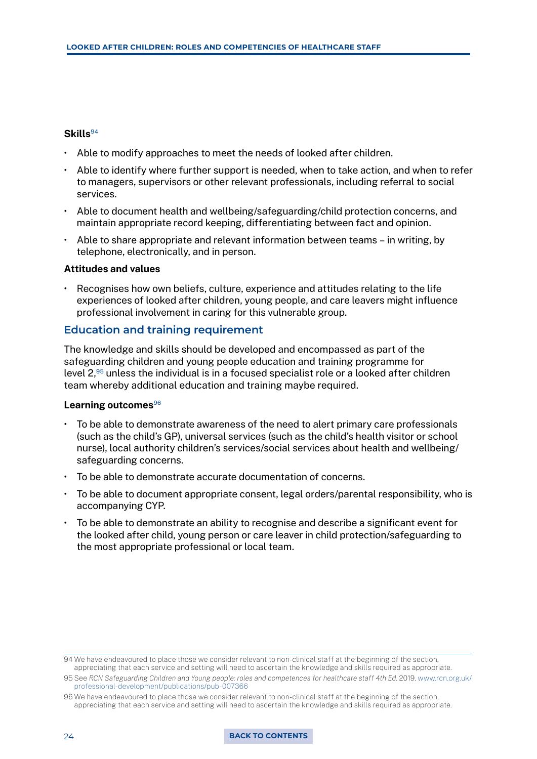### Skills<sup>94</sup>

- Able to modify approaches to meet the needs of looked after children.
- Able to identify where further support is needed, when to take action, and when to refer to managers, supervisors or other relevant professionals, including referral to social services.
- Able to document health and wellbeing/safeguarding/child protection concerns, and maintain appropriate record keeping, differentiating between fact and opinion.
- Able to share appropriate and relevant information between teams in writing, by telephone, electronically, and in person.

### Attitudes and values

• Recognises how own beliefs, culture, experience and attitudes relating to the life experiences of looked after children, young people, and care leavers might influence professional involvement in caring for this vulnerable group.

### **Education and training requirement**

The knowledge and skills should be developed and encompassed as part of the safeguarding children and young people education and training programme for level 2.95 unless the individual is in a focused specialist role or a looked after children team whereby additional education and training maybe required.

### Learning outcomes<sup>96</sup>

- To be able to demonstrate awareness of the need to alert primary care professionals (such as the child's GP), universal services (such as the child's health visitor or school nurse), local authority children's services/social services about health and wellbeing/ safeguarding concerns.
- To be able to demonstrate accurate documentation of concerns.
- To be able to document appropriate consent, legal orders/parental responsibility, who is accompanying CYP.
- To be able to demonstrate an ability to recognise and describe a significant event for the looked after child, young person or care leaver in child protection/safeguarding to the most appropriate professional or local team.

<sup>94</sup> We have endeavoured to place those we consider relevant to non-clinical staff at the beginning of the section, appreciating that each service and setting will need to ascertain the knowledge and skills required as appropriate.

<sup>95</sup> See *RCN Safeguarding Children and Young people: roles and competences for healthcare staff 4th Ed*. 2019. [www.rcn.org.uk/](http://www.rcn.org.uk/professional-development/publications/pub-007366) [professional-development/publications/pub-007366](http://www.rcn.org.uk/professional-development/publications/pub-007366)

<sup>96</sup> We have endeavoured to place those we consider relevant to non-clinical staff at the beginning of the section, appreciating that each service and setting will need to ascertain the knowledge and skills required as appropriate.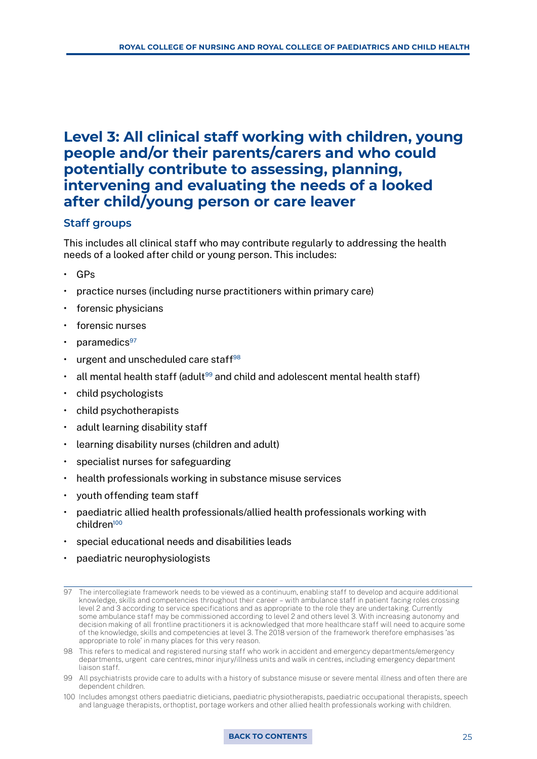### <span id="page-24-0"></span>**Level 3: All clinical staff working with children, young people and/or their parents/carers and who could potentially contribute to assessing, planning, intervening and evaluating the needs of a looked after child/young person or care leaver**

### **Staff groups**

This includes all clinical staff who may contribute regularly to addressing the health needs of a looked after child or young person. This includes:

- GPs
- practice nurses (including nurse practitioners within primary care)
- forensic physicians
- forensic nurses
- paramedics<sup>97</sup>
- urgent and unscheduled care staff<sup>98</sup>
- all mental health staff (adult $99$  and child and adolescent mental health staff)
- child psychologists
- child psychotherapists
- adult learning disability staff
- learning disability nurses (children and adult)
- specialist nurses for safeguarding
- health professionals working in substance misuse services
- youth offending team staff
- paediatric allied health professionals/allied health professionals working with children100
- special educational needs and disabilities leads
- paediatric neurophysiologists

98 This refers to medical and registered nursing staff who work in accident and emergency departments/emergency departments, urgent care centres, minor injury/illness units and walk in centres, including emergency department liaison staff.

<sup>100</sup> Includes amongst others paediatric dieticians, paediatric physiotherapists, paediatric occupational therapists, speech and language therapists, orthoptist, portage workers and other allied health professionals working with children.



<sup>97</sup> The intercollegiate framework needs to be viewed as a continuum, enabling staff to develop and acquire additional knowledge, skills and competencies throughout their career – with ambulance staff in patient facing roles crossing level 2 and 3 according to service specifications and as appropriate to the role they are undertaking. Currently some ambulance staff may be commissioned according to level 2 and others level 3. With increasing autonomy and decision making of all frontline practitioners it is acknowledged that more healthcare staff will need to acquire some of the knowledge, skills and competencies at level 3. The 2018 version of the framework therefore emphasises 'as appropriate to role' in many places for this very reason.

<sup>99</sup> All psychiatrists provide care to adults with a history of substance misuse or severe mental illness and often there are dependent children.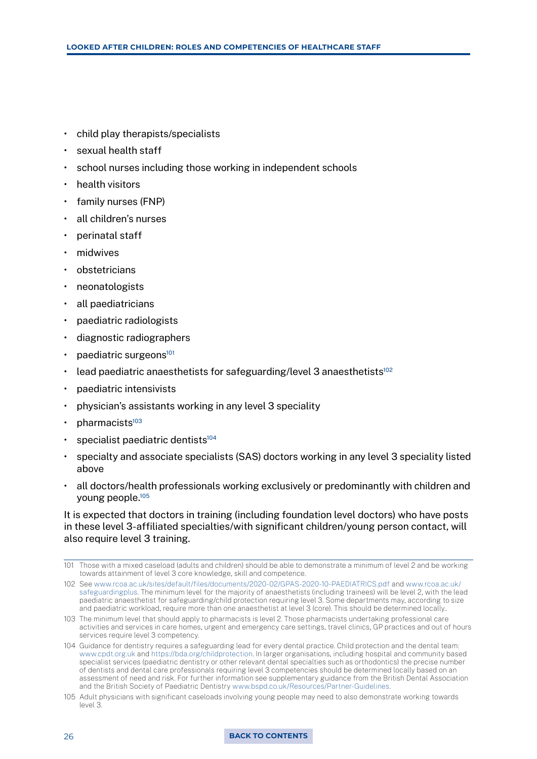- child play therapists/specialists
- sexual health staff
- school nurses including those working in independent schools
- health visitors
- family nurses (FNP)
- all children's nurses
- perinatal staff
- midwives
- obstetricians
- neonatologists
- all paediatricians
- paediatric radiologists
- diagnostic radiographers
- paediatric surgeons<sup>101</sup>
- lead paediatric anaesthetists for safeguarding/level 3 anaesthetists<sup>102</sup>
- paediatric intensivists
- physician's assistants working in any level 3 speciality
- pharmacists<sup>103</sup>
- specialist paediatric dentists<sup>104</sup>
- specialty and associate specialists (SAS) doctors working in any level 3 speciality listed above
- all doctors/health professionals working exclusively or predominantly with children and young people.105

### It is expected that doctors in training (including foundation level doctors) who have posts in these level 3-affiliated specialties/with significant children/young person contact, will also require level 3 training.

- 101 Those with a mixed caseload (adults and children) should be able to demonstrate a minimum of level 2 and be working towards attainment of level 3 core knowledge, skill and competence.
- 102 See [www.rcoa.ac.uk/sites/default/files/documents/2020-02/GPAS-2020-10-PAEDIATRICS.pdf](https://www.rcoa.ac.uk/sites/default/files/documents/2020-02/GPAS-2020-10-PAEDIATRICS.pdf) and [www.rcoa.ac.uk/](https://www.rcoa.ac.uk/safety-standards-quality/guidance-resources/safeguarding-ethics-consent) [safeguardingplus.](https://www.rcoa.ac.uk/safety-standards-quality/guidance-resources/safeguarding-ethics-consent) The minimum level for the majority of anaesthetists (including trainees) will be level 2, with the lead paediatric anaesthetist for safeguarding/child protection requiring level 3. Some departments may, according to size and paediatric workload, require more than one anaesthetist at level 3 (core). This should be determined locally..
- 103 The minimum level that should apply to pharmacists is level 2. Those pharmacists undertaking professional care activities and services in care homes, urgent and emergency care settings, travel clinics, GP practices and out of hours services require level 3 competency.
- 104 Guidance for dentistry requires a safeguarding lead for every dental practice. Child protection and the dental team: [www.cpdt.org.uk](https://bda.org/childprotection) and <https://bda.org/childprotection>. In larger organisations, including hospital and community based specialist services (paediatric dentistry or other relevant dental specialties such as orthodontics) the precise number of dentists and dental care professionals requiring level 3 competencies should be determined locally based on an assessment of need and risk. For further information see supplementary guidance from the British Dental Association and the British Society of Paediatric Dentistry [www.bspd.co.uk/Resources/Partner-Guidelines.](https://www.bspd.co.uk/Professionals/Resources/Partner-Guidelines)
- 105 Adult physicians with significant caseloads involving young people may need to also demonstrate working towards level 3.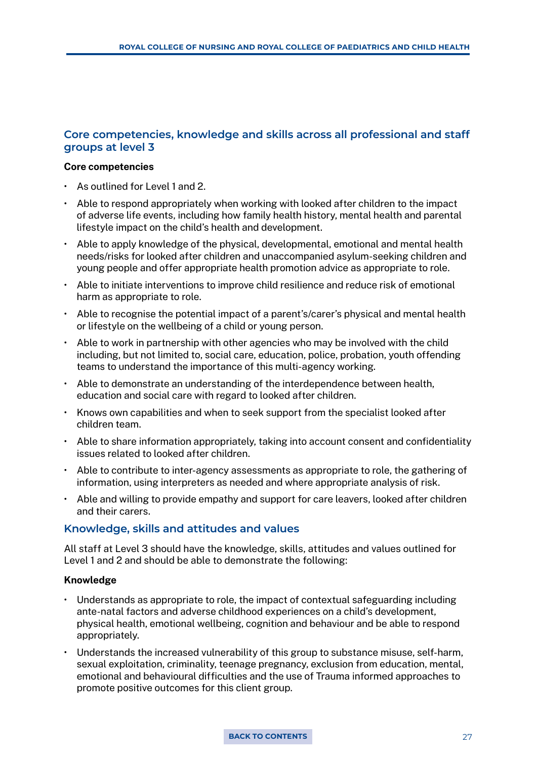### **Core competencies, knowledge and skills across all professional and staff groups at level 3**

### Core competencies

- As outlined for Level 1 and 2.
- Able to respond appropriately when working with looked after children to the impact of adverse life events, including how family health history, mental health and parental lifestyle impact on the child's health and development.
- Able to apply knowledge of the physical, developmental, emotional and mental health needs/risks for looked after children and unaccompanied asylum-seeking children and young people and offer appropriate health promotion advice as appropriate to role.
- Able to initiate interventions to improve child resilience and reduce risk of emotional harm as appropriate to role.
- Able to recognise the potential impact of a parent's/carer's physical and mental health or lifestyle on the wellbeing of a child or young person.
- Able to work in partnership with other agencies who may be involved with the child including, but not limited to, social care, education, police, probation, youth offending teams to understand the importance of this multi-agency working.
- Able to demonstrate an understanding of the interdependence between health, education and social care with regard to looked after children.
- Knows own capabilities and when to seek support from the specialist looked after children team.
- Able to share information appropriately, taking into account consent and confidentiality issues related to looked after children.
- Able to contribute to inter-agency assessments as appropriate to role, the gathering of information, using interpreters as needed and where appropriate analysis of risk.
- Able and willing to provide empathy and support for care leavers, looked after children and their carers.

### **Knowledge, skills and attitudes and values**

All staff at Level 3 should have the knowledge, skills, attitudes and values outlined for Level 1 and 2 and should be able to demonstrate the following:

### Knowledge

- Understands as appropriate to role, the impact of contextual safeguarding including ante-natal factors and adverse childhood experiences on a child's development, physical health, emotional wellbeing, cognition and behaviour and be able to respond appropriately.
- Understands the increased vulnerability of this group to substance misuse, self-harm, sexual exploitation, criminality, teenage pregnancy, exclusion from education, mental, emotional and behavioural difficulties and the use of Trauma informed approaches to promote positive outcomes for this client group.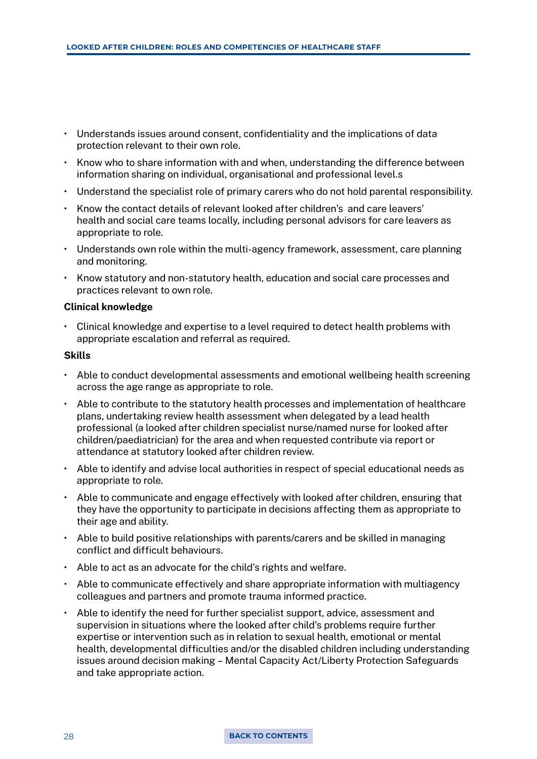- Understands issues around consent, confidentiality and the implications of data protection relevant to their own role.
- Know who to share information with and when, understanding the difference between information sharing on individual, organisational and professional level.s
- Understand the specialist role of primary carers who do not hold parental responsibility.
- Know the contact details of relevant looked after children's and care leavers' health and social care teams locally, including personal advisors for care leavers as appropriate to role.
- Understands own role within the multi-agency framework, assessment, care planning and monitoring.
- Know statutory and non-statutory health, education and social care processes and practices relevant to own role.

### Clinical knowledge

• Clinical knowledge and expertise to a level required to detect health problems with appropriate escalation and referral as required.

### Skills

- Able to conduct developmental assessments and emotional wellbeing health screening across the age range as appropriate to role.
- Able to contribute to the statutory health processes and implementation of healthcare plans, undertaking review health assessment when delegated by a lead health professional (a looked after children specialist nurse/named nurse for looked after children/paediatrician) for the area and when requested contribute via report or attendance at statutory looked after children review.
- Able to identify and advise local authorities in respect of special educational needs as appropriate to role.
- Able to communicate and engage effectively with looked after children, ensuring that they have the opportunity to participate in decisions affecting them as appropriate to their age and ability.
- Able to build positive relationships with parents/carers and be skilled in managing conflict and difficult behaviours.
- Able to act as an advocate for the child's rights and welfare.
- Able to communicate effectively and share appropriate information with multiagency colleagues and partners and promote trauma informed practice.
- Able to identify the need for further specialist support, advice, assessment and supervision in situations where the looked after child's problems require further expertise or intervention such as in relation to sexual health, emotional or mental health, developmental difficulties and/or the disabled children including understanding issues around decision making – Mental Capacity Act/Liberty Protection Safeguards and take appropriate action.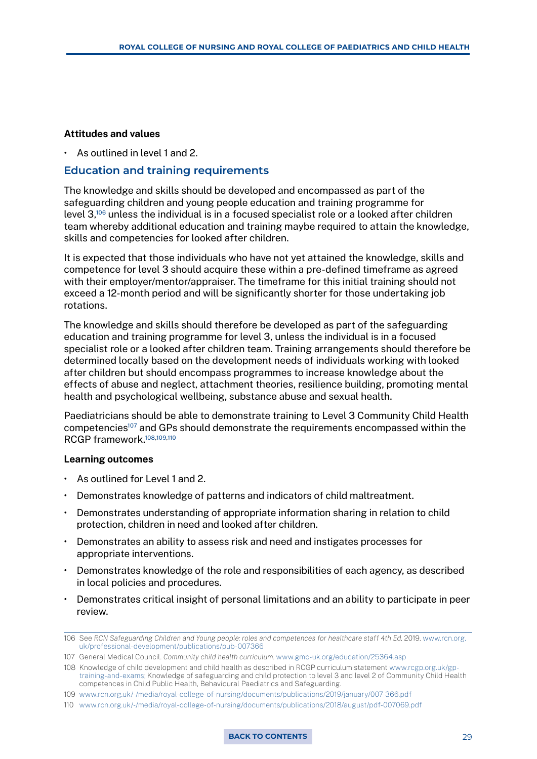### Attitudes and values

• As outlined in level 1 and 2.

### **Education and training requirements**

The knowledge and skills should be developed and encompassed as part of the safeguarding children and young people education and training programme for level  $3^{106}$  unless the individual is in a focused specialist role or a looked after children team whereby additional education and training maybe required to attain the knowledge, skills and competencies for looked after children.

It is expected that those individuals who have not yet attained the knowledge, skills and competence for level 3 should acquire these within a pre-defined timeframe as agreed with their employer/mentor/appraiser. The timeframe for this initial training should not exceed a 12-month period and will be significantly shorter for those undertaking job rotations.

The knowledge and skills should therefore be developed as part of the safeguarding education and training programme for level 3, unless the individual is in a focused specialist role or a looked after children team. Training arrangements should therefore be determined locally based on the development needs of individuals working with looked after children but should encompass programmes to increase knowledge about the effects of abuse and neglect, attachment theories, resilience building, promoting mental health and psychological wellbeing, substance abuse and sexual health.

Paediatricians should be able to demonstrate training to Level 3 Community Child Health competencies107 and GPs should demonstrate the requirements encompassed within the RCGP framework.<sup>108,109,110</sup>

### Learning outcomes

- As outlined for Level 1 and 2.
- Demonstrates knowledge of patterns and indicators of child maltreatment.
- Demonstrates understanding of appropriate information sharing in relation to child protection, children in need and looked after children.
- Demonstrates an ability to assess risk and need and instigates processes for appropriate interventions.
- Demonstrates knowledge of the role and responsibilities of each agency, as described in local policies and procedures.
- Demonstrates critical insight of personal limitations and an ability to participate in peer review.

<sup>110</sup> [www.rcn.org.uk/-/media/royal-college-of-nursing/documents/publications/2018/august/pdf-007069.pdf](http://www.rcn.org.uk/-/media/royal-college-of-nursing/documents/publications/2018/august/pdf-007069.pdf)



<sup>106</sup> See *RCN Safeguarding Children and Young people: roles and competences for healthcare staff 4th Ed*. 2019. [www.rcn.org.](http://www.rcn.org.uk/professional-development/publications/pub-007366) [uk/professional-development/publications/pub-007366](http://www.rcn.org.uk/professional-development/publications/pub-007366)

<sup>107</sup> General Medical Council. *Community child health curriculum*. [www.gmc-uk.org/education/25364.asp](https://www.gmc-uk.org/education/standards-guidance-and-curricula/curricula/community-child-health-curriculum)

<sup>108</sup> Knowledge of child development and child health as described in RCGP curriculum statement [www.rcgp.org.uk/gp](https://www.rcgp.org.uk/gp-training-and-exams)[training-and-exams;](https://www.rcgp.org.uk/gp-training-and-exams) Knowledge of safeguarding and child protection to level 3 and level 2 of Community Child Health competences in Child Public Health, Behavioural Paediatrics and Safeguarding.

<sup>109</sup> [www.rcn.org.uk/-/media/royal-college-of-nursing/documents/publications/2019/january/007-366.pdf](http://www.rcn.org.uk/-/media/royal-college-of-nursing/documents/publications/2019/january/007-366.pdf)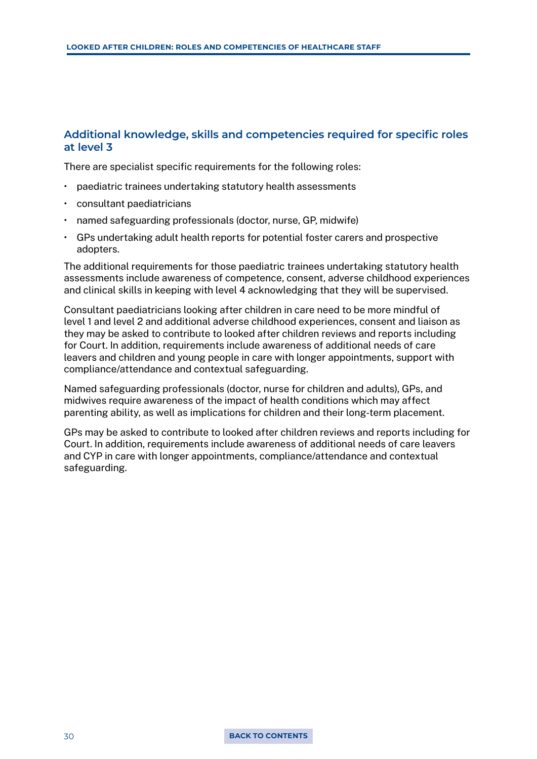### **Additional knowledge, skills and competencies required for specific roles at level 3**

There are specialist specific requirements for the following roles:

- paediatric trainees undertaking statutory health assessments
- consultant paediatricians
- named safeguarding professionals (doctor, nurse, GP, midwife)
- GPs undertaking adult health reports for potential foster carers and prospective adopters.

The additional requirements for those paediatric trainees undertaking statutory health assessments include awareness of competence, consent, adverse childhood experiences and clinical skills in keeping with level 4 acknowledging that they will be supervised.

Consultant paediatricians looking after children in care need to be more mindful of level 1 and level 2 and additional adverse childhood experiences, consent and liaison as they may be asked to contribute to looked after children reviews and reports including for Court. In addition, requirements include awareness of additional needs of care leavers and children and young people in care with longer appointments, support with compliance/attendance and contextual safeguarding.

Named safeguarding professionals (doctor, nurse for children and adults), GPs, and midwives require awareness of the impact of health conditions which may affect parenting ability, as well as implications for children and their long-term placement.

GPs may be asked to contribute to looked after children reviews and reports including for Court. In addition, requirements include awareness of additional needs of care leavers and CYP in care with longer appointments, compliance/attendance and contextual safeguarding.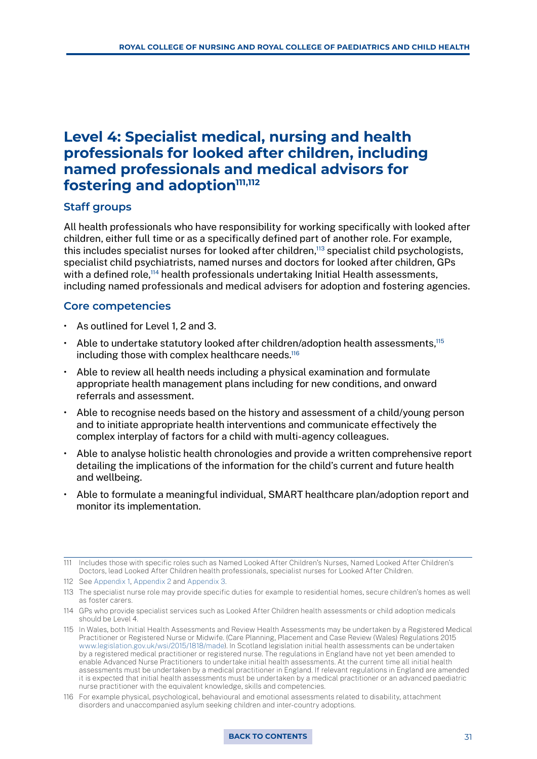### <span id="page-30-0"></span>**Level 4: Specialist medical, nursing and health professionals for looked after children, including named professionals and medical advisors for fostering and adoption<sup>111,112</sup>**

### **Staff groups**

All health professionals who have responsibility for working specifically with looked after children, either full time or as a specifically defined part of another role. For example, this includes specialist nurses for looked after children,<sup>113</sup> specialist child psychologists, specialist child psychiatrists, named nurses and doctors for looked after children, GPs with a defined role,<sup>114</sup> health professionals undertaking Initial Health assessments, including named professionals and medical advisers for adoption and fostering agencies.

### **Core competencies**

- As outlined for Level 1, 2 and 3.
- Able to undertake statutory looked after children/adoption health assessments,115 including those with complex healthcare needs.<sup>116</sup>
- Able to review all health needs including a physical examination and formulate appropriate health management plans including for new conditions, and onward referrals and assessment.
- Able to recognise needs based on the history and assessment of a child/young person and to initiate appropriate health interventions and communicate effectively the complex interplay of factors for a child with multi-agency colleagues.
- Able to analyse holistic health chronologies and provide a written comprehensive report detailing the implications of the information for the child's current and future health and wellbeing.
- Able to formulate a meaningful individual, SMART healthcare plan/adoption report and monitor its implementation.

<sup>116</sup> For example physical, psychological, behavioural and emotional assessments related to disability, attachment disorders and unaccompanied asylum seeking children and inter-country adoptions.



<sup>111</sup> Includes those with specific roles such as Named Looked After Children's Nurses, Named Looked After Children's Doctors, lead Looked After Children health professionals, specialist nurses for Looked After Children.

<sup>112</sup> See [Appendix 1](#page-54-0), [Appendix 2](#page-58-0) and [Appendix 3.](#page-62-0)

<sup>113</sup> The specialist nurse role may provide specific duties for example to residential homes, secure children's homes as well as foster carers.

<sup>114</sup> GPs who provide specialist services such as Looked After Children health assessments or child adoption medicals should be Level 4.

<sup>115</sup> In Wales, both Initial Health Assessments and Review Health Assessments may be undertaken by a Registered Medical Practitioner or Registered Nurse or Midwife. (Care Planning, Placement and Case Review (Wales) Regulations 2015 [www.legislation.gov.uk/wsi/2015/1818/made\)](https://www.legislation.gov.uk/wsi/2015/1818/made). In Scotland legislation initial health assessments can be undertaken by a registered medical practitioner or registered nurse. The regulations in England have not yet been amended to enable Advanced Nurse Practitioners to undertake initial health assessments. At the current time all initial health assessments must be undertaken by a medical practitioner in England. If relevant regulations in England are amended it is expected that initial health assessments must be undertaken by a medical practitioner or an advanced paediatric nurse practitioner with the equivalent knowledge, skills and competencies.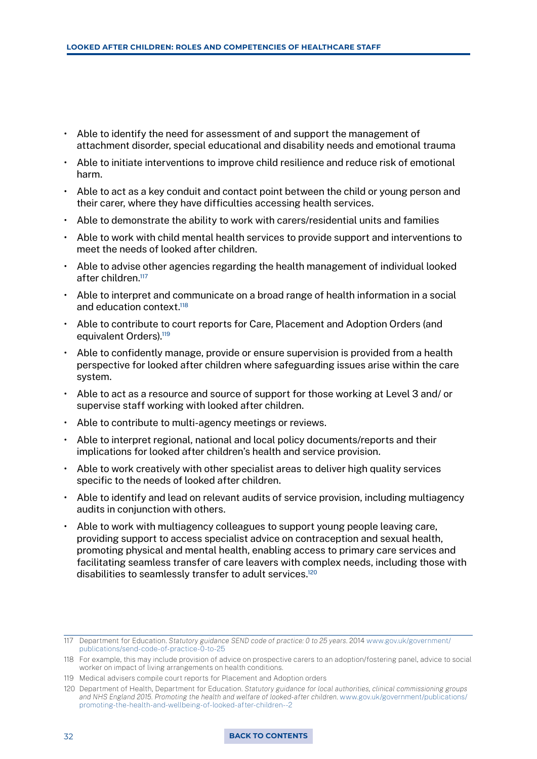- Able to identify the need for assessment of and support the management of attachment disorder, special educational and disability needs and emotional trauma
- Able to initiate interventions to improve child resilience and reduce risk of emotional harm.
- Able to act as a key conduit and contact point between the child or young person and their carer, where they have difficulties accessing health services.
- Able to demonstrate the ability to work with carers/residential units and families
- Able to work with child mental health services to provide support and interventions to meet the needs of looked after children.
- Able to advise other agencies regarding the health management of individual looked after children.<sup>117</sup>
- Able to interpret and communicate on a broad range of health information in a social and education context.<sup>118</sup>
- Able to contribute to court reports for Care, Placement and Adoption Orders (and equivalent Orders).<sup>119</sup>
- Able to confidently manage, provide or ensure supervision is provided from a health perspective for looked after children where safeguarding issues arise within the care system.
- Able to act as a resource and source of support for those working at Level 3 and/ or supervise staff working with looked after children.
- Able to contribute to multi-agency meetings or reviews.
- Able to interpret regional, national and local policy documents/reports and their implications for looked after children's health and service provision.
- Able to work creatively with other specialist areas to deliver high quality services specific to the needs of looked after children.
- Able to identify and lead on relevant audits of service provision, including multiagency audits in conjunction with others.
- Able to work with multiagency colleagues to support young people leaving care, providing support to access specialist advice on contraception and sexual health, promoting physical and mental health, enabling access to primary care services and facilitating seamless transfer of care leavers with complex needs, including those with disabilities to seamlessly transfer to adult services.<sup>120</sup>

<sup>117</sup> Department for Education. *Statutory guidance SEND code of practice: 0 to 25 years*. 2014 [www.gov.uk/government/](https://www.gov.uk/government/publications/send-code-of-practice-0-to-25) [publications/send-code-of-practice-0-to-25](https://www.gov.uk/government/publications/send-code-of-practice-0-to-25)

<sup>118</sup> For example, this may include provision of advice on prospective carers to an adoption/fostering panel, advice to social worker on impact of living arrangements on health conditions.

<sup>119</sup> Medical advisers compile court reports for Placement and Adoption orders

<sup>120</sup> Department of Health, Department for Education. *Statutory guidance for local authorities, clinical commissioning groups*  and NHS England 2015. Promoting the health and welfare of looked-after children. [www.gov.uk/government/publications/](https://www.gov.uk/government/publications/promoting-the-health-and-wellbeing-of-looked-after-children--2) [promoting-the-health-and-wellbeing-of-looked-after-children--2](https://www.gov.uk/government/publications/promoting-the-health-and-wellbeing-of-looked-after-children--2)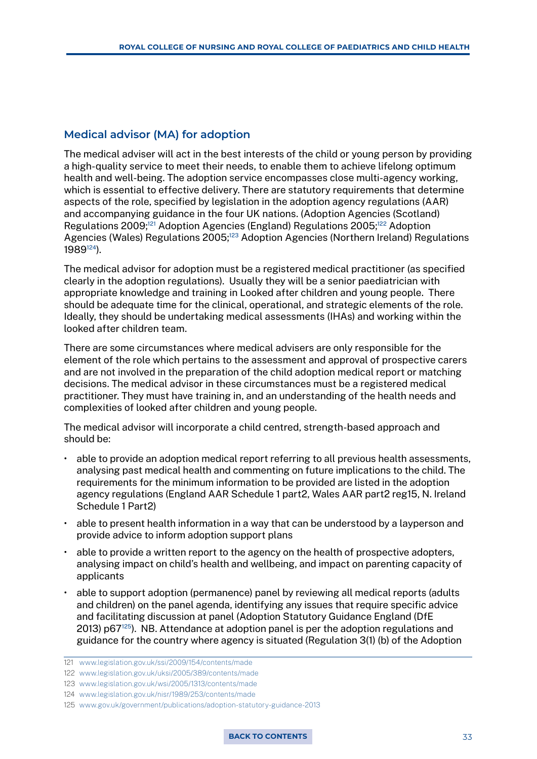### **Medical advisor (MA) for adoption**

The medical adviser will act in the best interests of the child or young person by providing a high-quality service to meet their needs, to enable them to achieve lifelong optimum health and well-being. The adoption service encompasses close multi-agency working, which is essential to effective delivery. There are statutory requirements that determine aspects of the role, specified by legislation in the adoption agency regulations (AAR) and accompanying guidance in the four UK nations. (Adoption Agencies (Scotland) Regulations 2009;121 Adoption Agencies (England) Regulations 2005;122 Adoption Agencies (Wales) Regulations 2005;<sup>123</sup> Adoption Agencies (Northern Ireland) Regulations 1989124).

The medical advisor for adoption must be a registered medical practitioner (as specified clearly in the adoption regulations). Usually they will be a senior paediatrician with appropriate knowledge and training in Looked after children and young people. There should be adequate time for the clinical, operational, and strategic elements of the role. Ideally, they should be undertaking medical assessments (IHAs) and working within the looked after children team.

There are some circumstances where medical advisers are only responsible for the element of the role which pertains to the assessment and approval of prospective carers and are not involved in the preparation of the child adoption medical report or matching decisions. The medical advisor in these circumstances must be a registered medical practitioner. They must have training in, and an understanding of the health needs and complexities of looked after children and young people.

The medical advisor will incorporate a child centred, strength-based approach and should be:

- able to provide an adoption medical report referring to all previous health assessments, analysing past medical health and commenting on future implications to the child. The requirements for the minimum information to be provided are listed in the adoption agency regulations (England AAR Schedule 1 part2, Wales AAR part2 reg15, N. Ireland Schedule 1 Part2)
- able to present health information in a way that can be understood by a layperson and provide advice to inform adoption support plans
- able to provide a written report to the agency on the health of prospective adopters, analysing impact on child's health and wellbeing, and impact on parenting capacity of applicants
- able to support adoption (permanence) panel by reviewing all medical reports (adults and children) on the panel agenda, identifying any issues that require specific advice and facilitating discussion at panel (Adoption Statutory Guidance England (DfE 2013)  $p67^{125}$ . NB. Attendance at adoption panel is per the adoption regulations and guidance for the country where agency is situated (Regulation 3(1) (b) of the Adoption

<sup>125</sup> [www.gov.uk/government/publications/adoption-statutory-guidance-2013](https://www.gov.uk/government/publications/adoption-statutory-guidance-2013)



<sup>121</sup> [www.legislation.gov.uk/ssi/2009/154/contents/made](https://www.legislation.gov.uk/ssi/2009/154/contents/made)

<sup>122</sup> [www.legislation.gov.uk/uksi/2005/389/contents/made](https://www.legislation.gov.uk/uksi/2005/389/contents/made)

<sup>123</sup> [www.legislation.gov.uk/wsi/2005/1313/contents/made](https://www.legislation.gov.uk/wsi/2005/1313/contents/made)

<sup>124</sup> [www.legislation.gov.uk/nisr/1989/253/contents/made](https://www.legislation.gov.uk/nisr/1989/253/contents/made)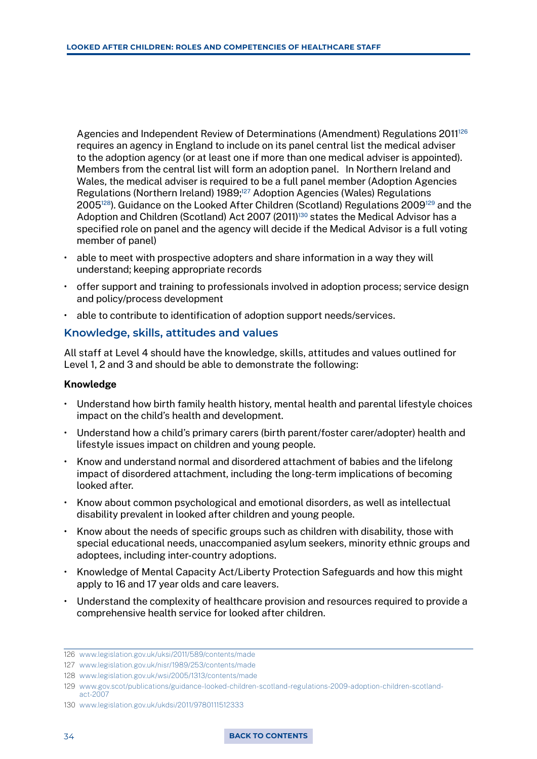Agencies and Independent Review of Determinations (Amendment) Regulations 2011<sup>126</sup> requires an agency in England to include on its panel central list the medical adviser to the adoption agency (or at least one if more than one medical adviser is appointed). Members from the central list will form an adoption panel. In Northern Ireland and Wales, the medical adviser is required to be a full panel member (Adoption Agencies Regulations (Northern Ireland) 1989;<sup>127</sup> Adoption Agencies (Wales) Regulations 2005<sup>128</sup>). Guidance on the Looked After Children (Scotland) Regulations 2009<sup>129</sup> and the Adoption and Children (Scotland) Act 2007 (2011)<sup>130</sup> states the Medical Advisor has a specified role on panel and the agency will decide if the Medical Advisor is a full voting member of panel)

- able to meet with prospective adopters and share information in a way they will understand; keeping appropriate records
- offer support and training to professionals involved in adoption process; service design and policy/process development
- able to contribute to identification of adoption support needs/services.

### **Knowledge, skills, attitudes and values**

All staff at Level 4 should have the knowledge, skills, attitudes and values outlined for Level 1, 2 and 3 and should be able to demonstrate the following:

### Knowledge

- Understand how birth family health history, mental health and parental lifestyle choices impact on the child's health and development.
- Understand how a child's primary carers (birth parent/foster carer/adopter) health and lifestyle issues impact on children and young people.
- Know and understand normal and disordered attachment of babies and the lifelong impact of disordered attachment, including the long-term implications of becoming looked after.
- Know about common psychological and emotional disorders, as well as intellectual disability prevalent in looked after children and young people.
- Know about the needs of specific groups such as children with disability, those with special educational needs, unaccompanied asylum seekers, minority ethnic groups and adoptees, including inter-country adoptions.
- Knowledge of Mental Capacity Act/Liberty Protection Safeguards and how this might apply to 16 and 17 year olds and care leavers.
- Understand the complexity of healthcare provision and resources required to provide a comprehensive health service for looked after children.

<sup>126</sup> [www.legislation.gov.uk/uksi/2011/589/contents/made](https://www.legislation.gov.uk/uksi/2011/589/contents/made)

<sup>127</sup> [www.legislation.gov.uk/nisr/1989/253/contents/made](https://www.legislation.gov.uk/nisr/1989/253/contents/made)

<sup>128</sup> [www.legislation.gov.uk/wsi/2005/1313/contents/made](https://www.legislation.gov.uk/wsi/2005/1313/contents/made)

<sup>129</sup> [www.gov.scot/publications/guidance-looked-children-scotland-regulations-2009-adoption-children-scotland](https://www.gov.scot/publications/guidance-looked-children-scotland-regulations-2009-adoption-children-scotland-act-2007/)[act-2007](https://www.gov.scot/publications/guidance-looked-children-scotland-regulations-2009-adoption-children-scotland-act-2007/)

<sup>130</sup> [www.legislation.gov.uk/ukdsi/2011/9780111512333](https://www.legislation.gov.uk/ukdsi/2011/9780111512333)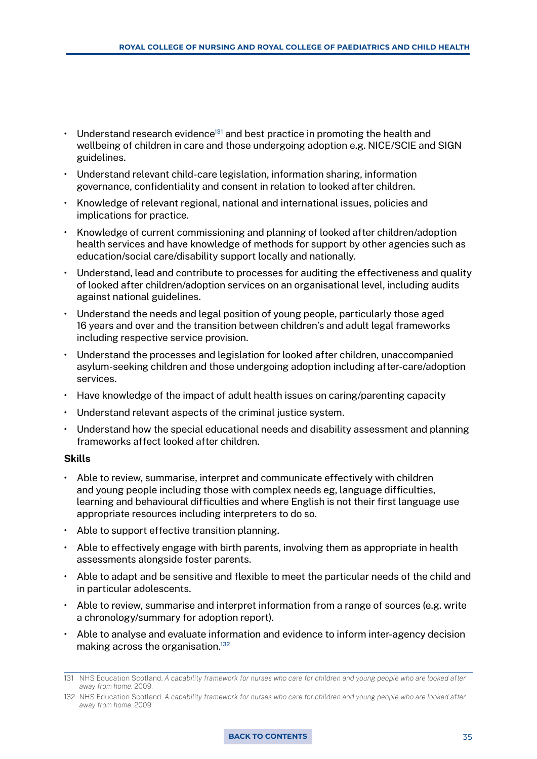- $\cdot$  Understand research evidence<sup>131</sup> and best practice in promoting the health and wellbeing of children in care and those undergoing adoption e.g. NICE/SCIE and SIGN guidelines.
- Understand relevant child-care legislation, information sharing, information governance, confidentiality and consent in relation to looked after children.
- Knowledge of relevant regional, national and international issues, policies and implications for practice.
- Knowledge of current commissioning and planning of looked after children/adoption health services and have knowledge of methods for support by other agencies such as education/social care/disability support locally and nationally.
- Understand, lead and contribute to processes for auditing the effectiveness and quality of looked after children/adoption services on an organisational level, including audits against national guidelines.
- Understand the needs and legal position of young people, particularly those aged 16 years and over and the transition between children's and adult legal frameworks including respective service provision.
- Understand the processes and legislation for looked after children, unaccompanied asylum-seeking children and those undergoing adoption including after-care/adoption services.
- Have knowledge of the impact of adult health issues on caring/parenting capacity
- Understand relevant aspects of the criminal justice system.
- Understand how the special educational needs and disability assessment and planning frameworks affect looked after children.

### Skills

- Able to review, summarise, interpret and communicate effectively with children and young people including those with complex needs eg, language difficulties, learning and behavioural difficulties and where English is not their first language use appropriate resources including interpreters to do so.
- Able to support effective transition planning.
- Able to effectively engage with birth parents, involving them as appropriate in health assessments alongside foster parents.
- Able to adapt and be sensitive and flexible to meet the particular needs of the child and in particular adolescents.
- Able to review, summarise and interpret information from a range of sources (e.g. write a chronology/summary for adoption report).
- Able to analyse and evaluate information and evidence to inform inter-agency decision making across the organisation.<sup>132</sup>

<sup>131</sup> NHS Education Scotland. *A capability framework for nurses who care for children and young people who are looked after away from home*. 2009.

<sup>132</sup> NHS Education Scotland. *A capability framework for nurses who care for children and young people who are looked after away from home*. 2009.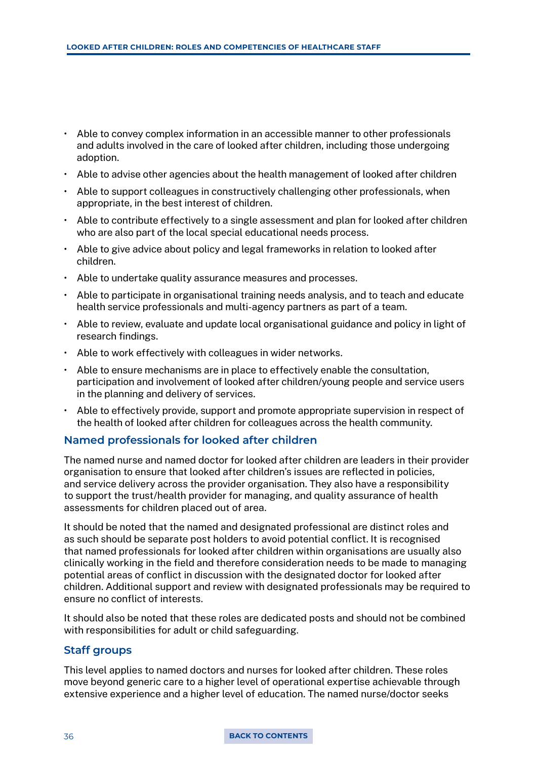- Able to convey complex information in an accessible manner to other professionals and adults involved in the care of looked after children, including those undergoing adoption.
- Able to advise other agencies about the health management of looked after children
- Able to support colleagues in constructively challenging other professionals, when appropriate, in the best interest of children.
- Able to contribute effectively to a single assessment and plan for looked after children who are also part of the local special educational needs process.
- Able to give advice about policy and legal frameworks in relation to looked after children.
- Able to undertake quality assurance measures and processes.
- Able to participate in organisational training needs analysis, and to teach and educate health service professionals and multi-agency partners as part of a team.
- Able to review, evaluate and update local organisational guidance and policy in light of research findings.
- Able to work effectively with colleagues in wider networks.
- Able to ensure mechanisms are in place to effectively enable the consultation, participation and involvement of looked after children/young people and service users in the planning and delivery of services.
- Able to effectively provide, support and promote appropriate supervision in respect of the health of looked after children for colleagues across the health community.

### **Named professionals for looked after children**

The named nurse and named doctor for looked after children are leaders in their provider organisation to ensure that looked after children's issues are reflected in policies, and service delivery across the provider organisation. They also have a responsibility to support the trust/health provider for managing, and quality assurance of health assessments for children placed out of area.

It should be noted that the named and designated professional are distinct roles and as such should be separate post holders to avoid potential conflict. It is recognised that named professionals for looked after children within organisations are usually also clinically working in the field and therefore consideration needs to be made to managing potential areas of conflict in discussion with the designated doctor for looked after children. Additional support and review with designated professionals may be required to ensure no conflict of interests.

It should also be noted that these roles are dedicated posts and should not be combined with responsibilities for adult or child safeguarding.

### **Staff groups**

This level applies to named doctors and nurses for looked after children. These roles move beyond generic care to a higher level of operational expertise achievable through extensive experience and a higher level of education. The named nurse/doctor seeks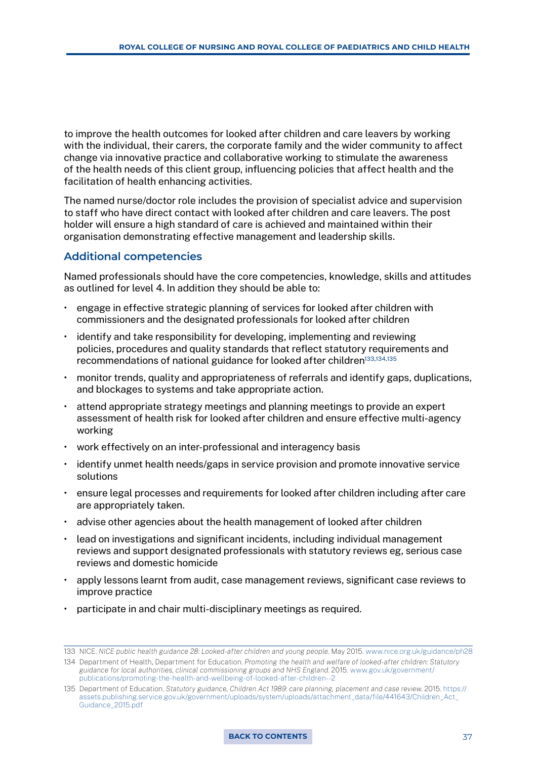to improve the health outcomes for looked after children and care leavers by working with the individual, their carers, the corporate family and the wider community to affect change via innovative practice and collaborative working to stimulate the awareness of the health needs of this client group, influencing policies that affect health and the facilitation of health enhancing activities.

The named nurse/doctor role includes the provision of specialist advice and supervision to staff who have direct contact with looked after children and care leavers. The post holder will ensure a high standard of care is achieved and maintained within their organisation demonstrating effective management and leadership skills.

# **Additional competencies**

Named professionals should have the core competencies, knowledge, skills and attitudes as outlined for level 4. In addition they should be able to:

- engage in effective strategic planning of services for looked after children with commissioners and the designated professionals for looked after children
- identify and take responsibility for developing, implementing and reviewing policies, procedures and quality standards that reflect statutory requirements and recommendations of national guidance for looked after children<sup>133,134,135</sup>
- monitor trends, quality and appropriateness of referrals and identify gaps, duplications, and blockages to systems and take appropriate action.
- attend appropriate strategy meetings and planning meetings to provide an expert assessment of health risk for looked after children and ensure effective multi-agency working
- work effectively on an inter-professional and interagency basis
- identify unmet health needs/gaps in service provision and promote innovative service solutions
- ensure legal processes and requirements for looked after children including after care are appropriately taken.
- advise other agencies about the health management of looked after children
- lead on investigations and significant incidents, including individual management reviews and support designated professionals with statutory reviews eg, serious case reviews and domestic homicide
- apply lessons learnt from audit, case management reviews, significant case reviews to improve practice
- participate in and chair multi-disciplinary meetings as required.

<sup>135</sup> Department of Education. *Statutory guidance, Children Act 1989: care planning, placement and case review*. 2015. [https://](https://assets.publishing.service.gov.uk/government/uploads/system/uploads/attachment_data/file/441643/Children_Act_Guidance_2015.pdf) [assets.publishing.service.gov.uk/government/uploads/system/uploads/attachment\\_data/file/441643/Children\\_Act\\_](https://assets.publishing.service.gov.uk/government/uploads/system/uploads/attachment_data/file/441643/Children_Act_Guidance_2015.pdf) [Guidance\\_2015.pdf](https://assets.publishing.service.gov.uk/government/uploads/system/uploads/attachment_data/file/441643/Children_Act_Guidance_2015.pdf)



<sup>133</sup> NICE. NICE public health guidance 28: Looked-after children and young people. May 2015. [www.nice.org.uk/guidance/ph28](https://www.nice.org.uk/guidance/ph28)

<sup>134</sup> Department of Health, Department for Education. *Promoting the health and welfare of looked-after children: Statutory guidance for local authorities, clinical commissioning groups and NHS England*. 2015. [www.gov.uk/government/](https://www.gov.uk/government/publications/promoting-the-health-and-wellbeing-of-looked-after-children--2) [publications/promoting-the-health-and-wellbeing-of-looked-after-children--2](https://www.gov.uk/government/publications/promoting-the-health-and-wellbeing-of-looked-after-children--2)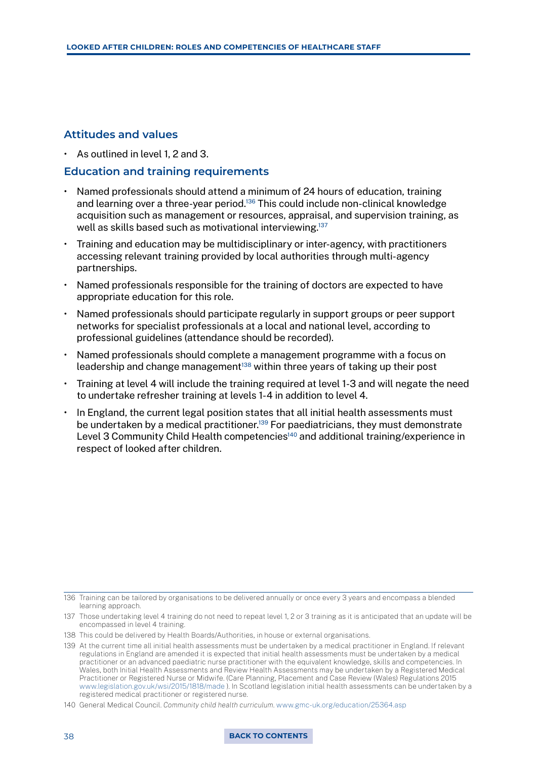# **Attitudes and values**

• As outlined in level 1, 2 and 3.

# **Education and training requirements**

- Named professionals should attend a minimum of 24 hours of education, training and learning over a three-year period.<sup>136</sup> This could include non-clinical knowledge acquisition such as management or resources, appraisal, and supervision training, as well as skills based such as motivational interviewing.<sup>137</sup>
- Training and education may be multidisciplinary or inter-agency, with practitioners accessing relevant training provided by local authorities through multi-agency partnerships.
- Named professionals responsible for the training of doctors are expected to have appropriate education for this role.
- Named professionals should participate regularly in support groups or peer support networks for specialist professionals at a local and national level, according to professional guidelines (attendance should be recorded).
- Named professionals should complete a management programme with a focus on leadership and change management<sup>138</sup> within three years of taking up their post
- Training at level 4 will include the training required at level 1-3 and will negate the need to undertake refresher training at levels 1-4 in addition to level 4.
- In England, the current legal position states that all initial health assessments must be undertaken by a medical practitioner.<sup>139</sup> For paediatricians, they must demonstrate Level 3 Community Child Health competencies<sup>140</sup> and additional training/experience in respect of looked after children.

<sup>136</sup> Training can be tailored by organisations to be delivered annually or once every 3 years and encompass a blended learning approach.

<sup>137</sup> Those undertaking level 4 training do not need to repeat level 1, 2 or 3 training as it is anticipated that an update will be encompassed in level 4 training.

<sup>138</sup> This could be delivered by Health Boards/Authorities, in house or external organisations.

<sup>139</sup> At the current time all initial health assessments must be undertaken by a medical practitioner in England. If relevant regulations in England are amended it is expected that initial health assessments must be undertaken by a medical practitioner or an advanced paediatric nurse practitioner with the equivalent knowledge, skills and competencies. In Wales, both Initial Health Assessments and Review Health Assessments may be undertaken by a Registered Medical Practitioner or Registered Nurse or Midwife. (Care Planning, Placement and Case Review (Wales) Regulations 2015 [www.legislation.gov.uk/wsi/2015/1818/made](https://www.legislation.gov.uk/wsi/2015/1818/made) ). In Scotland legislation initial health assessments can be undertaken by a registered medical practitioner or registered nurse.

<sup>140</sup> General Medical Council. *Community child health curriculum*. [www.gmc-uk.org/education/25364.asp](https://www.gmc-uk.org/education/standards-guidance-and-curricula/curricula/community-child-health-curriculum)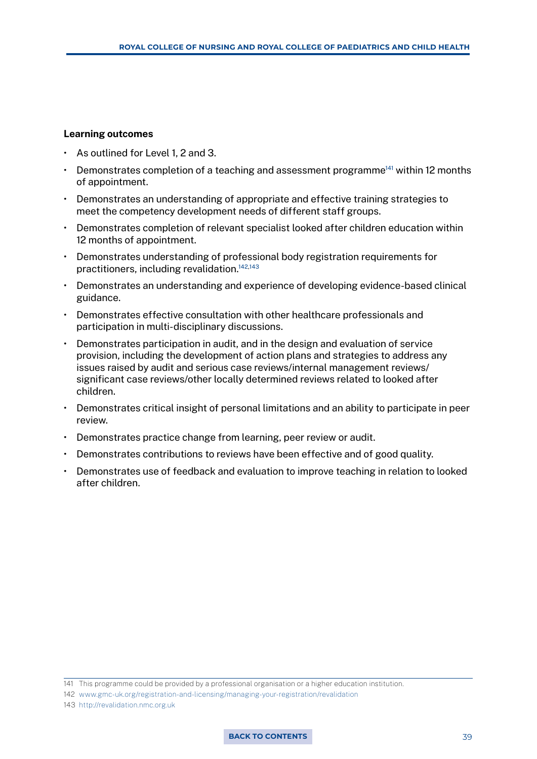#### Learning outcomes

- As outlined for Level 1, 2 and 3.
- Demonstrates completion of a teaching and assessment programme<sup>141</sup> within 12 months of appointment.
- Demonstrates an understanding of appropriate and effective training strategies to meet the competency development needs of different staff groups.
- Demonstrates completion of relevant specialist looked after children education within 12 months of appointment.
- Demonstrates understanding of professional body registration requirements for practitioners, including revalidation.142,143
- Demonstrates an understanding and experience of developing evidence-based clinical guidance.
- Demonstrates effective consultation with other healthcare professionals and participation in multi-disciplinary discussions.
- Demonstrates participation in audit, and in the design and evaluation of service provision, including the development of action plans and strategies to address any issues raised by audit and serious case reviews/internal management reviews/ significant case reviews/other locally determined reviews related to looked after children.
- Demonstrates critical insight of personal limitations and an ability to participate in peer review.
- Demonstrates practice change from learning, peer review or audit.
- Demonstrates contributions to reviews have been effective and of good quality.
- Demonstrates use of feedback and evaluation to improve teaching in relation to looked after children.



<sup>141</sup> This programme could be provided by a professional organisation or a higher education institution.

<sup>142</sup> [www.gmc-uk.org/registration-and-licensing/managing-your-registration/revalidation](https://www.gmc-uk.org/registration-and-licensing/managing-your-registration/revalidation)

<sup>143</sup> <http://revalidation.nmc.org.uk>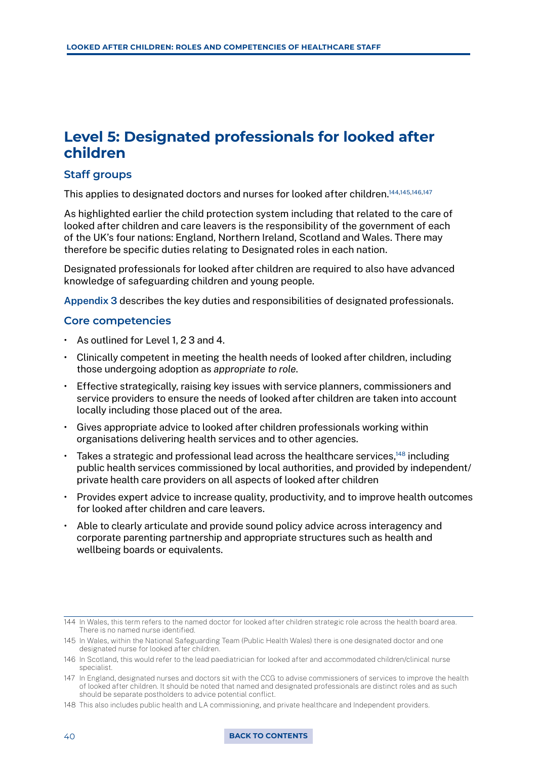# **Level 5: Designated professionals for looked after children**

# **Staff groups**

This applies to designated doctors and nurses for looked after children.<sup>144,145,146,147</sup>

As highlighted earlier the child protection system including that related to the care of looked after children and care leavers is the responsibility of the government of each of the UK's four nations: England, Northern Ireland, Scotland and Wales. There may therefore be specific duties relating to Designated roles in each nation.

Designated professionals for looked after children are required to also have advanced knowledge of safeguarding children and young people.

[Appendix 3](#page-62-0) describes the key duties and responsibilities of designated professionals.

#### **Core competencies**

- As outlined for Level 1, 2 3 and 4.
- Clinically competent in meeting the health needs of looked after children, including those undergoing adoption as *appropriate to role*.
- Effective strategically, raising key issues with service planners, commissioners and service providers to ensure the needs of looked after children are taken into account locally including those placed out of the area.
- Gives appropriate advice to looked after children professionals working within organisations delivering health services and to other agencies.
- $\cdot$  Takes a strategic and professional lead across the healthcare services,<sup>148</sup> including public health services commissioned by local authorities, and provided by independent/ private health care providers on all aspects of looked after children
- Provides expert advice to increase quality, productivity, and to improve health outcomes for looked after children and care leavers.
- Able to clearly articulate and provide sound policy advice across interagency and corporate parenting partnership and appropriate structures such as health and wellbeing boards or equivalents.

<sup>144</sup> In Wales, this term refers to the named doctor for looked after children strategic role across the health board area. There is no named nurse identified.

<sup>145</sup> In Wales, within the National Safeguarding Team (Public Health Wales) there is one designated doctor and one designated nurse for looked after children.

<sup>146</sup> In Scotland, this would refer to the lead paediatrician for looked after and accommodated children/clinical nurse specialist.

<sup>147</sup> In England, designated nurses and doctors sit with the CCG to advise commissioners of services to improve the health of looked after children. It should be noted that named and designated professionals are distinct roles and as such should be separate postholders to advice potential conflict.

<sup>148</sup> This also includes public health and LA commissioning, and private healthcare and Independent providers.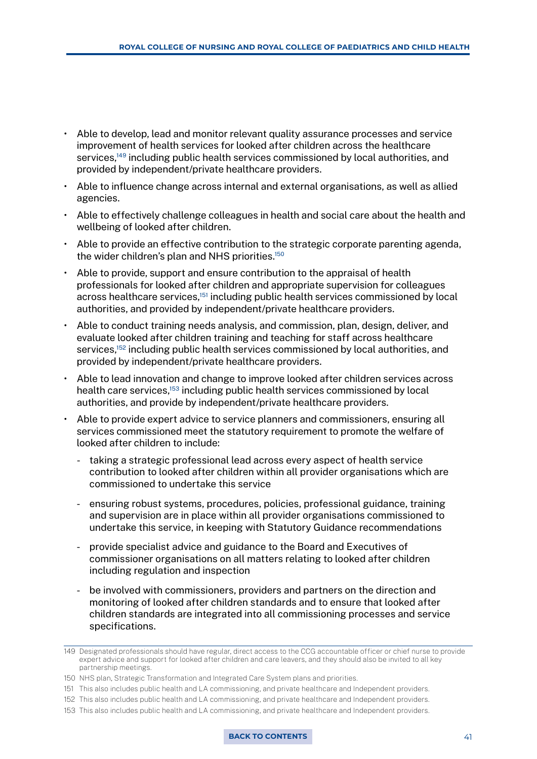- Able to develop, lead and monitor relevant quality assurance processes and service improvement of health services for looked after children across the healthcare services,<sup>149</sup> including public health services commissioned by local authorities, and provided by independent/private healthcare providers.
- Able to influence change across internal and external organisations, as well as allied agencies.
- Able to effectively challenge colleagues in health and social care about the health and wellbeing of looked after children.
- Able to provide an effective contribution to the strategic corporate parenting agenda, the wider children's plan and NHS priorities.<sup>150</sup>
- Able to provide, support and ensure contribution to the appraisal of health professionals for looked after children and appropriate supervision for colleagues across healthcare services,151 including public health services commissioned by local authorities, and provided by independent/private healthcare providers.
- Able to conduct training needs analysis, and commission, plan, design, deliver, and evaluate looked after children training and teaching for staff across healthcare services,<sup>152</sup> including public health services commissioned by local authorities, and provided by independent/private healthcare providers.
- Able to lead innovation and change to improve looked after children services across health care services,<sup>153</sup> including public health services commissioned by local authorities, and provide by independent/private healthcare providers.
- Able to provide expert advice to service planners and commissioners, ensuring all services commissioned meet the statutory requirement to promote the welfare of looked after children to include:
	- taking a strategic professional lead across every aspect of health service contribution to looked after children within all provider organisations which are commissioned to undertake this service
	- ensuring robust systems, procedures, policies, professional guidance, training and supervision are in place within all provider organisations commissioned to undertake this service, in keeping with Statutory Guidance recommendations
	- provide specialist advice and guidance to the Board and Executives of commissioner organisations on all matters relating to looked after children including regulation and inspection
	- be involved with commissioners, providers and partners on the direction and monitoring of looked after children standards and to ensure that looked after children standards are integrated into all commissioning processes and service specifications.

<sup>149</sup> Designated professionals should have regular, direct access to the CCG accountable officer or chief nurse to provide expert advice and support for looked after children and care leavers, and they should also be invited to all key partnership meetings.

<sup>150</sup> NHS plan, Strategic Transformation and Integrated Care System plans and priorities.

<sup>151</sup> This also includes public health and LA commissioning, and private healthcare and Independent providers.

<sup>152</sup> This also includes public health and LA commissioning, and private healthcare and Independent providers.

<sup>153</sup> This also includes public health and LA commissioning, and private healthcare and Independent providers.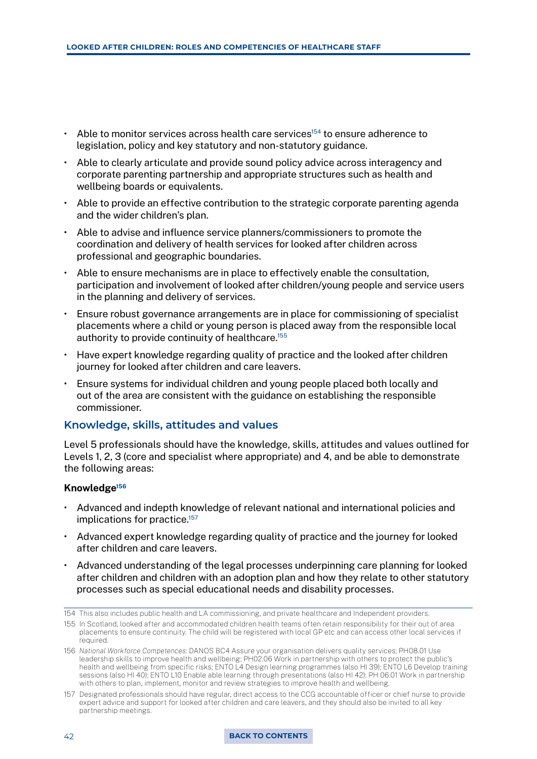- Able to monitor services across health care services<sup>154</sup> to ensure adherence to legislation, policy and key statutory and non-statutory guidance.
- Able to clearly articulate and provide sound policy advice across interagency and corporate parenting partnership and appropriate structures such as health and wellbeing boards or equivalents.
- Able to provide an effective contribution to the strategic corporate parenting agenda and the wider children's plan.
- Able to advise and influence service planners/commissioners to promote the coordination and delivery of health services for looked after children across professional and geographic boundaries.
- Able to ensure mechanisms are in place to effectively enable the consultation, participation and involvement of looked after children/young people and service users in the planning and delivery of services.
- Ensure robust governance arrangements are in place for commissioning of specialist placements where a child or young person is placed away from the responsible local authority to provide continuity of healthcare.155
- Have expert knowledge regarding quality of practice and the looked after children journey for looked after children and care leavers.
- Ensure systems for individual children and young people placed both locally and out of the area are consistent with the guidance on establishing the responsible commissioner.

# **Knowledge, skills, attitudes and values**

Level 5 professionals should have the knowledge, skills, attitudes and values outlined for Levels 1, 2, 3 (core and specialist where appropriate) and 4, and be able to demonstrate the following areas:

# Knowledge156

- Advanced and indepth knowledge of relevant national and international policies and implications for practice.<sup>157</sup>
- Advanced expert knowledge regarding quality of practice and the journey for looked after children and care leavers.
- Advanced understanding of the legal processes underpinning care planning for looked after children and children with an adoption plan and how they relate to other statutory processes such as special educational needs and disability processes.

<sup>154</sup> This also includes public health and LA commissioning, and private healthcare and Independent providers.

<sup>155</sup> In Scotland, looked after and accommodated children health teams often retain responsibility for their out of area placements to ensure continuity. The child will be registered with local GP etc and can access other local services if required.

<sup>156</sup> *National Workforce Competences*: DANOS BC4 Assure your organisation delivers quality services; PH08.01 Use leadership skills to improve health and wellbeing; PH02.06 Work in partnership with others to protect the public's health and wellbeing from specific risks; ENTO L4 Design learning programmes (also HI 39); ENTO L6 Develop training sessions (also HI 40); ENTO L10 Enable able learning through presentations (also HI 42); PH 06.01 Work in partnership with others to plan, implement, monitor and review strategies to improve health and wellbeing.

<sup>157</sup> Designated professionals should have regular, direct access to the CCG accountable officer or chief nurse to provide expert advice and support for looked after children and care leavers, and they should also be invited to all key partnership meetings.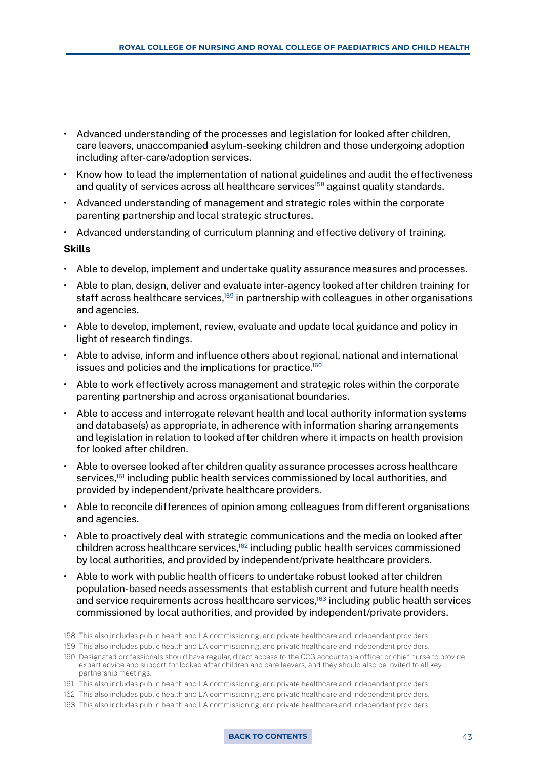- Advanced understanding of the processes and legislation for looked after children, care leavers, unaccompanied asylum-seeking children and those undergoing adoption including after-care/adoption services.
- Know how to lead the implementation of national guidelines and audit the effectiveness and quality of services across all healthcare services<sup>158</sup> against quality standards.
- Advanced understanding of management and strategic roles within the corporate parenting partnership and local strategic structures.
- Advanced understanding of curriculum planning and effective delivery of training.

#### Skills

- Able to develop, implement and undertake quality assurance measures and processes.
- Able to plan, design, deliver and evaluate inter-agency looked after children training for staff across healthcare services,<sup>159</sup> in partnership with colleagues in other organisations and agencies.
- Able to develop, implement, review, evaluate and update local guidance and policy in light of research findings.
- Able to advise, inform and influence others about regional, national and international issues and policies and the implications for practice.<sup>160</sup>
- Able to work effectively across management and strategic roles within the corporate parenting partnership and across organisational boundaries.
- Able to access and interrogate relevant health and local authority information systems and database(s) as appropriate, in adherence with information sharing arrangements and legislation in relation to looked after children where it impacts on health provision for looked after children.
- Able to oversee looked after children quality assurance processes across healthcare services,<sup>161</sup> including public health services commissioned by local authorities, and provided by independent/private healthcare providers.
- Able to reconcile differences of opinion among colleagues from different organisations and agencies.
- Able to proactively deal with strategic communications and the media on looked after children across healthcare services,<sup>162</sup> including public health services commissioned by local authorities, and provided by independent/private healthcare providers.
- Able to work with public health officers to undertake robust looked after children population-based needs assessments that establish current and future health needs and service requirements across healthcare services,<sup>163</sup> including public health services commissioned by local authorities, and provided by independent/private providers.

<sup>158</sup> This also includes public health and LA commissioning, and private healthcare and Independent providers.

<sup>159</sup> This also includes public health and LA commissioning, and private healthcare and Independent providers.

<sup>160</sup> Designated professionals should have regular, direct access to the CCG accountable officer or chief nurse to provide expert advice and support for looked after children and care leavers, and they should also be invited to all key partnership meetings.

<sup>161</sup> This also includes public health and LA commissioning, and private healthcare and Independent providers.

<sup>162</sup> This also includes public health and LA commissioning, and private healthcare and Independent providers.

<sup>163</sup> This also includes public health and LA commissioning, and private healthcare and Independent providers.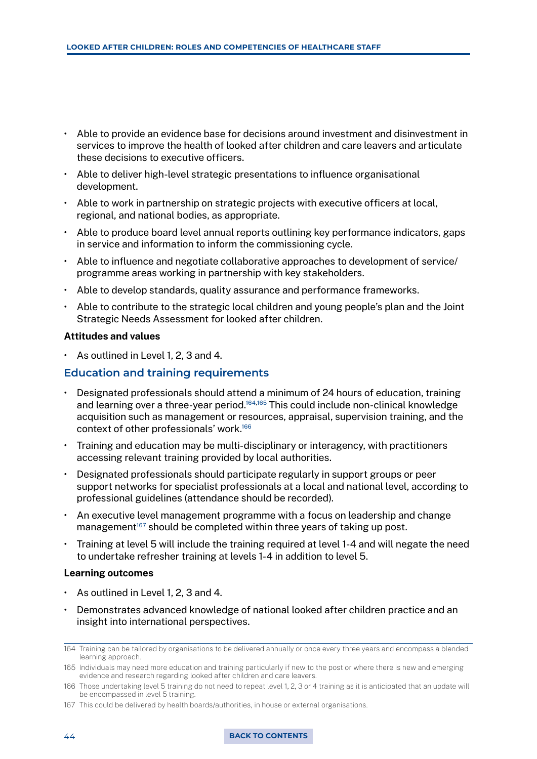- Able to provide an evidence base for decisions around investment and disinvestment in services to improve the health of looked after children and care leavers and articulate these decisions to executive officers.
- Able to deliver high-level strategic presentations to influence organisational development.
- Able to work in partnership on strategic projects with executive officers at local, regional, and national bodies, as appropriate.
- Able to produce board level annual reports outlining key performance indicators, gaps in service and information to inform the commissioning cycle.
- Able to influence and negotiate collaborative approaches to development of service/ programme areas working in partnership with key stakeholders.
- Able to develop standards, quality assurance and performance frameworks.
- Able to contribute to the strategic local children and young people's plan and the Joint Strategic Needs Assessment for looked after children.

#### Attitudes and values

• As outlined in Level 1, 2, 3 and 4.

# **Education and training requirements**

- Designated professionals should attend a minimum of 24 hours of education, training and learning over a three-year period.<sup>164,165</sup> This could include non-clinical knowledge acquisition such as management or resources, appraisal, supervision training, and the context of other professionals' work.166
- Training and education may be multi-disciplinary or interagency, with practitioners accessing relevant training provided by local authorities.
- Designated professionals should participate regularly in support groups or peer support networks for specialist professionals at a local and national level, according to professional guidelines (attendance should be recorded).
- An executive level management programme with a focus on leadership and change management<sup>167</sup> should be completed within three years of taking up post.
- Training at level 5 will include the training required at level 1-4 and will negate the need to undertake refresher training at levels 1-4 in addition to level 5.

#### Learning outcomes

- As outlined in Level 1, 2, 3 and 4.
- Demonstrates advanced knowledge of national looked after children practice and an insight into international perspectives.

<sup>164</sup> Training can be tailored by organisations to be delivered annually or once every three years and encompass a blended learning approach.

<sup>165</sup> Individuals may need more education and training particularly if new to the post or where there is new and emerging evidence and research regarding looked after children and care leavers.

<sup>166</sup> Those undertaking level 5 training do not need to repeat level 1, 2, 3 or 4 training as it is anticipated that an update will be encompassed in level 5 training.

<sup>167</sup> This could be delivered by health boards/authorities, in house or external organisations.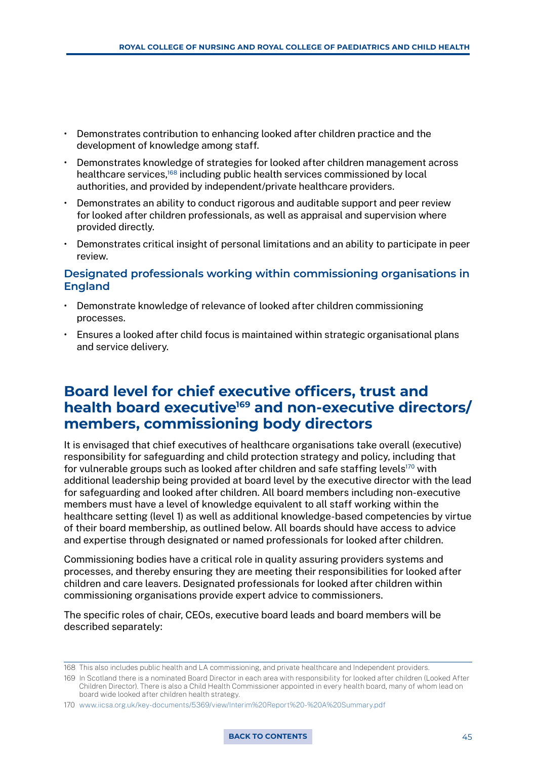- Demonstrates contribution to enhancing looked after children practice and the development of knowledge among staff.
- Demonstrates knowledge of strategies for looked after children management across healthcare services,<sup>168</sup> including public health services commissioned by local authorities, and provided by independent/private healthcare providers.
- Demonstrates an ability to conduct rigorous and auditable support and peer review for looked after children professionals, as well as appraisal and supervision where provided directly.
- Demonstrates critical insight of personal limitations and an ability to participate in peer review.

# **Designated professionals working within commissioning organisations in England**

- Demonstrate knowledge of relevance of looked after children commissioning processes.
- Ensures a looked after child focus is maintained within strategic organisational plans and service delivery.

# **Board level for chief executive officers, trust and health board executive169 and non-executive directors/ members, commissioning body directors**

It is envisaged that chief executives of healthcare organisations take overall (executive) responsibility for safeguarding and child protection strategy and policy, including that for vulnerable groups such as looked after children and safe staffing levels<sup>170</sup> with additional leadership being provided at board level by the executive director with the lead for safeguarding and looked after children. All board members including non-executive members must have a level of knowledge equivalent to all staff working within the healthcare setting (level 1) as well as additional knowledge-based competencies by virtue of their board membership, as outlined below. All boards should have access to advice and expertise through designated or named professionals for looked after children.

Commissioning bodies have a critical role in quality assuring providers systems and processes, and thereby ensuring they are meeting their responsibilities for looked after children and care leavers. Designated professionals for looked after children within commissioning organisations provide expert advice to commissioners.

The specific roles of chair, CEOs, executive board leads and board members will be described separately:

<sup>168</sup> This also includes public health and LA commissioning, and private healthcare and Independent providers.

<sup>169</sup> In Scotland there is a nominated Board Director in each area with responsibility for looked after children (Looked After Children Director). There is also a Child Health Commissioner appointed in every health board, many of whom lead on board wide looked after children health strategy.

<sup>170</sup> [www.iicsa.org.uk/key-documents/5369/view/Interim%20Report%20-%20A%20Summary.pdf](https://www.iicsa.org.uk/key-documents/5369/view/interim-report-a-summary.pdf)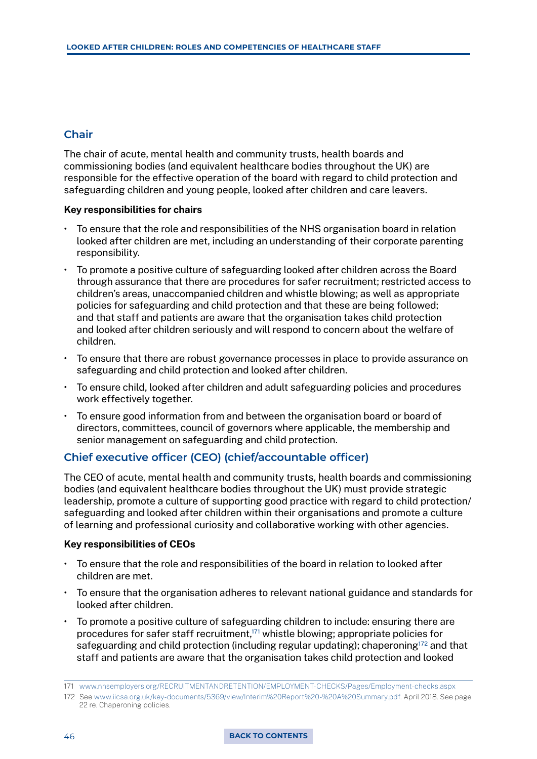# **Chair**

The chair of acute, mental health and community trusts, health boards and commissioning bodies (and equivalent healthcare bodies throughout the UK) are responsible for the effective operation of the board with regard to child protection and safeguarding children and young people, looked after children and care leavers.

# Key responsibilities for chairs

- To ensure that the role and responsibilities of the NHS organisation board in relation looked after children are met, including an understanding of their corporate parenting responsibility.
- To promote a positive culture of safeguarding looked after children across the Board through assurance that there are procedures for safer recruitment; restricted access to children's areas, unaccompanied children and whistle blowing; as well as appropriate policies for safeguarding and child protection and that these are being followed; and that staff and patients are aware that the organisation takes child protection and looked after children seriously and will respond to concern about the welfare of children.
- To ensure that there are robust governance processes in place to provide assurance on safeguarding and child protection and looked after children.
- To ensure child, looked after children and adult safeguarding policies and procedures work effectively together.
- To ensure good information from and between the organisation board or board of directors, committees, council of governors where applicable, the membership and senior management on safeguarding and child protection.

# **Chief executive officer (CEO) (chief/accountable officer)**

The CEO of acute, mental health and community trusts, health boards and commissioning bodies (and equivalent healthcare bodies throughout the UK) must provide strategic leadership, promote a culture of supporting good practice with regard to child protection/ safeguarding and looked after children within their organisations and promote a culture of learning and professional curiosity and collaborative working with other agencies.

# Key responsibilities of CEOs

- To ensure that the role and responsibilities of the board in relation to looked after children are met.
- To ensure that the organisation adheres to relevant national guidance and standards for looked after children.
- To promote a positive culture of safeguarding children to include: ensuring there are procedures for safer staff recruitment,<sup>171</sup> whistle blowing; appropriate policies for safeguarding and child protection (including regular updating); chaperoning<sup>172</sup> and that staff and patients are aware that the organisation takes child protection and looked

<sup>171</sup> [www.nhsemployers.org/RECRUITMENTANDRETENTION/EMPLOYMENT-CHECKS/Pages/Employment-checks.aspx](https://www.nhsemployers.org/your-workforce/recruit/employment-checks)

<sup>172</sup> See [www.iicsa.org.uk/key-documents/5369/view/Interim%20Report%20-%20A%20Summary.pdf](https://www.iicsa.org.uk/key-documents/5369/view/interim-report-a-summary.pdf). April 2018. See page 22 re. Chaperoning policies.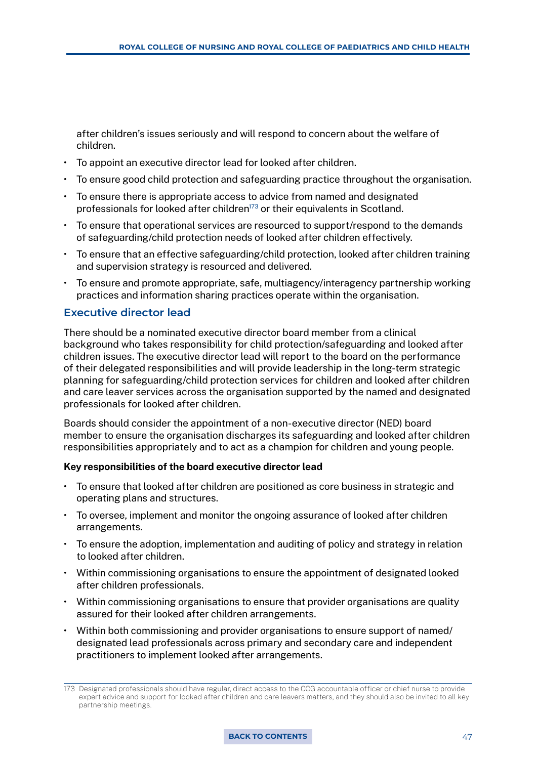after children's issues seriously and will respond to concern about the welfare of children.

- To appoint an executive director lead for looked after children.
- To ensure good child protection and safeguarding practice throughout the organisation.
- To ensure there is appropriate access to advice from named and designated professionals for looked after children<sup>173</sup> or their equivalents in Scotland.
- To ensure that operational services are resourced to support/respond to the demands of safeguarding/child protection needs of looked after children effectively.
- To ensure that an effective safeguarding/child protection, looked after children training and supervision strategy is resourced and delivered.
- To ensure and promote appropriate, safe, multiagency/interagency partnership working practices and information sharing practices operate within the organisation.

# **Executive director lead**

There should be a nominated executive director board member from a clinical background who takes responsibility for child protection/safeguarding and looked after children issues. The executive director lead will report to the board on the performance of their delegated responsibilities and will provide leadership in the long-term strategic planning for safeguarding/child protection services for children and looked after children and care leaver services across the organisation supported by the named and designated professionals for looked after children.

Boards should consider the appointment of a non-executive director (NED) board member to ensure the organisation discharges its safeguarding and looked after children responsibilities appropriately and to act as a champion for children and young people.

#### Key responsibilities of the board executive director lead

- To ensure that looked after children are positioned as core business in strategic and operating plans and structures.
- To oversee, implement and monitor the ongoing assurance of looked after children arrangements.
- To ensure the adoption, implementation and auditing of policy and strategy in relation to looked after children.
- Within commissioning organisations to ensure the appointment of designated looked after children professionals.
- Within commissioning organisations to ensure that provider organisations are quality assured for their looked after children arrangements.
- Within both commissioning and provider organisations to ensure support of named/ designated lead professionals across primary and secondary care and independent practitioners to implement looked after arrangements.

<sup>173</sup> Designated professionals should have regular, direct access to the CCG accountable officer or chief nurse to provide expert advice and support for looked after children and care leavers matters, and they should also be invited to all key partnership meetings.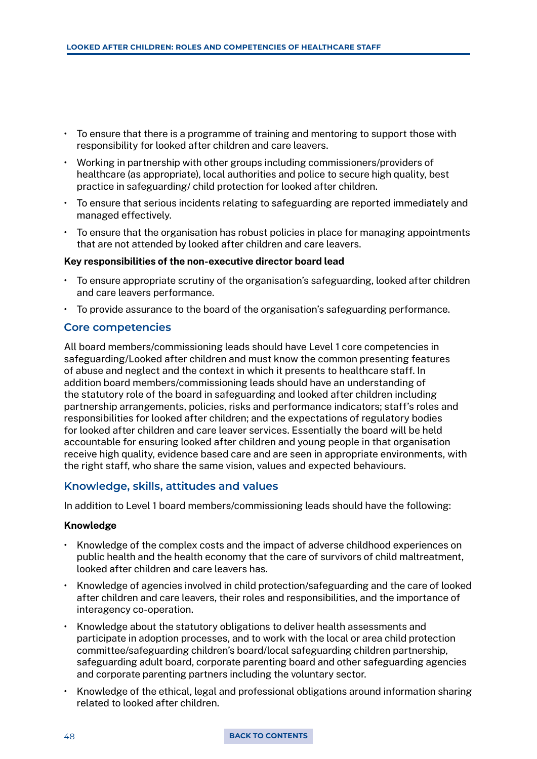- To ensure that there is a programme of training and mentoring to support those with responsibility for looked after children and care leavers.
- Working in partnership with other groups including commissioners/providers of healthcare (as appropriate), local authorities and police to secure high quality, best practice in safeguarding/ child protection for looked after children.
- To ensure that serious incidents relating to safeguarding are reported immediately and managed effectively.
- To ensure that the organisation has robust policies in place for managing appointments that are not attended by looked after children and care leavers.

#### Key responsibilities of the non-executive director board lead

- To ensure appropriate scrutiny of the organisation's safeguarding, looked after children and care leavers performance.
- To provide assurance to the board of the organisation's safeguarding performance.

# **Core competencies**

All board members/commissioning leads should have Level 1 core competencies in safeguarding/Looked after children and must know the common presenting features of abuse and neglect and the context in which it presents to healthcare staff. In addition board members/commissioning leads should have an understanding of the statutory role of the board in safeguarding and looked after children including partnership arrangements, policies, risks and performance indicators; staff's roles and responsibilities for looked after children; and the expectations of regulatory bodies for looked after children and care leaver services. Essentially the board will be held accountable for ensuring looked after children and young people in that organisation receive high quality, evidence based care and are seen in appropriate environments, with the right staff, who share the same vision, values and expected behaviours.

# **Knowledge, skills, attitudes and values**

In addition to Level 1 board members/commissioning leads should have the following:

#### Knowledge

- Knowledge of the complex costs and the impact of adverse childhood experiences on public health and the health economy that the care of survivors of child maltreatment, looked after children and care leavers has.
- Knowledge of agencies involved in child protection/safeguarding and the care of looked after children and care leavers, their roles and responsibilities, and the importance of interagency co-operation.
- Knowledge about the statutory obligations to deliver health assessments and participate in adoption processes, and to work with the local or area child protection committee/safeguarding children's board/local safeguarding children partnership, safeguarding adult board, corporate parenting board and other safeguarding agencies and corporate parenting partners including the voluntary sector.
- Knowledge of the ethical, legal and professional obligations around information sharing related to looked after children.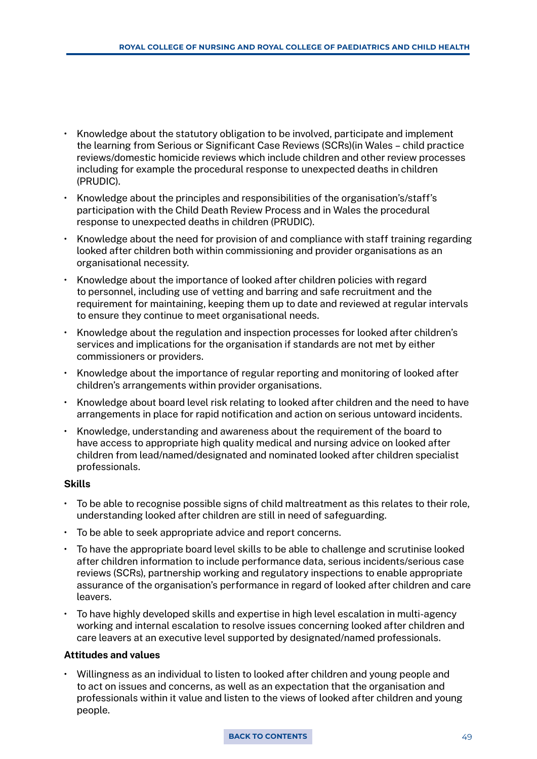- Knowledge about the statutory obligation to be involved, participate and implement the learning from Serious or Significant Case Reviews (SCRs)(in Wales – child practice reviews/domestic homicide reviews which include children and other review processes including for example the procedural response to unexpected deaths in children (PRUDIC).
- Knowledge about the principles and responsibilities of the organisation's/staff's participation with the Child Death Review Process and in Wales the procedural response to unexpected deaths in children (PRUDIC).
- Knowledge about the need for provision of and compliance with staff training regarding looked after children both within commissioning and provider organisations as an organisational necessity.
- Knowledge about the importance of looked after children policies with regard to personnel, including use of vetting and barring and safe recruitment and the requirement for maintaining, keeping them up to date and reviewed at regular intervals to ensure they continue to meet organisational needs.
- Knowledge about the regulation and inspection processes for looked after children's services and implications for the organisation if standards are not met by either commissioners or providers.
- Knowledge about the importance of regular reporting and monitoring of looked after children's arrangements within provider organisations.
- Knowledge about board level risk relating to looked after children and the need to have arrangements in place for rapid notification and action on serious untoward incidents.
- Knowledge, understanding and awareness about the requirement of the board to have access to appropriate high quality medical and nursing advice on looked after children from lead/named/designated and nominated looked after children specialist professionals.

# Skills

- To be able to recognise possible signs of child maltreatment as this relates to their role, understanding looked after children are still in need of safeguarding.
- To be able to seek appropriate advice and report concerns.
- To have the appropriate board level skills to be able to challenge and scrutinise looked after children information to include performance data, serious incidents/serious case reviews (SCRs), partnership working and regulatory inspections to enable appropriate assurance of the organisation's performance in regard of looked after children and care leavers.
- To have highly developed skills and expertise in high level escalation in multi-agency working and internal escalation to resolve issues concerning looked after children and care leavers at an executive level supported by designated/named professionals.

# Attitudes and values

• Willingness as an individual to listen to looked after children and young people and to act on issues and concerns, as well as an expectation that the organisation and professionals within it value and listen to the views of looked after children and young people.

#### **[BACK TO CONTENTS](#page-2-0)** 49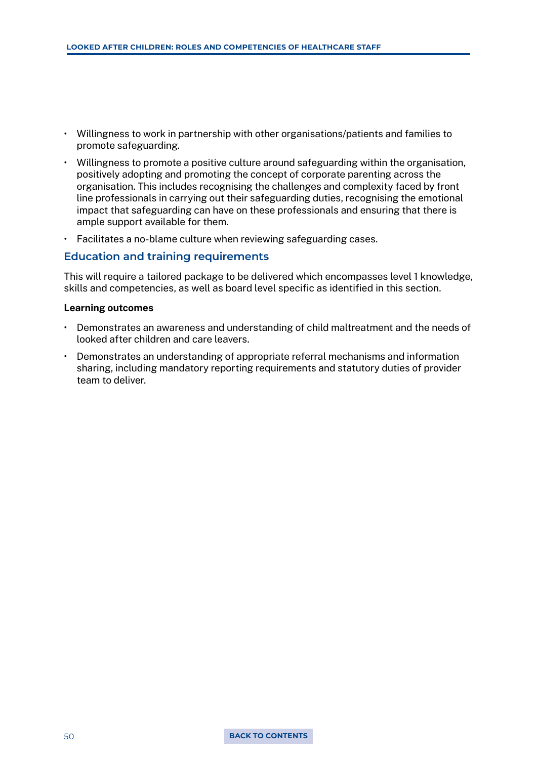- Willingness to work in partnership with other organisations/patients and families to promote safeguarding.
- Willingness to promote a positive culture around safeguarding within the organisation, positively adopting and promoting the concept of corporate parenting across the organisation. This includes recognising the challenges and complexity faced by front line professionals in carrying out their safeguarding duties, recognising the emotional impact that safeguarding can have on these professionals and ensuring that there is ample support available for them.
- Facilitates a no-blame culture when reviewing safeguarding cases.

# **Education and training requirements**

This will require a tailored package to be delivered which encompasses level 1 knowledge, skills and competencies, as well as board level specific as identified in this section.

#### Learning outcomes

- Demonstrates an awareness and understanding of child maltreatment and the needs of looked after children and care leavers.
- Demonstrates an understanding of appropriate referral mechanisms and information sharing, including mandatory reporting requirements and statutory duties of provider team to deliver.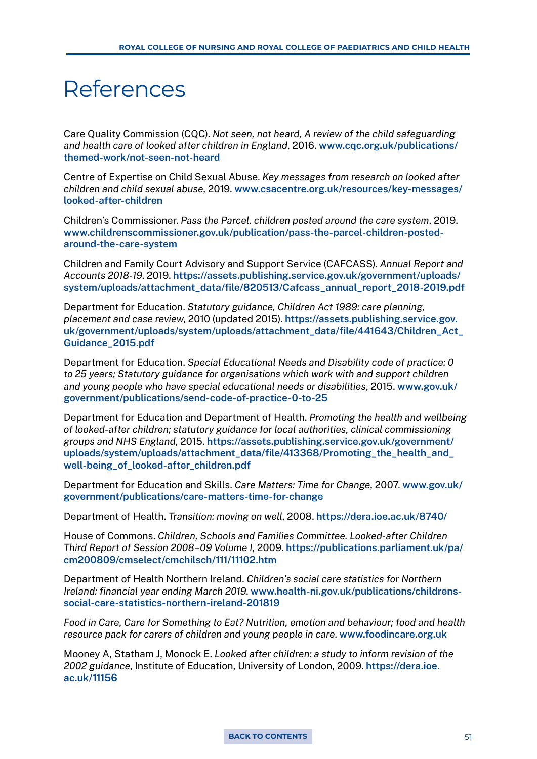# References

Care Quality Commission (CQC). *Not seen, not heard, A review of the child safeguarding and health care of looked after children in England*, 2016. [www.cqc.org.uk/publications/](https://www.cqc.org.uk/publications/themed-work/not-seen-not-heard) [themed-work/not-seen-not-heard](https://www.cqc.org.uk/publications/themed-work/not-seen-not-heard)

Centre of Expertise on Child Sexual Abuse. *Key messages from research on looked after children and child sexual abuse*, 2019. [www.csacentre.org.uk/resources/key-messages/](http://www.csacentre.org.uk/resources/key-messages/looked-after-children/) [looked-after-children](http://www.csacentre.org.uk/resources/key-messages/looked-after-children/)

Children's Commissioner. *Pass the Parcel, children posted around the care system*, 2019. [www.childrenscommissioner.gov.uk/publication/pass-the-parcel-children-posted](https://www.childrenscommissioner.gov.uk/report/pass-the-parcel-children-posted-around-the-care-system/)[around-the-care-system](https://www.childrenscommissioner.gov.uk/report/pass-the-parcel-children-posted-around-the-care-system/)

Children and Family Court Advisory and Support Service (CAFCASS). *Annual Report and Accounts 2018-19*. 2019. [https://assets.publishing.service.gov.uk/government/uploads/](https://assets.publishing.service.gov.uk/government/uploads/system/uploads/attachment_data/file/820513/Cafcass_annual_report_2018-2019.pdf) [system/uploads/attachment\\_data/file/820513/Cafcass\\_annual\\_report\\_2018-2019.pdf](https://assets.publishing.service.gov.uk/government/uploads/system/uploads/attachment_data/file/820513/Cafcass_annual_report_2018-2019.pdf)

Department for Education. *Statutory guidance, Children Act 1989: care planning, placement and case review*, 2010 (updated 2015). [https://assets.publishing.service.gov.](https://assets.publishing.service.gov.uk/government/uploads/system/uploads/attachment_data/file/441643/Children_Act_Guidance_2015.pdf) [uk/government/uploads/system/uploads/attachment\\_data/file/441643/Children\\_Act\\_](https://assets.publishing.service.gov.uk/government/uploads/system/uploads/attachment_data/file/441643/Children_Act_Guidance_2015.pdf) [Guidance\\_2015.pdf](https://assets.publishing.service.gov.uk/government/uploads/system/uploads/attachment_data/file/441643/Children_Act_Guidance_2015.pdf)

Department for Education. *Special Educational Needs and Disability code of practice: 0 to 25 years; Statutory guidance for organisations which work with and support children and young people who have special educational needs or disabilities*, 2015. [www.gov.uk/](https://www.gov.uk/government/publications/send-code-of-practice-0-to-25) [government/publications/send-code-of-practice-0-to-25](https://www.gov.uk/government/publications/send-code-of-practice-0-to-25)

Department for Education and Department of Health. *Promoting the health and wellbeing of looked-after children; statutory guidance for local authorities, clinical commissioning groups and NHS England*, 2015. [https://assets.publishing.service.gov.uk/government/](https://assets.publishing.service.gov.uk/government/uploads/system/uploads/attachment_data/file/413368/Promoting_the_health_and_well-being_of_looked-after_children.pdf) [uploads/system/uploads/attachment\\_data/file/413368/Promoting\\_the\\_health\\_and\\_](https://assets.publishing.service.gov.uk/government/uploads/system/uploads/attachment_data/file/413368/Promoting_the_health_and_well-being_of_looked-after_children.pdf) [well-being\\_of\\_looked-after\\_children.pdf](https://assets.publishing.service.gov.uk/government/uploads/system/uploads/attachment_data/file/413368/Promoting_the_health_and_well-being_of_looked-after_children.pdf)

Department for Education and Skills. *Care Matters: Time for Change*, 2007. [www.gov.uk/](https://www.gov.uk/government/publications/care-matters-time-for-change) [government/publications/care-matters-time-for-change](https://www.gov.uk/government/publications/care-matters-time-for-change)

Department of Health. *Transition: moving on well*, 2008. <https://dera.ioe.ac.uk/8740/>

House of Commons. *Children, Schools and Families Committee. Looked-after Children Third Report of Session 2008–09 Volume I*, 2009. [https://publications.parliament.uk/pa/](https://publications.parliament.uk/pa/cm200809/cmselect/cmchilsch/111/11102.htm) [cm200809/cmselect/cmchilsch/111/11102.htm](https://publications.parliament.uk/pa/cm200809/cmselect/cmchilsch/111/11102.htm)

Department of Health Northern Ireland. *Children's social care statistics for Northern Ireland: financial year ending March 2019*. [www.health-ni.gov.uk/publications/childrens](https://www.health-ni.gov.uk/publications/childrens-social-care-statistics-northern-ireland-201819)[social-care-statistics-northern-ireland-201819](https://www.health-ni.gov.uk/publications/childrens-social-care-statistics-northern-ireland-201819)

*Food in Care, Care for Something to Eat? Nutrition, emotion and behaviour; food and health resource pack for carers of children and young people in care*. [www.foodincare.org.uk](http://www.foodincare.org.uk)

Mooney A, Statham J, Monock E. *Looked after children: a study to inform revision of the 2002 guidance*, Institute of Education, University of London, 2009. [https://dera.ioe.](https://dera.ioe.ac.uk/11156) [ac.uk/11156](https://dera.ioe.ac.uk/11156)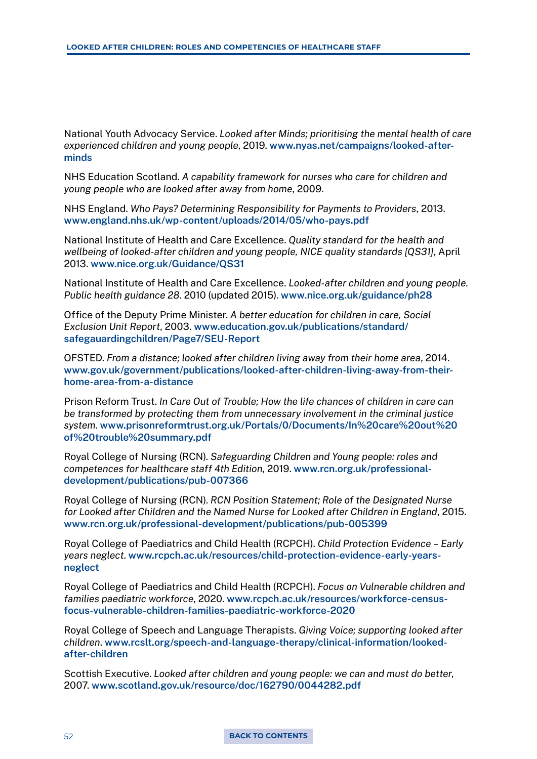National Youth Advocacy Service. *Looked after Minds; prioritising the mental health of care experienced children and young people*, 2019. [www.nyas.net/campaigns/looked-after](http://www.nyas.net/campaigns/looked-after-minds/)[minds](http://www.nyas.net/campaigns/looked-after-minds/)

NHS Education Scotland. *A capability framework for nurses who care for children and young people who are looked after away from home*, 2009.

NHS England. *Who Pays? Determining Responsibility for Payments to Providers*, 2013. [www.england.nhs.uk/wp-content/uploads/2014/05/who-pays.pdf](https://www.england.nhs.uk/wp-content/uploads/2014/05/who-pays.pdf)

National Institute of Health and Care Excellence. *Quality standard for the health and wellbeing of looked-after children and young people, NICE quality standards [QS31]*, April 2013. [www.nice.org.uk/Guidance/QS31](https://www.nice.org.uk/Guidance/QS31)

National Institute of Health and Care Excellence. *Looked-after children and young people. Public health guidance 28*. 2010 (updated 2015). [www.nice.org.uk/guidance/ph28](https://www.nice.org.uk/guidance/ph28)

Office of the Deputy Prime Minister. *A better education for children in care, Social Exclusion Unit Report*, 2003. [www.education.gov.uk/publications/standard/](https://webarchive.nationalarchives.gov.uk/20110505235553/https://www.education.gov.uk/publications/standard/Safegauardingchildren/Page7/SEU-Report) [safegauardingchildren/Page7/SEU-Report](https://webarchive.nationalarchives.gov.uk/20110505235553/https://www.education.gov.uk/publications/standard/Safegauardingchildren/Page7/SEU-Report)

OFSTED. *From a distance; looked after children living away from their home area*, 2014. [www.gov.uk/government/publications/looked-after-children-living-away-from-their](https://www.gov.uk/government/publications/looked-after-children-living-away-from-their-home-area-from-a-distance)[home-area-from-a-distance](https://www.gov.uk/government/publications/looked-after-children-living-away-from-their-home-area-from-a-distance)

Prison Reform Trust. *In Care Out of Trouble; How the life chances of children in care can be transformed by protecting them from unnecessary involvement in the criminal justice system*. [www.prisonreformtrust.org.uk/Portals/0/Documents/In%20care%20out%20](http://www.prisonreformtrust.org.uk/Portals/0/Documents/In%20care%20out%20of%20trouble%20summary.pdf) [of%20trouble%20summary.pdf](http://www.prisonreformtrust.org.uk/Portals/0/Documents/In%20care%20out%20of%20trouble%20summary.pdf)

Royal College of Nursing (RCN). *Safeguarding Children and Young people: roles and competences for healthcare staff 4th Edition*, 2019. [www.rcn.org.uk/professional](https://www.rcn.org.uk/professional-development/publications/pub-007366)[development/publications/pub-007366](https://www.rcn.org.uk/professional-development/publications/pub-007366)

Royal College of Nursing (RCN). *RCN Position Statement; Role of the Designated Nurse for Looked after Children and the Named Nurse for Looked after Children in England*, 2015. [www.rcn.org.uk/professional-development/publications/pub-005399](https://www.rcn.org.uk/professional-development/publications/pub-005399)

Royal College of Paediatrics and Child Health (RCPCH). *Child Protection Evidence – Early years neglect*. [www.rcpch.ac.uk/resources/child-protection-evidence-early-years](https://www.rcpch.ac.uk/resources/child-protection-evidence-early-years-neglect)[neglect](https://www.rcpch.ac.uk/resources/child-protection-evidence-early-years-neglect)

Royal College of Paediatrics and Child Health (RCPCH). *Focus on Vulnerable children and families paediatric workforce*, 2020. [www.rcpch.ac.uk/resources/workforce-census](https://www.rcpch.ac.uk/resources/workforce-census-focus-vulnerable-children-families-paediatric-workforce-2020)[focus-vulnerable-children-families-paediatric-workforce-2020](https://www.rcpch.ac.uk/resources/workforce-census-focus-vulnerable-children-families-paediatric-workforce-2020)

Royal College of Speech and Language Therapists. *Giving Voice; supporting looked after children*. [www.rcslt.org/speech-and-language-therapy/clinical-information/looked](https://www.rcslt.org/speech-and-language-therapy/clinical-information/looked-after-children)[after-children](https://www.rcslt.org/speech-and-language-therapy/clinical-information/looked-after-children)

Scottish Executive. *Looked after children and young people: we can and must do better*, 2007. [www.scotland.gov.uk/resource/doc/162790/0044282.pdf](https://www2.gov.scot/resource/doc/162790/0044282.pdf)

#### 52 **[BACK TO CONTENTS](#page-2-0)**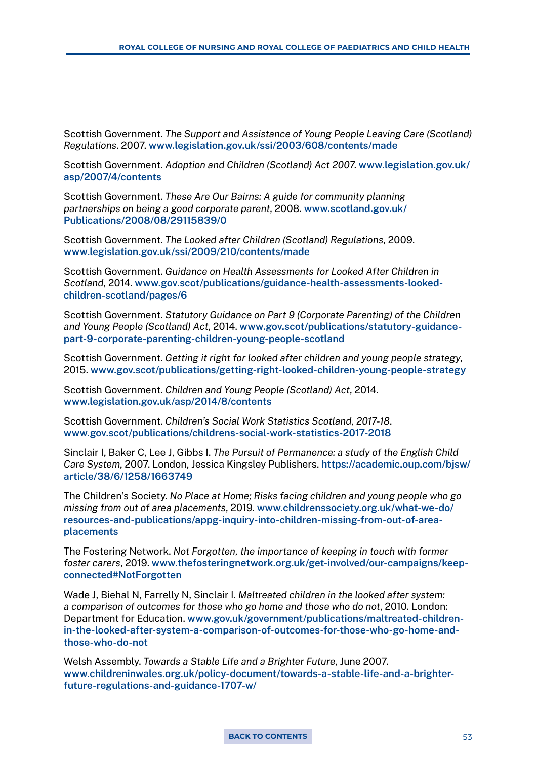Scottish Government. *The Support and Assistance of Young People Leaving Care (Scotland) Regulations*. 2007. [www.legislation.gov.uk/ssi/2003/608/contents/made](https://www.legislation.gov.uk/ssi/2003/608/contents/made)

Scottish Government. *Adoption and Children (Scotland) Act 2007*. [www.legislation.gov.uk/](https://www.legislation.gov.uk/asp/2007/4/contents) [asp/2007/4/contents](https://www.legislation.gov.uk/asp/2007/4/contents)

Scottish Government. *These Are Our Bairns: A guide for community planning partnerships on being a good corporate parent*, 2008. [www.scotland.gov.uk/](https://www.gov.scot/publications/bairns-guide-community-planning-partnerships-being-good-corporate-parent/) [Publications/2008/08/29115839/0](https://www.gov.scot/publications/bairns-guide-community-planning-partnerships-being-good-corporate-parent/)

Scottish Government. *The Looked after Children (Scotland) Regulations*, 2009. [www.legislation.gov.uk/ssi/2009/210/contents/made](https://www.legislation.gov.uk/ssi/2009/210/contents/made)

Scottish Government. *Guidance on Health Assessments for Looked After Children in Scotland*, 2014. [www.gov.scot/publications/guidance-health-assessments-looked](https://www.gov.scot/publications/guidance-health-assessments-looked-children-scotland/pages/6/)[children-scotland/pages/6](https://www.gov.scot/publications/guidance-health-assessments-looked-children-scotland/pages/6/)

Scottish Government. *Statutory Guidance on Part 9 (Corporate Parenting) of the Children and Young People (Scotland) Act*, 2014. [www.gov.scot/publications/statutory-guidance](https://www.gov.scot/publications/statutory-guidance-part-9-corporate-parenting-children-young-people-scotland/)[part-9-corporate-parenting-children-young-people-scotland](https://www.gov.scot/publications/statutory-guidance-part-9-corporate-parenting-children-young-people-scotland/)

Scottish Government. *Getting it right for looked after children and young people strategy*, 2015. [www.gov.scot/publications/getting-right-looked-children-young-people-strategy](https://www.gov.scot/publications/getting-right-looked-children-young-people-strategy/)

Scottish Government. *Children and Young People (Scotland) Act*, 2014. [www.legislation.gov.uk/asp/2014/8/contents](https://www.legislation.gov.uk/asp/2014/8/contents)

Scottish Government. *Children's Social Work Statistics Scotland, 2017-18*. [www.gov.scot/publications/childrens-social-work-statistics-2017-2018](https://www.gov.scot/publications/childrens-social-work-statistics-2017-2018/)

Sinclair I, Baker C, Lee J, Gibbs I. *The Pursuit of Permanence: a study of the English Child Care System*, 2007. London, Jessica Kingsley Publishers. [https://academic.oup.com/bjsw/](https://academic.oup.com/bjsw/article-abstract/38/6/1258/1663749?redirectedFrom=fulltext) [article/38/6/1258/1663749](https://academic.oup.com/bjsw/article-abstract/38/6/1258/1663749?redirectedFrom=fulltext)

The Children's Society. *No Place at Home; Risks facing children and young people who go missing from out of area placements*, 2019. [www.childrenssociety.org.uk/what-we-do/](https://www.childrenssociety.org.uk/what-we-do) [resources-and-publications/appg-inquiry-into-children-missing-from-out-of-area](https://www.childrenssociety.org.uk/what-we-do)[placements](https://www.childrenssociety.org.uk/what-we-do)

The Fostering Network. *Not Forgotten, the importance of keeping in touch with former foster carers*, 2019. [www.thefosteringnetwork.org.uk/get-involved/our-campaigns/keep](https://www.thefosteringnetwork.org.uk/get-involved/our-campaigns/keep-connected#NotForgotten)[connected#NotForgotten](https://www.thefosteringnetwork.org.uk/get-involved/our-campaigns/keep-connected#NotForgotten)

Wade J, Biehal N, Farrelly N, Sinclair I. *Maltreated children in the looked after system: a comparison of outcomes for those who go home and those who do not*, 2010. London: Department for Education. [www.gov.uk/government/publications/maltreated-children](https://www.gov.uk/government/publications/maltreated-children-in-the-looked-after-system-a-comparison-of-outcomes-for-those-who-go-home-and-those-who-do-not)[in-the-looked-after-system-a-comparison-of-outcomes-for-those-who-go-home-and](https://www.gov.uk/government/publications/maltreated-children-in-the-looked-after-system-a-comparison-of-outcomes-for-those-who-go-home-and-those-who-do-not)[those-who-do-not](https://www.gov.uk/government/publications/maltreated-children-in-the-looked-after-system-a-comparison-of-outcomes-for-those-who-go-home-and-those-who-do-not)

Welsh Assembly. *Towards a Stable Life and a Brighter Future*, June 2007. [www.childreninwales.org.uk/policy-document/towards-a-stable-life-and-a-brighter](https://www.childreninwales.org.uk/policy-document/towards-a-stable-life-and-a-brighter-future-regulations-and-guidance-1707-w/)[future-regulations-and-guidance-1707-w/](https://www.childreninwales.org.uk/policy-document/towards-a-stable-life-and-a-brighter-future-regulations-and-guidance-1707-w/)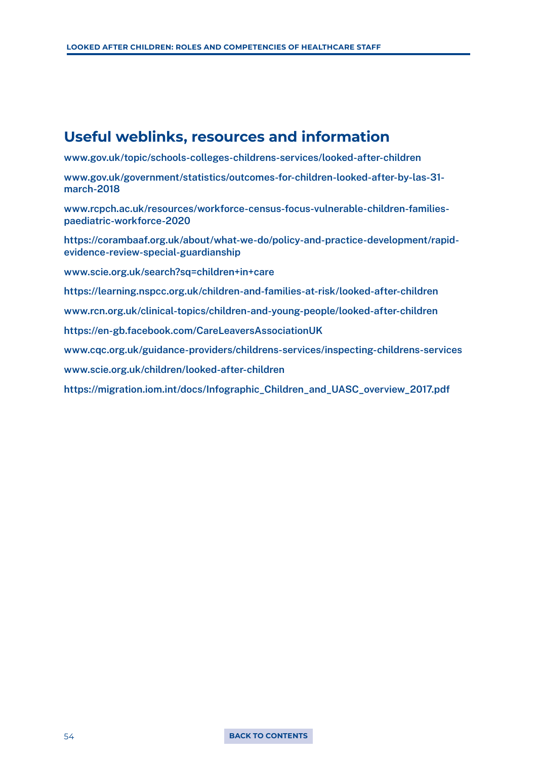# **Useful weblinks, resources and information**

[www.gov.uk/topic/schools-colleges-childrens-services/looked-after-children](https://www.gov.uk/topic/schools-colleges-childrens-services/looked-after-children)

[www.gov.uk/government/statistics/outcomes-for-children-looked-after-by-las-31](https://www.gov.uk/government/statistics/outcomes-for-children-looked-after-by-las-31-march-2018) [march-2018](https://www.gov.uk/government/statistics/outcomes-for-children-looked-after-by-las-31-march-2018)

[www.rcpch.ac.uk/resources/workforce-census-focus-vulnerable-children-families](https://www.rcpch.ac.uk/resources/workforce-census-focus-vulnerable-children-families-paediatric-workforce-2020)[paediatric-workforce-2020](https://www.rcpch.ac.uk/resources/workforce-census-focus-vulnerable-children-families-paediatric-workforce-2020)

[https://corambaaf.org.uk/about/what-we-do/policy-and-practice-development/rapid](https://corambaaf.org.uk/about/what-we-do/policy-and-practice-development/rapid-evidence-review-special-guardianship)[evidence-review-special-guardianship](https://corambaaf.org.uk/about/what-we-do/policy-and-practice-development/rapid-evidence-review-special-guardianship)

[www.scie.org.uk/search?sq=children+in+care](https://www.scie.org.uk/search?sq=children+in+care)

<https://learning.nspcc.org.uk/children-and-families-at-risk/looked-after-children>

[www.rcn.org.uk/clinical-topics/children-and-young-people/looked-after-children](https://www.rcn.org.uk/clinical-topics/children-and-young-people/looked-after-children)

[https://en-gb.facebook.com/CareLeaversAssociationUK](https://www.facebook.com/CareLeaversAssociationUK/)

[www.cqc.org.uk/guidance-providers/childrens-services/inspecting-childrens-services](https://www.cqc.org.uk/guidance-providers/childrens-services/inspecting-childrens-services)

[www.scie.org.uk/children/looked-after-children](https://www.scie.org.uk/children/looked-after-children)

[https://migration.iom.int/docs/Infographic\\_Children\\_and\\_UASC\\_overview\\_2017.pdf](https://migration.iom.int/docs/Infographic_Children_and_UASC_overview_2017.pdf)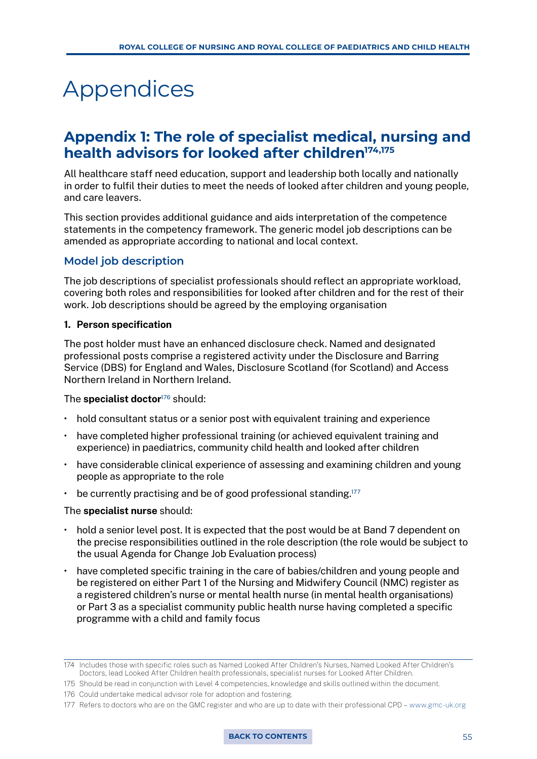# Appendices

# **Appendix 1: The role of specialist medical, nursing and health advisors for looked after children<sup>174,175</sup>**

All healthcare staff need education, support and leadership both locally and nationally in order to fulfil their duties to meet the needs of looked after children and young people, and care leavers.

This section provides additional guidance and aids interpretation of the competence statements in the competency framework. The generic model job descriptions can be amended as appropriate according to national and local context.

# **Model job description**

The job descriptions of specialist professionals should reflect an appropriate workload, covering both roles and responsibilities for looked after children and for the rest of their work. Job descriptions should be agreed by the employing organisation

#### 1. Person specification

The post holder must have an enhanced disclosure check. Named and designated professional posts comprise a registered activity under the Disclosure and Barring Service (DBS) for England and Wales, Disclosure Scotland (for Scotland) and Access Northern Ireland in Northern Ireland.

#### The specialist doctor $176$  should:

- hold consultant status or a senior post with equivalent training and experience
- have completed higher professional training (or achieved equivalent training and experience) in paediatrics, community child health and looked after children
- have considerable clinical experience of assessing and examining children and young people as appropriate to the role
- be currently practising and be of good professional standing.<sup>177</sup>

#### The specialist nurse should:

- hold a senior level post. It is expected that the post would be at Band 7 dependent on the precise responsibilities outlined in the role description (the role would be subject to the usual Agenda for Change Job Evaluation process)
- have completed specific training in the care of babies/children and young people and be registered on either Part 1 of the Nursing and Midwifery Council (NMC) register as a registered children's nurse or mental health nurse (in mental health organisations) or Part 3 as a specialist community public health nurse having completed a specific programme with a child and family focus

<sup>177</sup> Refers to doctors who are on the GMC register and who are up to date with their professional CPD – [www.gmc-uk.org](https://www.gmc-uk.org)



<sup>174</sup> Includes those with specific roles such as Named Looked After Children's Nurses, Named Looked After Children's Doctors, lead Looked After Children health professionals, specialist nurses for Looked After Children.

<sup>175</sup> Should be read in conjunction with Level 4 competencies, knowledge and skills outlined within the document.

<sup>176</sup> Could undertake medical advisor role for adoption and fostering.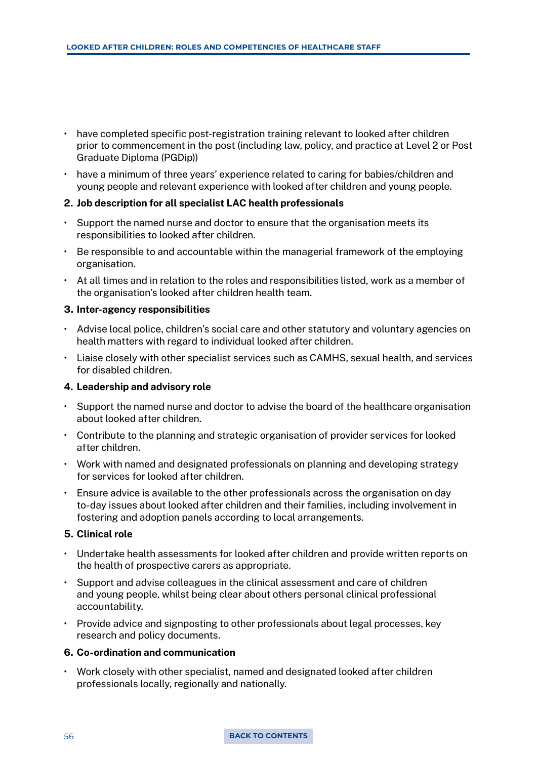- have completed specific post-registration training relevant to looked after children prior to commencement in the post (including law, policy, and practice at Level 2 or Post Graduate Diploma (PGDip))
- have a minimum of three years' experience related to caring for babies/children and young people and relevant experience with looked after children and young people.

# 2. Job description for all specialist LAC health professionals

- Support the named nurse and doctor to ensure that the organisation meets its responsibilities to looked after children.
- Be responsible to and accountable within the managerial framework of the employing organisation.
- At all times and in relation to the roles and responsibilities listed, work as a member of the organisation's looked after children health team.

#### 3. Inter-agency responsibilities

- Advise local police, children's social care and other statutory and voluntary agencies on health matters with regard to individual looked after children.
- Liaise closely with other specialist services such as CAMHS, sexual health, and services for disabled children.

#### 4. Leadership and advisory role

- Support the named nurse and doctor to advise the board of the healthcare organisation about looked after children.
- Contribute to the planning and strategic organisation of provider services for looked after children.
- Work with named and designated professionals on planning and developing strategy for services for looked after children.
- Ensure advice is available to the other professionals across the organisation on day to-day issues about looked after children and their families, including involvement in fostering and adoption panels according to local arrangements.

#### 5. Clinical role

- Undertake health assessments for looked after children and provide written reports on the health of prospective carers as appropriate.
- Support and advise colleagues in the clinical assessment and care of children and young people, whilst being clear about others personal clinical professional accountability.
- Provide advice and signposting to other professionals about legal processes, key research and policy documents.

#### 6. Co-ordination and communication

• Work closely with other specialist, named and designated looked after children professionals locally, regionally and nationally.

56 **[BACK TO CONTENTS](#page-2-0)**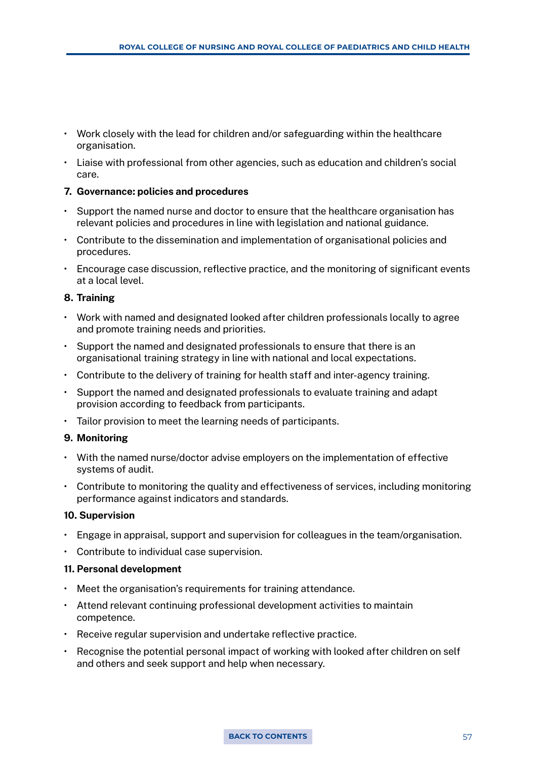- Work closely with the lead for children and/or safeguarding within the healthcare organisation.
- Liaise with professional from other agencies, such as education and children's social care.

# 7. Governance: policies and procedures

- Support the named nurse and doctor to ensure that the healthcare organisation has relevant policies and procedures in line with legislation and national guidance.
- Contribute to the dissemination and implementation of organisational policies and procedures.
- Encourage case discussion, reflective practice, and the monitoring of significant events at a local level.

#### 8. Training

- Work with named and designated looked after children professionals locally to agree and promote training needs and priorities.
- Support the named and designated professionals to ensure that there is an organisational training strategy in line with national and local expectations.
- Contribute to the delivery of training for health staff and inter-agency training.
- Support the named and designated professionals to evaluate training and adapt provision according to feedback from participants.
- Tailor provision to meet the learning needs of participants.

# 9. Monitoring

- With the named nurse/doctor advise employers on the implementation of effective systems of audit.
- Contribute to monitoring the quality and effectiveness of services, including monitoring performance against indicators and standards.

#### 10. Supervision

- Engage in appraisal, support and supervision for colleagues in the team/organisation.
- Contribute to individual case supervision.

#### 11. Personal development

- Meet the organisation's requirements for training attendance.
- Attend relevant continuing professional development activities to maintain competence.
- Receive regular supervision and undertake reflective practice.
- Recognise the potential personal impact of working with looked after children on self and others and seek support and help when necessary.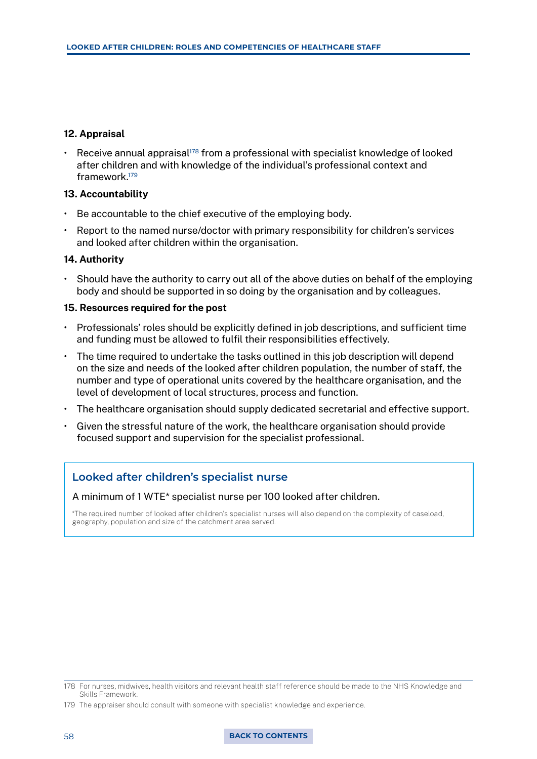# 12. Appraisal

 $\cdot$  Receive annual appraisal<sup>178</sup> from a professional with specialist knowledge of looked after children and with knowledge of the individual's professional context and framework.179

# 13. Accountability

- Be accountable to the chief executive of the employing body.
- Report to the named nurse/doctor with primary responsibility for children's services and looked after children within the organisation.

# 14. Authority

• Should have the authority to carry out all of the above duties on behalf of the employing body and should be supported in so doing by the organisation and by colleagues.

# 15. Resources required for the post

- Professionals' roles should be explicitly defined in job descriptions, and sufficient time and funding must be allowed to fulfil their responsibilities effectively.
- The time required to undertake the tasks outlined in this job description will depend on the size and needs of the looked after children population, the number of staff, the number and type of operational units covered by the healthcare organisation, and the level of development of local structures, process and function.
- The healthcare organisation should supply dedicated secretarial and effective support.
- Given the stressful nature of the work, the healthcare organisation should provide focused support and supervision for the specialist professional.

# **Looked after children's specialist nurse**

# A minimum of 1 WTE\* specialist nurse per 100 looked after children.

\*The required number of looked after children's specialist nurses will also depend on the complexity of caseload, geography, population and size of the catchment area served.

<sup>178</sup> For nurses, midwives, health visitors and relevant health staff reference should be made to the NHS Knowledge and Skills Framework.

<sup>179</sup> The appraiser should consult with someone with specialist knowledge and experience.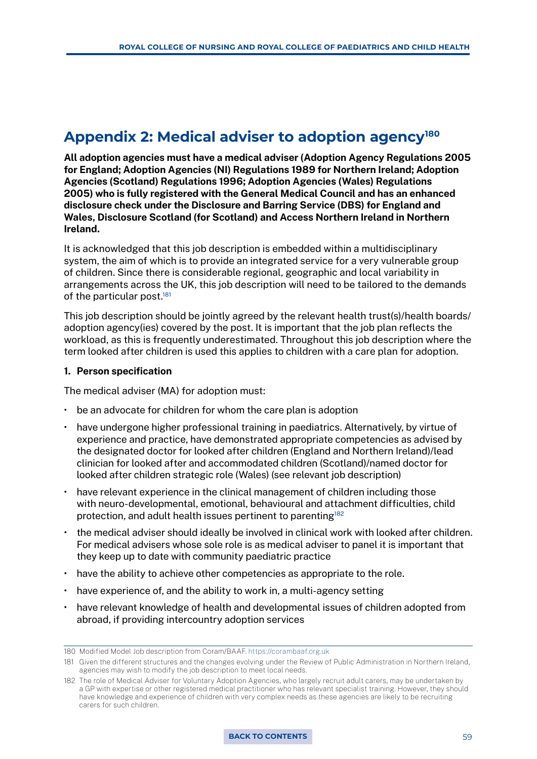# **Appendix 2: Medical adviser to adoption agency180**

All adoption agencies must have a medical adviser (Adoption Agency Regulations 2005 for England; Adoption Agencies (NI) Regulations 1989 for Northern Ireland; Adoption Agencies (Scotland) Regulations 1996; Adoption Agencies (Wales) Regulations 2005) who is fully registered with the General Medical Council and has an enhanced disclosure check under the Disclosure and Barring Service (DBS) for England and Wales, Disclosure Scotland (for Scotland) and Access Northern Ireland in Northern Ireland.

It is acknowledged that this job description is embedded within a multidisciplinary system, the aim of which is to provide an integrated service for a very vulnerable group of children. Since there is considerable regional, geographic and local variability in arrangements across the UK, this job description will need to be tailored to the demands of the particular post.<sup>181</sup>

This job description should be jointly agreed by the relevant health trust(s)/health boards/ adoption agency(ies) covered by the post. It is important that the job plan reflects the workload, as this is frequently underestimated. Throughout this job description where the term looked after children is used this applies to children with a care plan for adoption.

#### 1. Person specification

The medical adviser (MA) for adoption must:

- be an advocate for children for whom the care plan is adoption
- have undergone higher professional training in paediatrics. Alternatively, by virtue of experience and practice, have demonstrated appropriate competencies as advised by the designated doctor for looked after children (England and Northern Ireland)/lead clinician for looked after and accommodated children (Scotland)/named doctor for looked after children strategic role (Wales) (see relevant job description)
- have relevant experience in the clinical management of children including those with neuro-developmental, emotional, behavioural and attachment difficulties, child protection, and adult health issues pertinent to parenting<sup>182</sup>
- the medical adviser should ideally be involved in clinical work with looked after children. For medical advisers whose sole role is as medical adviser to panel it is important that they keep up to date with community paediatric practice
- have the ability to achieve other competencies as appropriate to the role.
- have experience of, and the ability to work in, a multi-agency setting
- have relevant knowledge of health and developmental issues of children adopted from abroad, if providing intercountry adoption services

<sup>180</sup> Modified Model Job description from Coram/BAAF.<https://corambaaf.org.uk>

<sup>181</sup> Given the different structures and the changes evolving under the Review of Public Administration in Northern Ireland, agencies may wish to modify the job description to meet local needs.

<sup>182</sup> The role of Medical Adviser for Voluntary Adoption Agencies, who largely recruit adult carers, may be undertaken by a GP with expertise or other registered medical practitioner who has relevant specialist training. However, they should have knowledge and experience of children with very complex needs as these agencies are likely to be recruiting carers for such children.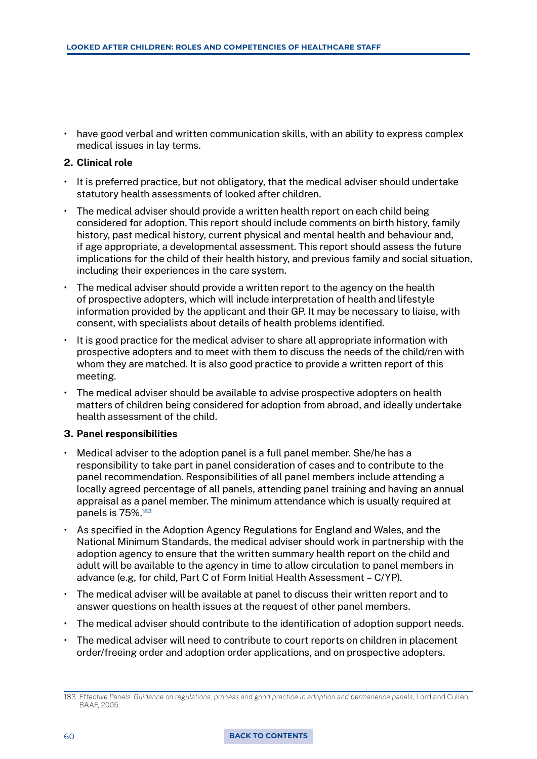• have good verbal and written communication skills, with an ability to express complex medical issues in lay terms.

# 2. Clinical role

- It is preferred practice, but not obligatory, that the medical adviser should undertake statutory health assessments of looked after children.
- The medical adviser should provide a written health report on each child being considered for adoption. This report should include comments on birth history, family history, past medical history, current physical and mental health and behaviour and, if age appropriate, a developmental assessment. This report should assess the future implications for the child of their health history, and previous family and social situation, including their experiences in the care system.
- The medical adviser should provide a written report to the agency on the health of prospective adopters, which will include interpretation of health and lifestyle information provided by the applicant and their GP. It may be necessary to liaise, with consent, with specialists about details of health problems identified.
- It is good practice for the medical adviser to share all appropriate information with prospective adopters and to meet with them to discuss the needs of the child/ren with whom they are matched. It is also good practice to provide a written report of this meeting.
- The medical adviser should be available to advise prospective adopters on health matters of children being considered for adoption from abroad, and ideally undertake health assessment of the child.

# 3. Panel responsibilities

- Medical adviser to the adoption panel is a full panel member. She/he has a responsibility to take part in panel consideration of cases and to contribute to the panel recommendation. Responsibilities of all panel members include attending a locally agreed percentage of all panels, attending panel training and having an annual appraisal as a panel member. The minimum attendance which is usually required at panels is 75%.183
- As specified in the Adoption Agency Regulations for England and Wales, and the National Minimum Standards, the medical adviser should work in partnership with the adoption agency to ensure that the written summary health report on the child and adult will be available to the agency in time to allow circulation to panel members in advance (e.g, for child, Part C of Form Initial Health Assessment – C/YP).
- The medical adviser will be available at panel to discuss their written report and to answer questions on health issues at the request of other panel members.
- The medical adviser should contribute to the identification of adoption support needs.
- The medical adviser will need to contribute to court reports on children in placement order/freeing order and adoption order applications, and on prospective adopters.

<sup>183</sup> *Effective Panels: Guidance on regulations, process and good practice in adoption and permanence panels*, Lord and Cullen, BAAF, 2005.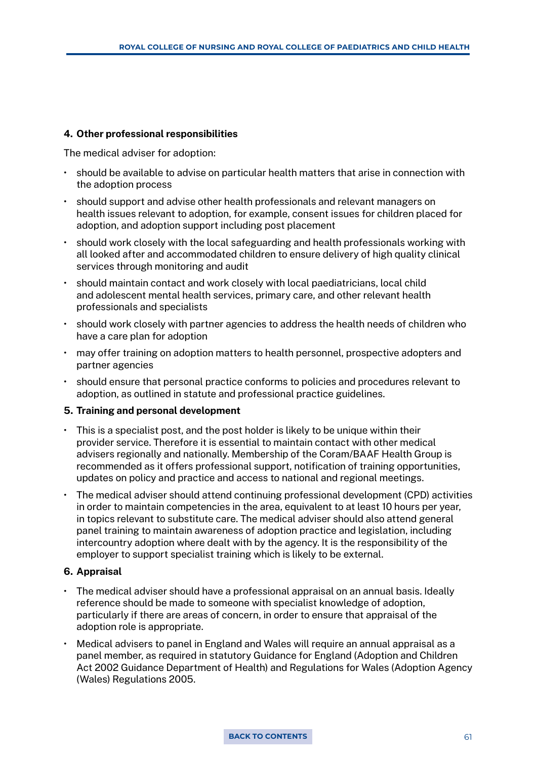# 4. Other professional responsibilities

The medical adviser for adoption:

- should be available to advise on particular health matters that arise in connection with the adoption process
- should support and advise other health professionals and relevant managers on health issues relevant to adoption, for example, consent issues for children placed for adoption, and adoption support including post placement
- should work closely with the local safeguarding and health professionals working with all looked after and accommodated children to ensure delivery of high quality clinical services through monitoring and audit
- should maintain contact and work closely with local paediatricians, local child and adolescent mental health services, primary care, and other relevant health professionals and specialists
- should work closely with partner agencies to address the health needs of children who have a care plan for adoption
- may offer training on adoption matters to health personnel, prospective adopters and partner agencies
- should ensure that personal practice conforms to policies and procedures relevant to adoption, as outlined in statute and professional practice guidelines.

#### 5. Training and personal development

- This is a specialist post, and the post holder is likely to be unique within their provider service. Therefore it is essential to maintain contact with other medical advisers regionally and nationally. Membership of the Coram/BAAF Health Group is recommended as it offers professional support, notification of training opportunities, updates on policy and practice and access to national and regional meetings.
- The medical adviser should attend continuing professional development (CPD) activities in order to maintain competencies in the area, equivalent to at least 10 hours per year, in topics relevant to substitute care. The medical adviser should also attend general panel training to maintain awareness of adoption practice and legislation, including intercountry adoption where dealt with by the agency. It is the responsibility of the employer to support specialist training which is likely to be external.

# 6. Appraisal

- The medical adviser should have a professional appraisal on an annual basis. Ideally reference should be made to someone with specialist knowledge of adoption, particularly if there are areas of concern, in order to ensure that appraisal of the adoption role is appropriate.
- Medical advisers to panel in England and Wales will require an annual appraisal as a panel member, as required in statutory Guidance for England (Adoption and Children Act 2002 Guidance Department of Health) and Regulations for Wales (Adoption Agency (Wales) Regulations 2005.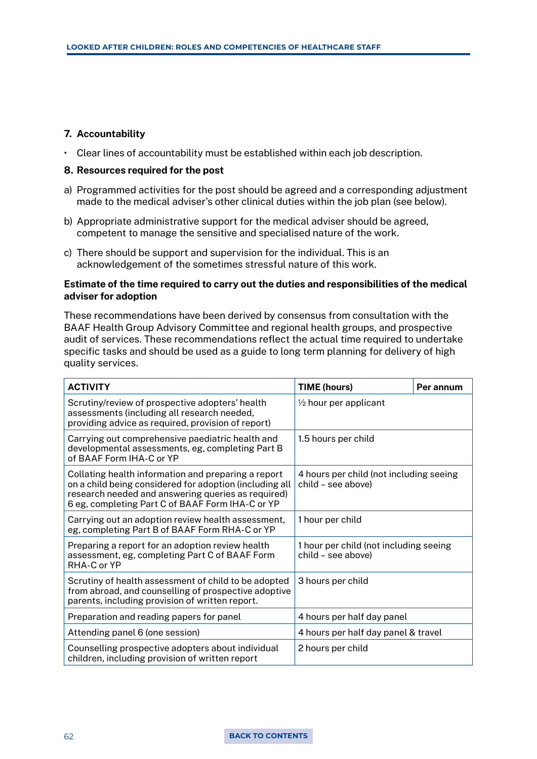# 7. Accountability

• Clear lines of accountability must be established within each job description.

#### 8. Resources required for the post

- a) Programmed activities for the post should be agreed and a corresponding adjustment made to the medical adviser's other clinical duties within the job plan (see below).
- b) Appropriate administrative support for the medical adviser should be agreed, competent to manage the sensitive and specialised nature of the work.
- c) There should be support and supervision for the individual. This is an acknowledgement of the sometimes stressful nature of this work.

#### Estimate of the time required to carry out the duties and responsibilities of the medical adviser for adoption

These recommendations have been derived by consensus from consultation with the BAAF Health Group Advisory Committee and regional health groups, and prospective audit of services. These recommendations reflect the actual time required to undertake specific tasks and should be used as a guide to long term planning for delivery of high quality services.

| <b>ACTIVITY</b>                                                                                                                                                                                                          | <b>TIME (hours)</b>                                           | Per annum |
|--------------------------------------------------------------------------------------------------------------------------------------------------------------------------------------------------------------------------|---------------------------------------------------------------|-----------|
| Scrutiny/review of prospective adopters' health<br>assessments (including all research needed,<br>providing advice as required, provision of report)                                                                     | $\frac{1}{2}$ hour per applicant                              |           |
| Carrying out comprehensive paediatric health and<br>developmental assessments, eg, completing Part B<br>of BAAF Form IHA-C or YP                                                                                         | 1.5 hours per child                                           |           |
| Collating health information and preparing a report<br>on a child being considered for adoption (including all<br>research needed and answering queries as required)<br>6 eg, completing Part C of BAAF Form IHA-C or YP | 4 hours per child (not including seeing<br>child - see above) |           |
| Carrying out an adoption review health assessment,<br>eg, completing Part B of BAAF Form RHA-C or YP                                                                                                                     | 1 hour per child                                              |           |
| Preparing a report for an adoption review health<br>assessment, eg, completing Part C of BAAF Form<br>RHA-C or YP                                                                                                        | 1 hour per child (not including seeing<br>child - see above)  |           |
| Scrutiny of health assessment of child to be adopted<br>from abroad, and counselling of prospective adoptive<br>parents, including provision of written report.                                                          | 3 hours per child                                             |           |
| Preparation and reading papers for panel                                                                                                                                                                                 | 4 hours per half day panel                                    |           |
| Attending panel 6 (one session)                                                                                                                                                                                          | 4 hours per half day panel & travel                           |           |
| Counselling prospective adopters about individual<br>children, including provision of written report                                                                                                                     | 2 hours per child                                             |           |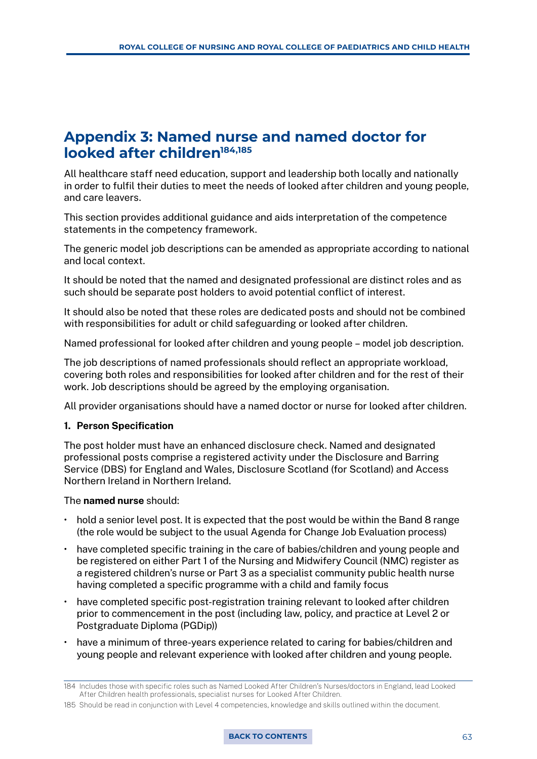# <span id="page-62-0"></span>**Appendix 3: Named nurse and named doctor for**  looked after children<sup>184,185</sup>

All healthcare staff need education, support and leadership both locally and nationally in order to fulfil their duties to meet the needs of looked after children and young people, and care leavers.

This section provides additional guidance and aids interpretation of the competence statements in the competency framework.

The generic model job descriptions can be amended as appropriate according to national and local context.

It should be noted that the named and designated professional are distinct roles and as such should be separate post holders to avoid potential conflict of interest.

It should also be noted that these roles are dedicated posts and should not be combined with responsibilities for adult or child safeguarding or looked after children.

Named professional for looked after children and young people – model job description.

The job descriptions of named professionals should reflect an appropriate workload, covering both roles and responsibilities for looked after children and for the rest of their work. Job descriptions should be agreed by the employing organisation.

All provider organisations should have a named doctor or nurse for looked after children.

#### 1. Person Specification

The post holder must have an enhanced disclosure check. Named and designated professional posts comprise a registered activity under the Disclosure and Barring Service (DBS) for England and Wales, Disclosure Scotland (for Scotland) and Access Northern Ireland in Northern Ireland.

#### The named nurse should:

- hold a senior level post. It is expected that the post would be within the Band 8 range (the role would be subject to the usual Agenda for Change Job Evaluation process)
- have completed specific training in the care of babies/children and young people and be registered on either Part 1 of the Nursing and Midwifery Council (NMC) register as a registered children's nurse or Part 3 as a specialist community public health nurse having completed a specific programme with a child and family focus
- have completed specific post-registration training relevant to looked after children prior to commencement in the post (including law, policy, and practice at Level 2 or Postgraduate Diploma (PGDip))
- have a minimum of three-years experience related to caring for babies/children and young people and relevant experience with looked after children and young people.

<sup>184</sup> Includes those with specific roles such as Named Looked After Children's Nurses/doctors in England, lead Looked After Children health professionals, specialist nurses for Looked After Children.

<sup>185</sup> Should be read in conjunction with Level 4 competencies, knowledge and skills outlined within the document.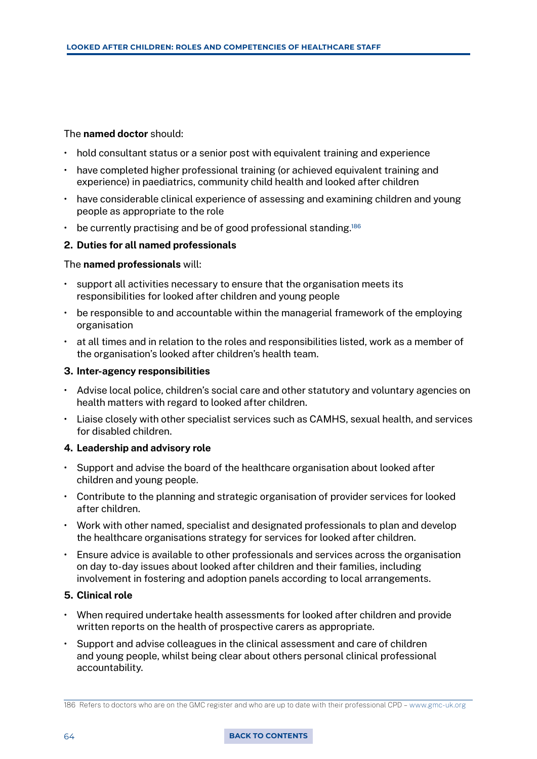# The named doctor should:

- hold consultant status or a senior post with equivalent training and experience
- have completed higher professional training (or achieved equivalent training and experience) in paediatrics, community child health and looked after children
- have considerable clinical experience of assessing and examining children and young people as appropriate to the role
- $\cdot$  be currently practising and be of good professional standing.<sup>186</sup>

# 2. Duties for all named professionals

#### The named professionals will:

- support all activities necessary to ensure that the organisation meets its responsibilities for looked after children and young people
- be responsible to and accountable within the managerial framework of the employing organisation
- at all times and in relation to the roles and responsibilities listed, work as a member of the organisation's looked after children's health team.

#### 3. Inter-agency responsibilities

- Advise local police, children's social care and other statutory and voluntary agencies on health matters with regard to looked after children.
- Liaise closely with other specialist services such as CAMHS, sexual health, and services for disabled children.

# 4. Leadership and advisory role

- Support and advise the board of the healthcare organisation about looked after children and young people.
- Contribute to the planning and strategic organisation of provider services for looked after children.
- Work with other named, specialist and designated professionals to plan and develop the healthcare organisations strategy for services for looked after children.
- Ensure advice is available to other professionals and services across the organisation on day to-day issues about looked after children and their families, including involvement in fostering and adoption panels according to local arrangements.

# 5. Clinical role

- When required undertake health assessments for looked after children and provide written reports on the health of prospective carers as appropriate.
- Support and advise colleagues in the clinical assessment and care of children and young people, whilst being clear about others personal clinical professional accountability.

<sup>186</sup> Refers to doctors who are on the GMC register and who are up to date with their professional CPD – [www.gmc-uk.org](https://www.gmc-uk.org)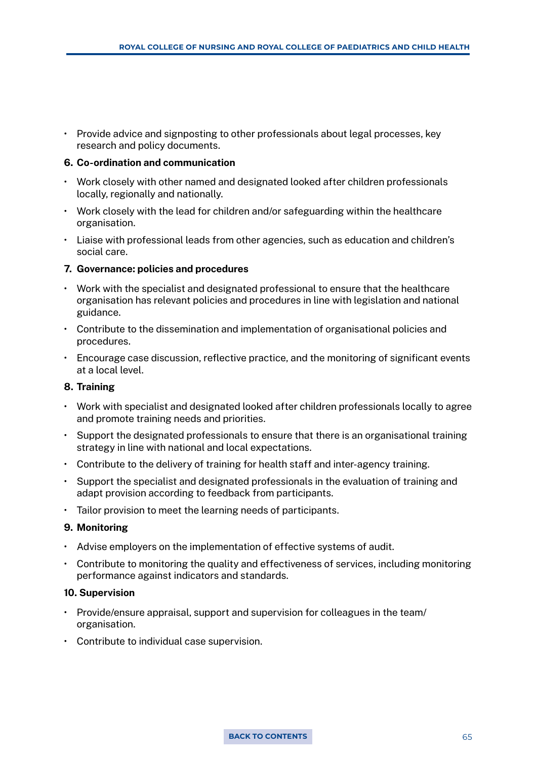• Provide advice and signposting to other professionals about legal processes, key research and policy documents.

#### 6. Co-ordination and communication

- Work closely with other named and designated looked after children professionals locally, regionally and nationally.
- Work closely with the lead for children and/or safeguarding within the healthcare organisation.
- Liaise with professional leads from other agencies, such as education and children's social care.

# 7. Governance: policies and procedures

- Work with the specialist and designated professional to ensure that the healthcare organisation has relevant policies and procedures in line with legislation and national guidance.
- Contribute to the dissemination and implementation of organisational policies and procedures.
- Encourage case discussion, reflective practice, and the monitoring of significant events at a local level.

# 8. Training

- Work with specialist and designated looked after children professionals locally to agree and promote training needs and priorities.
- Support the designated professionals to ensure that there is an organisational training strategy in line with national and local expectations.
- Contribute to the delivery of training for health staff and inter-agency training.
- Support the specialist and designated professionals in the evaluation of training and adapt provision according to feedback from participants.
- Tailor provision to meet the learning needs of participants.

# 9. Monitoring

- Advise employers on the implementation of effective systems of audit.
- Contribute to monitoring the quality and effectiveness of services, including monitoring performance against indicators and standards.

# 10. Supervision

- Provide/ensure appraisal, support and supervision for colleagues in the team/ organisation.
- Contribute to individual case supervision.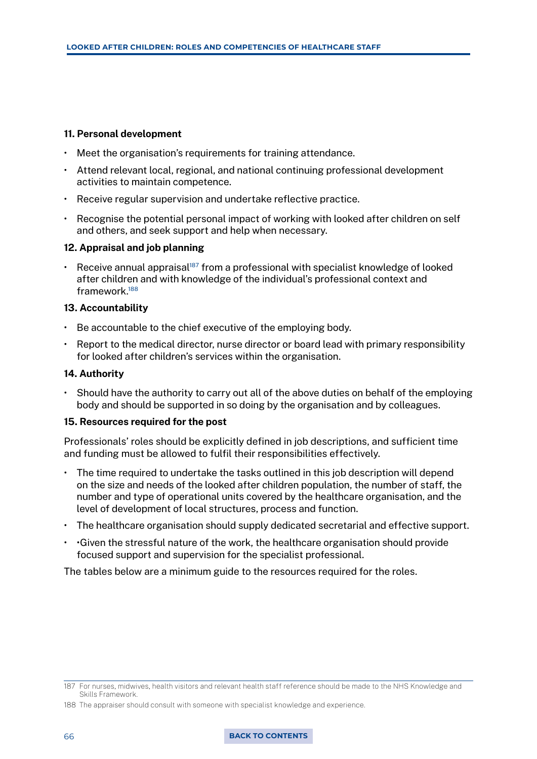# 11. Personal development

- Meet the organisation's requirements for training attendance.
- Attend relevant local, regional, and national continuing professional development activities to maintain competence.
- Receive regular supervision and undertake reflective practice.
- Recognise the potential personal impact of working with looked after children on self and others, and seek support and help when necessary.

#### 12. Appraisal and job planning

 $\cdot$  Receive annual appraisal<sup>187</sup> from a professional with specialist knowledge of looked after children and with knowledge of the individual's professional context and framework.188

#### 13. Accountability

- Be accountable to the chief executive of the employing body.
- Report to the medical director, nurse director or board lead with primary responsibility for looked after children's services within the organisation.

#### 14. Authority

• Should have the authority to carry out all of the above duties on behalf of the employing body and should be supported in so doing by the organisation and by colleagues.

#### 15. Resources required for the post

Professionals' roles should be explicitly defined in job descriptions, and sufficient time and funding must be allowed to fulfil their responsibilities effectively.

- The time required to undertake the tasks outlined in this job description will depend on the size and needs of the looked after children population, the number of staff, the number and type of operational units covered by the healthcare organisation, and the level of development of local structures, process and function.
- The healthcare organisation should supply dedicated secretarial and effective support.
- •Given the stressful nature of the work, the healthcare organisation should provide focused support and supervision for the specialist professional.

The tables below are a minimum guide to the resources required for the roles.

<sup>187</sup> For nurses, midwives, health visitors and relevant health staff reference should be made to the NHS Knowledge and Skills Framework.

<sup>188</sup> The appraiser should consult with someone with specialist knowledge and experience.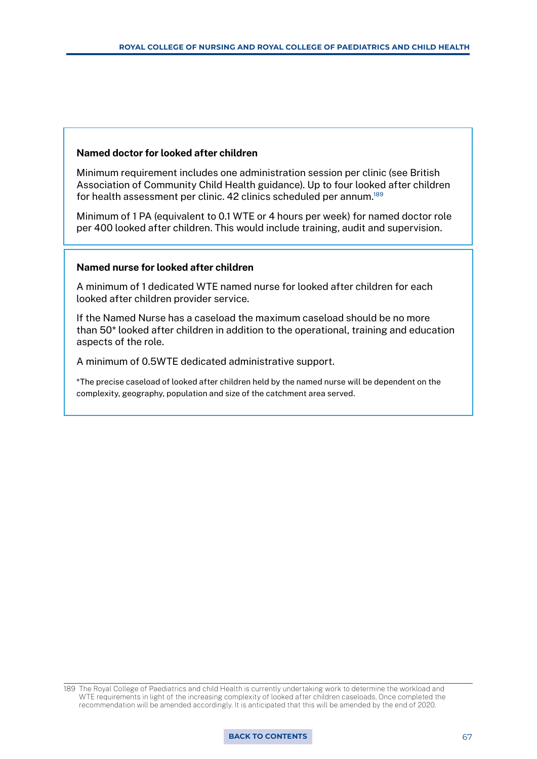#### Named doctor for looked after children

 Minimum requirement includes one administration session per clinic (see British Association of Community Child Health guidance). Up to four looked after children for health assessment per clinic. 42 clinics scheduled per annum.189

 Minimum of 1 PA (equivalent to 0.1 WTE or 4 hours per week) for named doctor role per 400 looked after children. This would include training, audit and supervision.

#### Named nurse for looked after children

 A minimum of 1 dedicated WTE named nurse for looked after children for each looked after children provider service.

 If the Named Nurse has a caseload the maximum caseload should be no more than 50\* looked after children in addition to the operational, training and education aspects of the role.

A minimum of 0.5WTE dedicated administrative support.

\*The precise caseload of looked after children held by the named nurse will be dependent on the complexity, geography, population and size of the catchment area served.

189 The Royal College of Paediatrics and child Health is currently undertaking work to determine the workload and WTE requirements in light of the increasing complexity of looked after children caseloads. Once completed the recommendation will be amended accordingly. It is anticipated that this will be amended by the end of 2020.

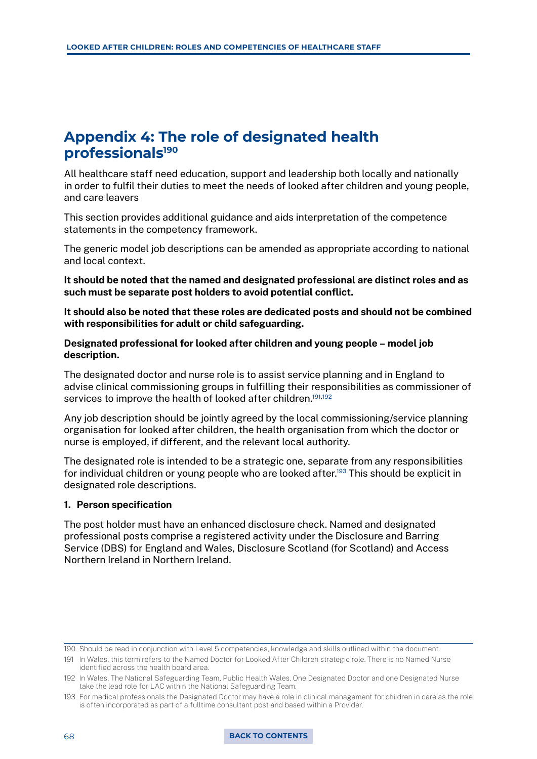# **Appendix 4: The role of designated health professionals190**

All healthcare staff need education, support and leadership both locally and nationally in order to fulfil their duties to meet the needs of looked after children and young people, and care leavers

This section provides additional guidance and aids interpretation of the competence statements in the competency framework.

The generic model job descriptions can be amended as appropriate according to national and local context.

It should be noted that the named and designated professional are distinct roles and as such must be separate post holders to avoid potential conflict.

It should also be noted that these roles are dedicated posts and should not be combined with responsibilities for adult or child safeguarding.

# Designated professional for looked after children and young people – model job description.

The designated doctor and nurse role is to assist service planning and in England to advise clinical commissioning groups in fulfilling their responsibilities as commissioner of services to improve the health of looked after children.<sup>191,192</sup>

Any job description should be jointly agreed by the local commissioning/service planning organisation for looked after children, the health organisation from which the doctor or nurse is employed, if different, and the relevant local authority.

The designated role is intended to be a strategic one, separate from any responsibilities for individual children or young people who are looked after.<sup>193</sup> This should be explicit in designated role descriptions.

# 1. Person specification

The post holder must have an enhanced disclosure check. Named and designated professional posts comprise a registered activity under the Disclosure and Barring Service (DBS) for England and Wales, Disclosure Scotland (for Scotland) and Access Northern Ireland in Northern Ireland.

<sup>190</sup> Should be read in conjunction with Level 5 competencies, knowledge and skills outlined within the document.

<sup>191</sup> In Wales, this term refers to the Named Doctor for Looked After Children strategic role. There is no Named Nurse identified across the health board area.

<sup>192</sup> In Wales, The National Safeguarding Team, Public Health Wales. One Designated Doctor and one Designated Nurse take the lead role for LAC within the National Safeguarding Team.

<sup>193</sup> For medical professionals the Designated Doctor may have a role in clinical management for children in care as the role is often incorporated as part of a fulltime consultant post and based within a Provider.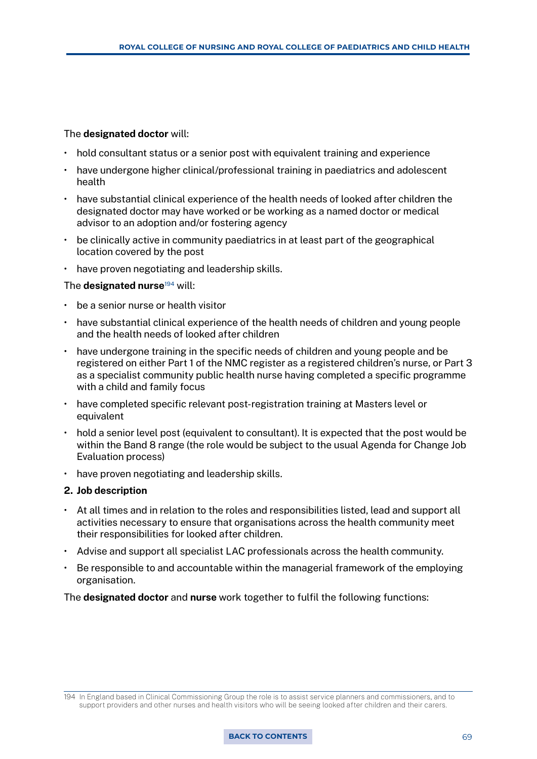# The designated doctor will:

- hold consultant status or a senior post with equivalent training and experience
- have undergone higher clinical/professional training in paediatrics and adolescent health
- have substantial clinical experience of the health needs of looked after children the designated doctor may have worked or be working as a named doctor or medical advisor to an adoption and/or fostering agency
- be clinically active in community paediatrics in at least part of the geographical location covered by the post
- have proven negotiating and leadership skills.

# The designated nurse $194$  will:

- be a senior nurse or health visitor
- have substantial clinical experience of the health needs of children and young people and the health needs of looked after children
- have undergone training in the specific needs of children and young people and be registered on either Part 1 of the NMC register as a registered children's nurse, or Part 3 as a specialist community public health nurse having completed a specific programme with a child and family focus
- have completed specific relevant post-registration training at Masters level or equivalent
- hold a senior level post (equivalent to consultant). It is expected that the post would be within the Band 8 range (the role would be subject to the usual Agenda for Change Job Evaluation process)
- have proven negotiating and leadership skills.

# 2. Job description

- At all times and in relation to the roles and responsibilities listed, lead and support all activities necessary to ensure that organisations across the health community meet their responsibilities for looked after children.
- Advise and support all specialist LAC professionals across the health community.
- Be responsible to and accountable within the managerial framework of the employing organisation.

The designated doctor and nurse work together to fulfil the following functions:

<sup>194</sup> In England based in Clinical Commissioning Group the role is to assist service planners and commissioners, and to support providers and other nurses and health visitors who will be seeing looked after children and their carers.

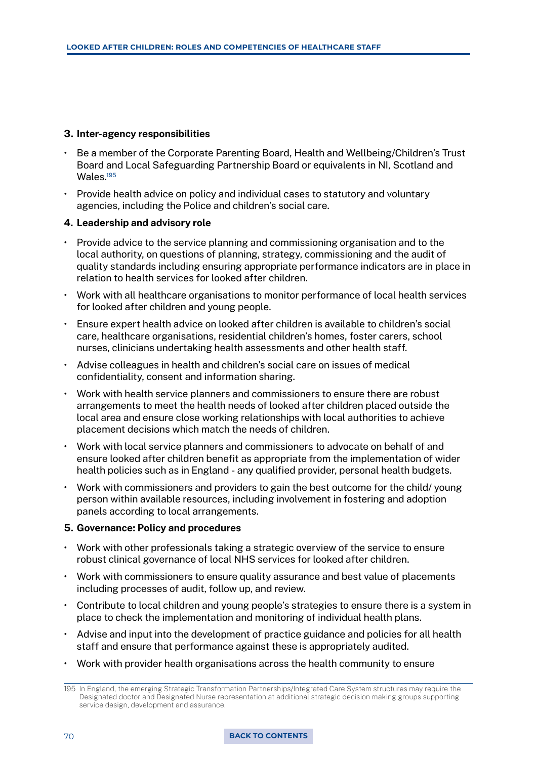# 3. Inter-agency responsibilities

- Be a member of the Corporate Parenting Board, Health and Wellbeing/Children's Trust Board and Local Safeguarding Partnership Board or equivalents in NI, Scotland and Wales.<sup>195</sup>
- Provide health advice on policy and individual cases to statutory and voluntary agencies, including the Police and children's social care.

#### 4. Leadership and advisory role

- Provide advice to the service planning and commissioning organisation and to the local authority, on questions of planning, strategy, commissioning and the audit of quality standards including ensuring appropriate performance indicators are in place in relation to health services for looked after children.
- Work with all healthcare organisations to monitor performance of local health services for looked after children and young people.
- Ensure expert health advice on looked after children is available to children's social care, healthcare organisations, residential children's homes, foster carers, school nurses, clinicians undertaking health assessments and other health staff.
- Advise colleagues in health and children's social care on issues of medical confidentiality, consent and information sharing.
- Work with health service planners and commissioners to ensure there are robust arrangements to meet the health needs of looked after children placed outside the local area and ensure close working relationships with local authorities to achieve placement decisions which match the needs of children.
- Work with local service planners and commissioners to advocate on behalf of and ensure looked after children benefit as appropriate from the implementation of wider health policies such as in England - any qualified provider, personal health budgets.
- Work with commissioners and providers to gain the best outcome for the child/ young person within available resources, including involvement in fostering and adoption panels according to local arrangements.

#### 5. Governance: Policy and procedures

- Work with other professionals taking a strategic overview of the service to ensure robust clinical governance of local NHS services for looked after children.
- Work with commissioners to ensure quality assurance and best value of placements including processes of audit, follow up, and review.
- Contribute to local children and young people's strategies to ensure there is a system in place to check the implementation and monitoring of individual health plans.
- Advise and input into the development of practice guidance and policies for all health staff and ensure that performance against these is appropriately audited.
- Work with provider health organisations across the health community to ensure

<sup>195</sup> In England, the emerging Strategic Transformation Partnerships/Integrated Care System structures may require the Designated doctor and Designated Nurse representation at additional strategic decision making groups supporting service design, development and assurance.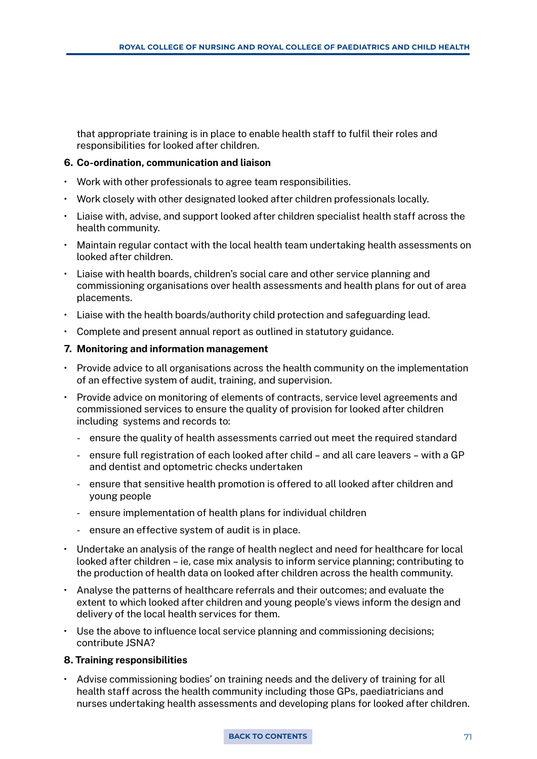that appropriate training is in place to enable health staff to fulfil their roles and responsibilities for looked after children.

#### 6. Co-ordination, communication and liaison

- Work with other professionals to agree team responsibilities.
- Work closely with other designated looked after children professionals locally.
- Liaise with, advise, and support looked after children specialist health staff across the health community.
- Maintain regular contact with the local health team undertaking health assessments on looked after children.
- Liaise with health boards, children's social care and other service planning and commissioning organisations over health assessments and health plans for out of area placements.
- Liaise with the health boards/authority child protection and safeguarding lead.
- Complete and present annual report as outlined in statutory guidance.

#### 7. Monitoring and information management

- Provide advice to all organisations across the health community on the implementation of an effective system of audit, training, and supervision.
- Provide advice on monitoring of elements of contracts, service level agreements and commissioned services to ensure the quality of provision for looked after children including systems and records to:
	- ensure the quality of health assessments carried out meet the required standard
	- ensure full registration of each looked after child and all care leavers with a GP and dentist and optometric checks undertaken
	- ensure that sensitive health promotion is offered to all looked after children and young people
	- ensure implementation of health plans for individual children
	- ensure an effective system of audit is in place.
- Undertake an analysis of the range of health neglect and need for healthcare for local looked after children – ie, case mix analysis to inform service planning; contributing to the production of health data on looked after children across the health community.
- Analyse the patterns of healthcare referrals and their outcomes; and evaluate the extent to which looked after children and young people's views inform the design and delivery of the local health services for them.
- Use the above to influence local service planning and commissioning decisions; contribute JSNA?

#### 8. Training responsibilities

• Advise commissioning bodies' on training needs and the delivery of training for all health staff across the health community including those GPs, paediatricians and nurses undertaking health assessments and developing plans for looked after children.

#### **[BACK TO CONTENTS](#page-2-0)** 271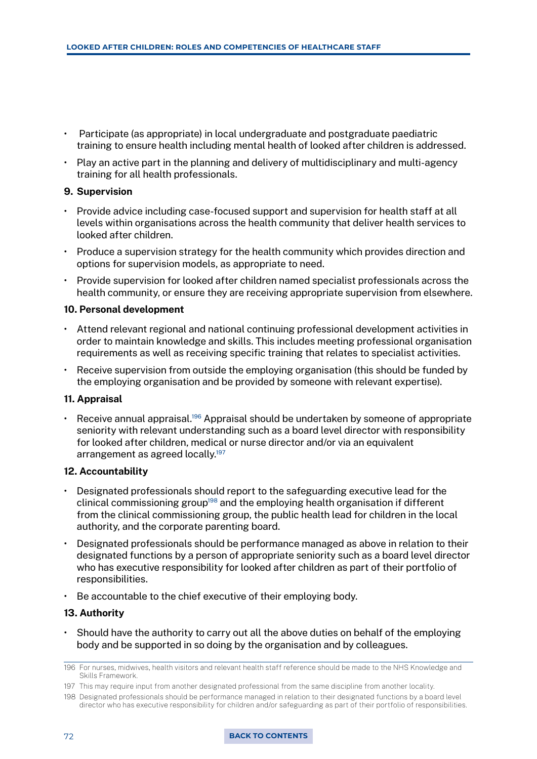- Participate (as appropriate) in local undergraduate and postgraduate paediatric training to ensure health including mental health of looked after children is addressed.
- Play an active part in the planning and delivery of multidisciplinary and multi-agency training for all health professionals.

# 9. Supervision

- Provide advice including case-focused support and supervision for health staff at all levels within organisations across the health community that deliver health services to looked after children.
- Produce a supervision strategy for the health community which provides direction and options for supervision models, as appropriate to need.
- Provide supervision for looked after children named specialist professionals across the health community, or ensure they are receiving appropriate supervision from elsewhere.

# 10. Personal development

- Attend relevant regional and national continuing professional development activities in order to maintain knowledge and skills. This includes meeting professional organisation requirements as well as receiving specific training that relates to specialist activities.
- Receive supervision from outside the employing organisation (this should be funded by the employing organisation and be provided by someone with relevant expertise).

# 11. Appraisal

• Receive annual appraisal.<sup>196</sup> Appraisal should be undertaken by someone of appropriate seniority with relevant understanding such as a board level director with responsibility for looked after children, medical or nurse director and/or via an equivalent arrangement as agreed locally.<sup>197</sup>

# 12. Accountability

- Designated professionals should report to the safeguarding executive lead for the clinical commissioning group<sup>198</sup> and the employing health organisation if different from the clinical commissioning group, the public health lead for children in the local authority, and the corporate parenting board.
- Designated professionals should be performance managed as above in relation to their designated functions by a person of appropriate seniority such as a board level director who has executive responsibility for looked after children as part of their portfolio of responsibilities.
- Be accountable to the chief executive of their employing body.

# 13. Authority

• Should have the authority to carry out all the above duties on behalf of the employing body and be supported in so doing by the organisation and by colleagues.

<sup>196</sup> For nurses, midwives, health visitors and relevant health staff reference should be made to the NHS Knowledge and Skills Framework.

<sup>197</sup> This may require input from another designated professional from the same discipline from another locality.

<sup>198</sup> Designated professionals should be performance managed in relation to their designated functions by a board level director who has executive responsibility for children and/or safeguarding as part of their portfolio of responsibilities.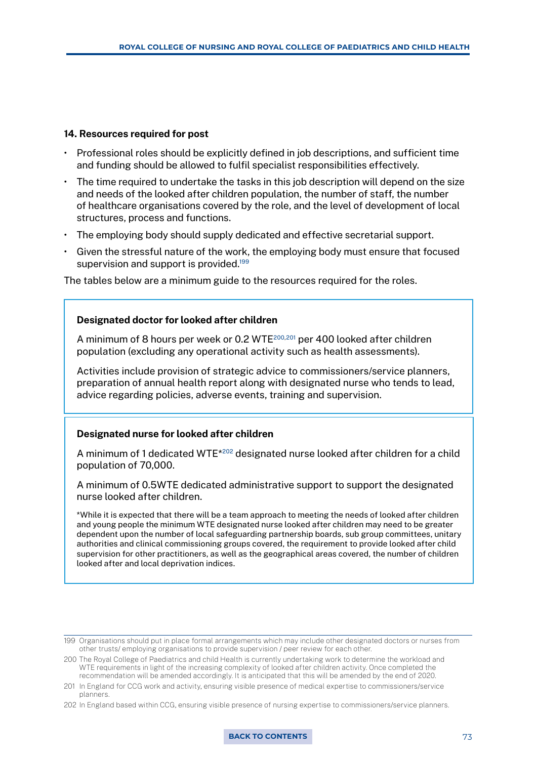### 14. Resources required for post

- Professional roles should be explicitly defined in job descriptions, and sufficient time and funding should be allowed to fulfil specialist responsibilities effectively.
- The time required to undertake the tasks in this job description will depend on the size and needs of the looked after children population, the number of staff, the number of healthcare organisations covered by the role, and the level of development of local structures, process and functions.
- The employing body should supply dedicated and effective secretarial support.
- Given the stressful nature of the work, the employing body must ensure that focused supervision and support is provided.<sup>199</sup>

The tables below are a minimum guide to the resources required for the roles.

### Designated doctor for looked after children

A minimum of 8 hours per week or 0.2 WTE<sup>200,201</sup> per 400 looked after children population (excluding any operational activity such as health assessments).

 Activities include provision of strategic advice to commissioners/service planners, preparation of annual health report along with designated nurse who tends to lead, advice regarding policies, adverse events, training and supervision.

### Designated nurse for looked after children

A minimum of 1 dedicated WTE<sup> $\star$ 202</sup> designated nurse looked after children for a child population of 70,000.

 A minimum of 0.5WTE dedicated administrative support to support the designated nurse looked after children.

 \*While it is expected that there will be a team approach to meeting the needs of looked after children and young people the minimum WTE designated nurse looked after children may need to be greater dependent upon the number of local safeguarding partnership boards, sub group committees, unitary authorities and clinical commissioning groups covered, the requirement to provide looked after child supervision for other practitioners, as well as the geographical areas covered, the number of children looked after and local deprivation indices.

<sup>202</sup> In England based within CCG, ensuring visible presence of nursing expertise to commissioners/service planners.



<sup>199</sup> Organisations should put in place formal arrangements which may include other designated doctors or nurses from other trusts/ employing organisations to provide supervision / peer review for each other.

<sup>200</sup> The Royal College of Paediatrics and child Health is currently undertaking work to determine the workload and WTE requirements in light of the increasing complexity of looked after children activity. Once completed the recommendation will be amended accordingly. It is anticipated that this will be amended by the end of 2020.

<sup>201</sup> In England for CCG work and activity, ensuring visible presence of medical expertise to commissioners/service planners.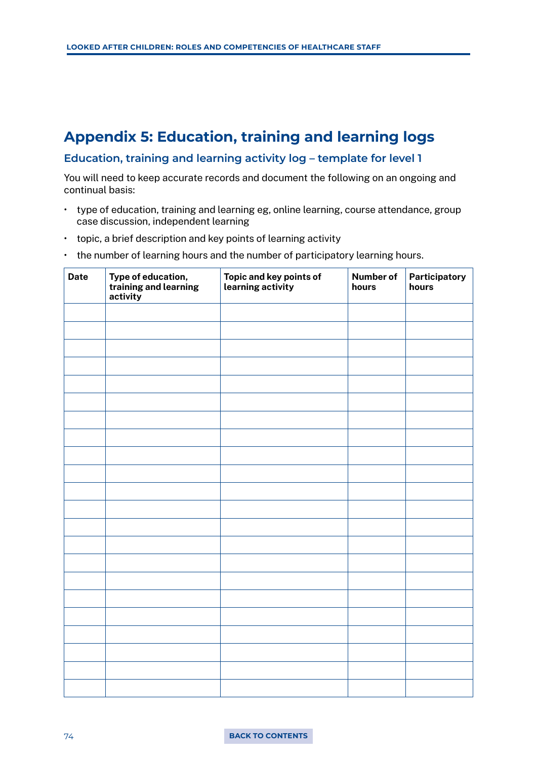# **Appendix 5: Education, training and learning logs**

# **Education, training and learning activity log – template for level 1**

You will need to keep accurate records and document the following on an ongoing and continual basis:

- type of education, training and learning eg, online learning, course attendance, group case discussion, independent learning
- topic, a brief description and key points of learning activity
- the number of learning hours and the number of participatory learning hours.

| <b>Date</b> | Type of education,<br>training and learning<br>activity | Topic and key points of<br>learning activity | Number of<br>hours | Participatory<br>hours |
|-------------|---------------------------------------------------------|----------------------------------------------|--------------------|------------------------|
|             |                                                         |                                              |                    |                        |
|             |                                                         |                                              |                    |                        |
|             |                                                         |                                              |                    |                        |
|             |                                                         |                                              |                    |                        |
|             |                                                         |                                              |                    |                        |
|             |                                                         |                                              |                    |                        |
|             |                                                         |                                              |                    |                        |
|             |                                                         |                                              |                    |                        |
|             |                                                         |                                              |                    |                        |
|             |                                                         |                                              |                    |                        |
|             |                                                         |                                              |                    |                        |
|             |                                                         |                                              |                    |                        |
|             |                                                         |                                              |                    |                        |
|             |                                                         |                                              |                    |                        |
|             |                                                         |                                              |                    |                        |
|             |                                                         |                                              |                    |                        |
|             |                                                         |                                              |                    |                        |
|             |                                                         |                                              |                    |                        |
|             |                                                         |                                              |                    |                        |
|             |                                                         |                                              |                    |                        |
|             |                                                         |                                              |                    |                        |
|             |                                                         |                                              |                    |                        |

#### 74 **[BACK TO CONTENTS](#page-2-0)**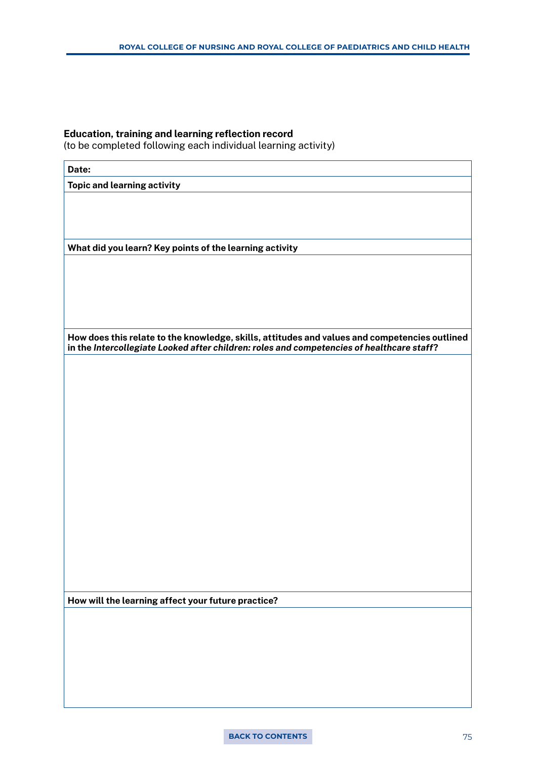(to be completed following each individual learning activity)

Date:

Topic and learning activity

What did you learn? Key points of the learning activity

How does this relate to the knowledge, skills, attitudes and values and competencies outlined in the *Intercollegiate Looked after children: roles and competencies of healthcare staff*?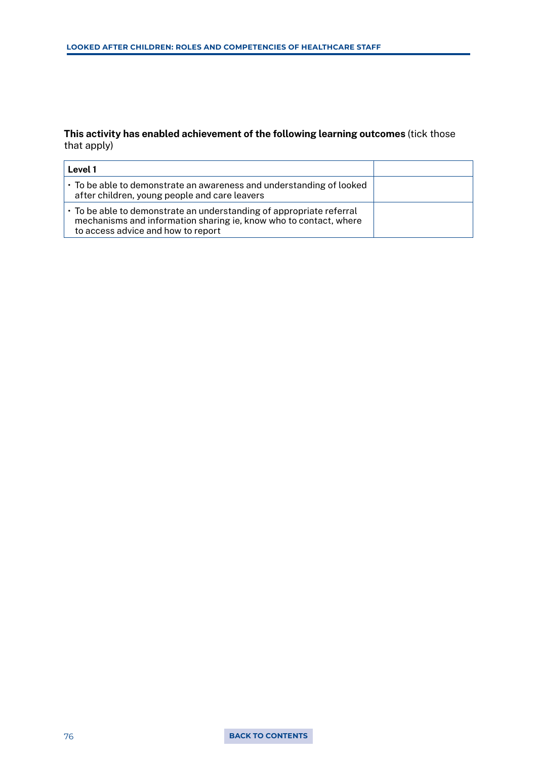| Level 1                                                                                                                                                                         |  |
|---------------------------------------------------------------------------------------------------------------------------------------------------------------------------------|--|
| • To be able to demonstrate an awareness and understanding of looked<br>after children, young people and care leavers                                                           |  |
| • To be able to demonstrate an understanding of appropriate referral<br>mechanisms and information sharing ie, know who to contact, where<br>to access advice and how to report |  |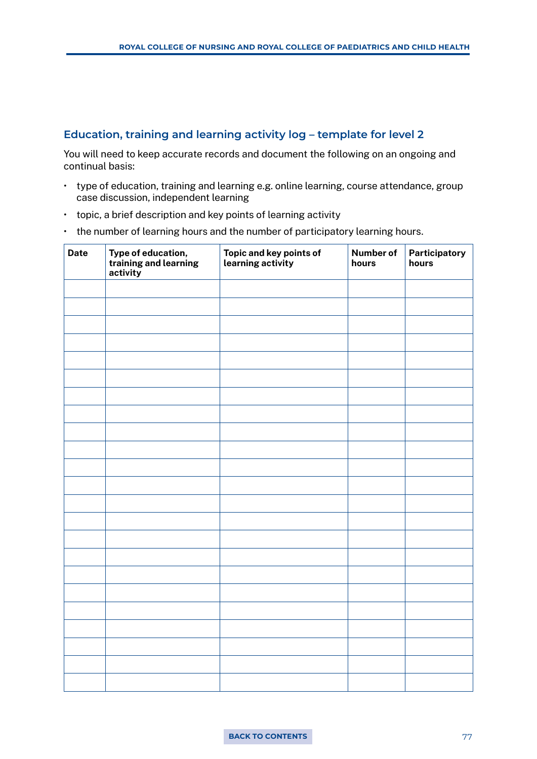# **Education, training and learning activity log – template for level 2**

You will need to keep accurate records and document the following on an ongoing and continual basis:

- type of education, training and learning e.g. online learning, course attendance, group case discussion, independent learning
- topic, a brief description and key points of learning activity
- the number of learning hours and the number of participatory learning hours.

| <b>Date</b> | Type of education,<br>training and learning<br>activity | Topic and key points of<br>learning activity | <b>Number of</b><br>hours | Participatory<br>hours |
|-------------|---------------------------------------------------------|----------------------------------------------|---------------------------|------------------------|
|             |                                                         |                                              |                           |                        |
|             |                                                         |                                              |                           |                        |
|             |                                                         |                                              |                           |                        |
|             |                                                         |                                              |                           |                        |
|             |                                                         |                                              |                           |                        |
|             |                                                         |                                              |                           |                        |
|             |                                                         |                                              |                           |                        |
|             |                                                         |                                              |                           |                        |
|             |                                                         |                                              |                           |                        |
|             |                                                         |                                              |                           |                        |
|             |                                                         |                                              |                           |                        |
|             |                                                         |                                              |                           |                        |
|             |                                                         |                                              |                           |                        |
|             |                                                         |                                              |                           |                        |
|             |                                                         |                                              |                           |                        |
|             |                                                         |                                              |                           |                        |
|             |                                                         |                                              |                           |                        |
|             |                                                         |                                              |                           |                        |
|             |                                                         |                                              |                           |                        |
|             |                                                         |                                              |                           |                        |
|             |                                                         |                                              |                           |                        |
|             |                                                         |                                              |                           |                        |
|             |                                                         |                                              |                           |                        |

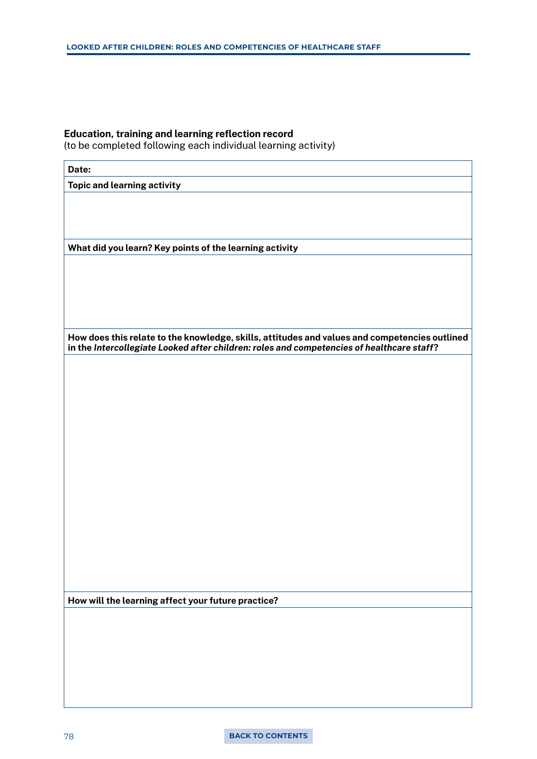(to be completed following each individual learning activity)

Date:

Topic and learning activity

What did you learn? Key points of the learning activity

How does this relate to the knowledge, skills, attitudes and values and competencies outlined in the *Intercollegiate Looked after children: roles and competencies of healthcare staff*?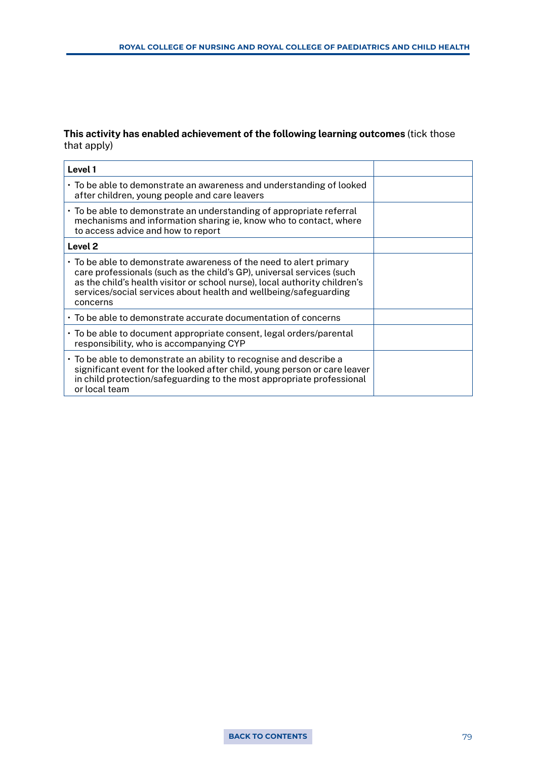| Level 1                                                                                                                                                                                                                                                                                                   |  |
|-----------------------------------------------------------------------------------------------------------------------------------------------------------------------------------------------------------------------------------------------------------------------------------------------------------|--|
| • To be able to demonstrate an awareness and understanding of looked<br>after children, young people and care leavers                                                                                                                                                                                     |  |
| • To be able to demonstrate an understanding of appropriate referral<br>mechanisms and information sharing ie, know who to contact, where<br>to access advice and how to report                                                                                                                           |  |
| Level 2                                                                                                                                                                                                                                                                                                   |  |
| • To be able to demonstrate awareness of the need to alert primary<br>care professionals (such as the child's GP), universal services (such<br>as the child's health visitor or school nurse), local authority children's<br>services/social services about health and wellbeing/safeguarding<br>concerns |  |
| • To be able to demonstrate accurate documentation of concerns                                                                                                                                                                                                                                            |  |
| • To be able to document appropriate consent, legal orders/parental<br>responsibility, who is accompanying CYP                                                                                                                                                                                            |  |
| • To be able to demonstrate an ability to recognise and describe a<br>significant event for the looked after child, young person or care leaver<br>in child protection/safeguarding to the most appropriate professional<br>or local team                                                                 |  |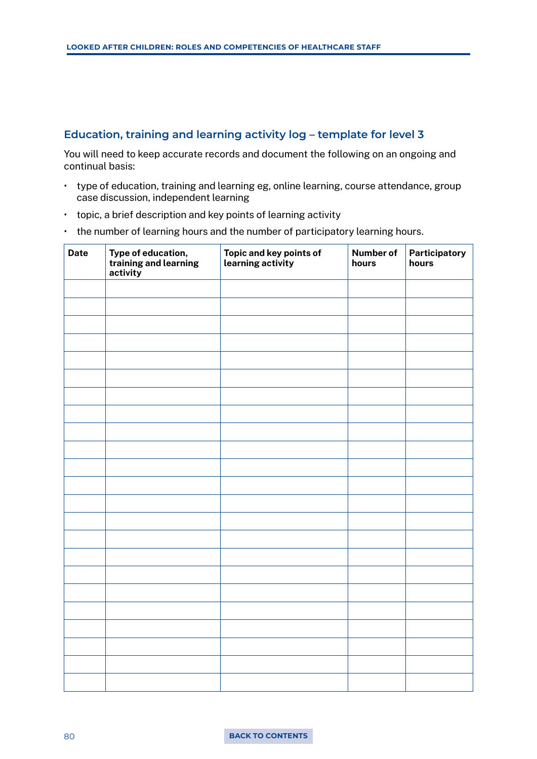# **Education, training and learning activity log – template for level 3**

You will need to keep accurate records and document the following on an ongoing and continual basis:

- type of education, training and learning eg, online learning, course attendance, group case discussion, independent learning
- topic, a brief description and key points of learning activity
- the number of learning hours and the number of participatory learning hours.

| <b>Date</b> | Type of education,<br>training and learning<br>activity | Topic and key points of<br>learning activity | Number of<br>hours | Participatory<br>hours |
|-------------|---------------------------------------------------------|----------------------------------------------|--------------------|------------------------|
|             |                                                         |                                              |                    |                        |
|             |                                                         |                                              |                    |                        |
|             |                                                         |                                              |                    |                        |
|             |                                                         |                                              |                    |                        |
|             |                                                         |                                              |                    |                        |
|             |                                                         |                                              |                    |                        |
|             |                                                         |                                              |                    |                        |
|             |                                                         |                                              |                    |                        |
|             |                                                         |                                              |                    |                        |
|             |                                                         |                                              |                    |                        |
|             |                                                         |                                              |                    |                        |
|             |                                                         |                                              |                    |                        |
|             |                                                         |                                              |                    |                        |
|             |                                                         |                                              |                    |                        |
|             |                                                         |                                              |                    |                        |
|             |                                                         |                                              |                    |                        |
|             |                                                         |                                              |                    |                        |
|             |                                                         |                                              |                    |                        |
|             |                                                         |                                              |                    |                        |
|             |                                                         |                                              |                    |                        |
|             |                                                         |                                              |                    |                        |
|             |                                                         |                                              |                    |                        |
|             |                                                         |                                              |                    |                        |

#### 80 **[BACK TO CONTENTS](#page-2-0)**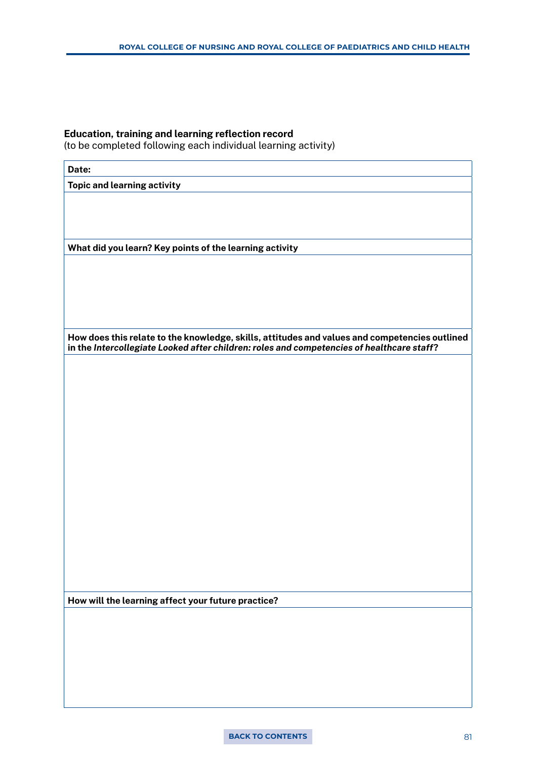(to be completed following each individual learning activity)

Date:

Topic and learning activity

What did you learn? Key points of the learning activity

How does this relate to the knowledge, skills, attitudes and values and competencies outlined in the *Intercollegiate Looked after children: roles and competencies of healthcare staff*?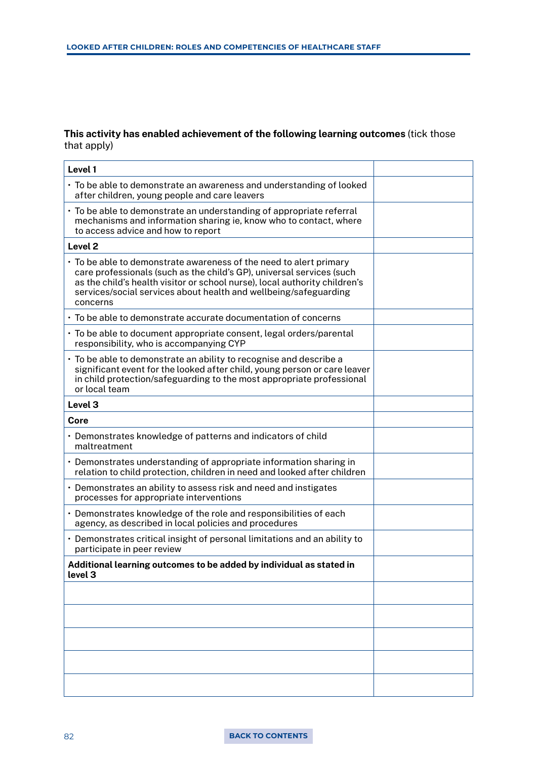| Level 1                                                                                                                                                                                                                                                                                                   |  |
|-----------------------------------------------------------------------------------------------------------------------------------------------------------------------------------------------------------------------------------------------------------------------------------------------------------|--|
| • To be able to demonstrate an awareness and understanding of looked<br>after children, young people and care leavers                                                                                                                                                                                     |  |
| · To be able to demonstrate an understanding of appropriate referral<br>mechanisms and information sharing ie, know who to contact, where<br>to access advice and how to report                                                                                                                           |  |
| Level <sub>2</sub>                                                                                                                                                                                                                                                                                        |  |
| • To be able to demonstrate awareness of the need to alert primary<br>care professionals (such as the child's GP), universal services (such<br>as the child's health visitor or school nurse), local authority children's<br>services/social services about health and wellbeing/safeguarding<br>concerns |  |
| • To be able to demonstrate accurate documentation of concerns                                                                                                                                                                                                                                            |  |
| • To be able to document appropriate consent, legal orders/parental<br>responsibility, who is accompanying CYP                                                                                                                                                                                            |  |
| • To be able to demonstrate an ability to recognise and describe a<br>significant event for the looked after child, young person or care leaver<br>in child protection/safeguarding to the most appropriate professional<br>or local team                                                                 |  |
| Level <sub>3</sub>                                                                                                                                                                                                                                                                                        |  |
| Core                                                                                                                                                                                                                                                                                                      |  |
| • Demonstrates knowledge of patterns and indicators of child<br>maltreatment                                                                                                                                                                                                                              |  |
| • Demonstrates understanding of appropriate information sharing in<br>relation to child protection, children in need and looked after children                                                                                                                                                            |  |
| • Demonstrates an ability to assess risk and need and instigates<br>processes for appropriate interventions                                                                                                                                                                                               |  |
| • Demonstrates knowledge of the role and responsibilities of each<br>agency, as described in local policies and procedures                                                                                                                                                                                |  |
| • Demonstrates critical insight of personal limitations and an ability to<br>participate in peer review                                                                                                                                                                                                   |  |
| Additional learning outcomes to be added by individual as stated in<br>level 3                                                                                                                                                                                                                            |  |
|                                                                                                                                                                                                                                                                                                           |  |
|                                                                                                                                                                                                                                                                                                           |  |
|                                                                                                                                                                                                                                                                                                           |  |
|                                                                                                                                                                                                                                                                                                           |  |
|                                                                                                                                                                                                                                                                                                           |  |

### 82 **[BACK TO CONTENTS](#page-2-0)**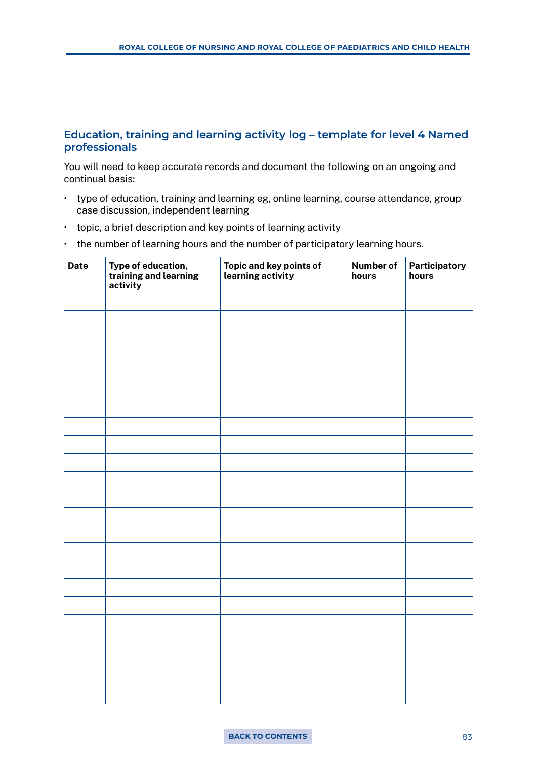# **Education, training and learning activity log – template for level 4 Named professionals**

You will need to keep accurate records and document the following on an ongoing and continual basis:

- type of education, training and learning eg, online learning, course attendance, group case discussion, independent learning
- topic, a brief description and key points of learning activity
- the number of learning hours and the number of participatory learning hours.

| <b>Date</b> | Type of education,<br>training and learning<br>activity | Topic and key points of<br>learning activity | Number of<br>hours | Participatory<br>hours |
|-------------|---------------------------------------------------------|----------------------------------------------|--------------------|------------------------|
|             |                                                         |                                              |                    |                        |
|             |                                                         |                                              |                    |                        |
|             |                                                         |                                              |                    |                        |
|             |                                                         |                                              |                    |                        |
|             |                                                         |                                              |                    |                        |
|             |                                                         |                                              |                    |                        |
|             |                                                         |                                              |                    |                        |
|             |                                                         |                                              |                    |                        |
|             |                                                         |                                              |                    |                        |
|             |                                                         |                                              |                    |                        |
|             |                                                         |                                              |                    |                        |
|             |                                                         |                                              |                    |                        |
|             |                                                         |                                              |                    |                        |
|             |                                                         |                                              |                    |                        |
|             |                                                         |                                              |                    |                        |
|             |                                                         |                                              |                    |                        |
|             |                                                         |                                              |                    |                        |
|             |                                                         |                                              |                    |                        |
|             |                                                         |                                              |                    |                        |
|             |                                                         |                                              |                    |                        |
|             |                                                         |                                              |                    |                        |
|             |                                                         |                                              |                    |                        |
|             |                                                         |                                              |                    |                        |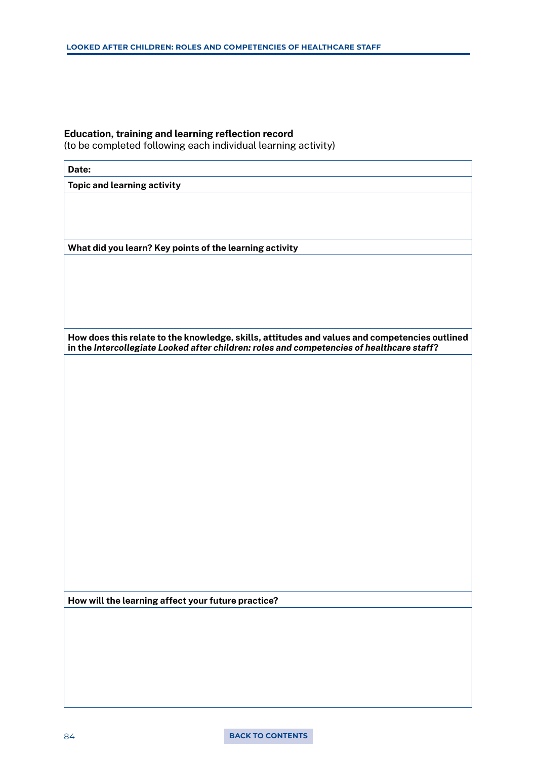(to be completed following each individual learning activity)

Date:

Topic and learning activity

What did you learn? Key points of the learning activity

How does this relate to the knowledge, skills, attitudes and values and competencies outlined in the *Intercollegiate Looked after children: roles and competencies of healthcare staff*?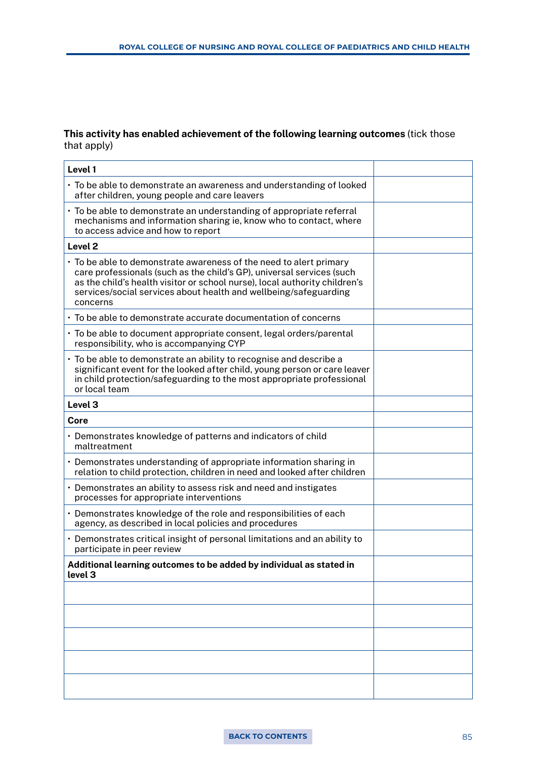| Level 1                                                                                                                                                                                                                                                                                                   |  |
|-----------------------------------------------------------------------------------------------------------------------------------------------------------------------------------------------------------------------------------------------------------------------------------------------------------|--|
| • To be able to demonstrate an awareness and understanding of looked<br>after children, young people and care leavers                                                                                                                                                                                     |  |
| • To be able to demonstrate an understanding of appropriate referral<br>mechanisms and information sharing ie, know who to contact, where<br>to access advice and how to report                                                                                                                           |  |
| Level <sub>2</sub>                                                                                                                                                                                                                                                                                        |  |
| • To be able to demonstrate awareness of the need to alert primary<br>care professionals (such as the child's GP), universal services (such<br>as the child's health visitor or school nurse), local authority children's<br>services/social services about health and wellbeing/safeguarding<br>concerns |  |
| • To be able to demonstrate accurate documentation of concerns                                                                                                                                                                                                                                            |  |
| • To be able to document appropriate consent, legal orders/parental<br>responsibility, who is accompanying CYP                                                                                                                                                                                            |  |
| • To be able to demonstrate an ability to recognise and describe a<br>significant event for the looked after child, young person or care leaver<br>in child protection/safeguarding to the most appropriate professional<br>or local team                                                                 |  |
| Level <sub>3</sub>                                                                                                                                                                                                                                                                                        |  |
| Core                                                                                                                                                                                                                                                                                                      |  |
| · Demonstrates knowledge of patterns and indicators of child<br>maltreatment                                                                                                                                                                                                                              |  |
| • Demonstrates understanding of appropriate information sharing in<br>relation to child protection, children in need and looked after children                                                                                                                                                            |  |
| • Demonstrates an ability to assess risk and need and instigates<br>processes for appropriate interventions                                                                                                                                                                                               |  |
| • Demonstrates knowledge of the role and responsibilities of each<br>agency, as described in local policies and procedures                                                                                                                                                                                |  |
| • Demonstrates critical insight of personal limitations and an ability to<br>participate in peer review                                                                                                                                                                                                   |  |
| Additional learning outcomes to be added by individual as stated in<br>level 3                                                                                                                                                                                                                            |  |
|                                                                                                                                                                                                                                                                                                           |  |
|                                                                                                                                                                                                                                                                                                           |  |
|                                                                                                                                                                                                                                                                                                           |  |
|                                                                                                                                                                                                                                                                                                           |  |
|                                                                                                                                                                                                                                                                                                           |  |

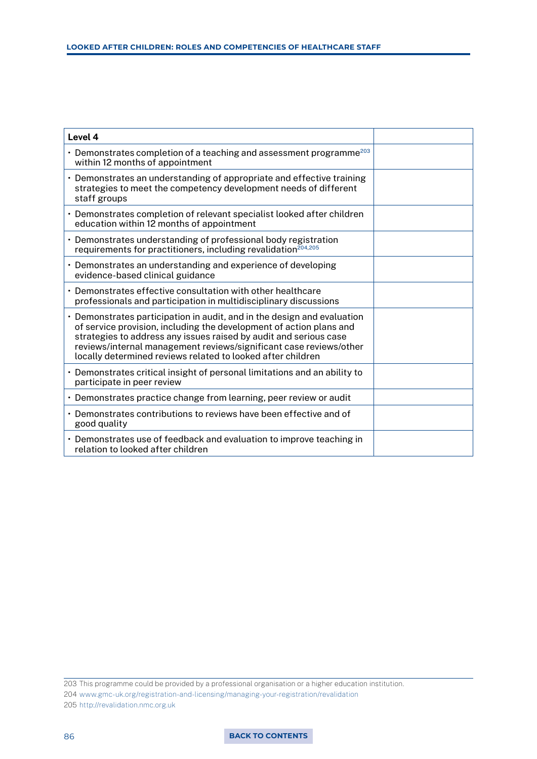| Level 4                                                                                                                                                                                                                                                                                                                                                  |  |
|----------------------------------------------------------------------------------------------------------------------------------------------------------------------------------------------------------------------------------------------------------------------------------------------------------------------------------------------------------|--|
| • Demonstrates completion of a teaching and assessment programme <sup>203</sup><br>within 12 months of appointment                                                                                                                                                                                                                                       |  |
| • Demonstrates an understanding of appropriate and effective training<br>strategies to meet the competency development needs of different<br>staff groups                                                                                                                                                                                                |  |
| • Demonstrates completion of relevant specialist looked after children<br>education within 12 months of appointment                                                                                                                                                                                                                                      |  |
| • Demonstrates understanding of professional body registration<br>requirements for practitioners, including revalidation <sup>204,205</sup>                                                                                                                                                                                                              |  |
| • Demonstrates an understanding and experience of developing<br>evidence-based clinical guidance                                                                                                                                                                                                                                                         |  |
| • Demonstrates effective consultation with other healthcare<br>professionals and participation in multidisciplinary discussions                                                                                                                                                                                                                          |  |
| • Demonstrates participation in audit, and in the design and evaluation<br>of service provision, including the development of action plans and<br>strategies to address any issues raised by audit and serious case<br>reviews/internal management reviews/significant case reviews/other<br>locally determined reviews related to looked after children |  |
| • Demonstrates critical insight of personal limitations and an ability to<br>participate in peer review                                                                                                                                                                                                                                                  |  |
| • Demonstrates practice change from learning, peer review or audit                                                                                                                                                                                                                                                                                       |  |
| • Demonstrates contributions to reviews have been effective and of<br>good quality                                                                                                                                                                                                                                                                       |  |
| • Demonstrates use of feedback and evaluation to improve teaching in<br>relation to looked after children                                                                                                                                                                                                                                                |  |

203 This programme could be provided by a professional organisation or a higher education institution.

<sup>204</sup> [www.gmc-uk.org/registration-and-licensing/managing-your-registration/revalidation](https://www.gmc-uk.org/registration-and-licensing/managing-your-registration/revalidation) 205 <http://revalidation.nmc.org.uk>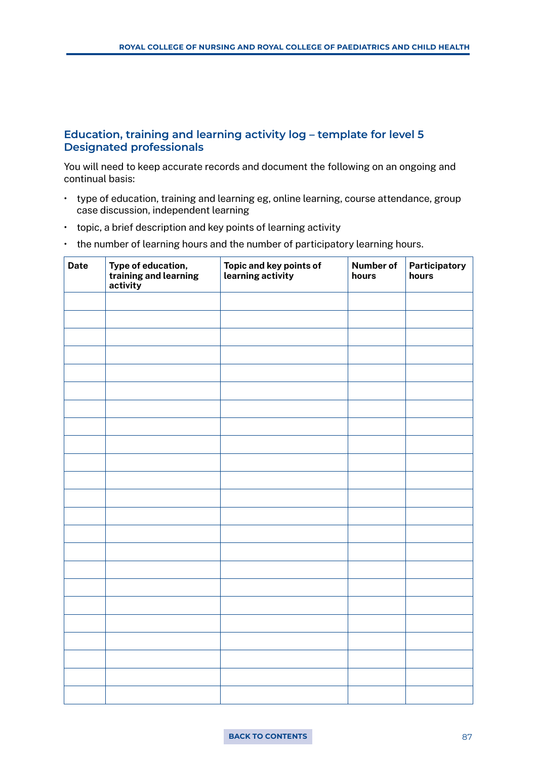# **Education, training and learning activity log – template for level 5 Designated professionals**

You will need to keep accurate records and document the following on an ongoing and continual basis:

- type of education, training and learning eg, online learning, course attendance, group case discussion, independent learning
- topic, a brief description and key points of learning activity
- the number of learning hours and the number of participatory learning hours.

| <b>Date</b> | Type of education,<br>training and learning<br>activity | Topic and key points of<br>learning activity | Number of<br>hours | Participatory<br>hours |
|-------------|---------------------------------------------------------|----------------------------------------------|--------------------|------------------------|
|             |                                                         |                                              |                    |                        |
|             |                                                         |                                              |                    |                        |
|             |                                                         |                                              |                    |                        |
|             |                                                         |                                              |                    |                        |
|             |                                                         |                                              |                    |                        |
|             |                                                         |                                              |                    |                        |
|             |                                                         |                                              |                    |                        |
|             |                                                         |                                              |                    |                        |
|             |                                                         |                                              |                    |                        |
|             |                                                         |                                              |                    |                        |
|             |                                                         |                                              |                    |                        |
|             |                                                         |                                              |                    |                        |
|             |                                                         |                                              |                    |                        |
|             |                                                         |                                              |                    |                        |
|             |                                                         |                                              |                    |                        |
|             |                                                         |                                              |                    |                        |
|             |                                                         |                                              |                    |                        |
|             |                                                         |                                              |                    |                        |
|             |                                                         |                                              |                    |                        |
|             |                                                         |                                              |                    |                        |
|             |                                                         |                                              |                    |                        |
|             |                                                         |                                              |                    |                        |
|             |                                                         |                                              |                    |                        |

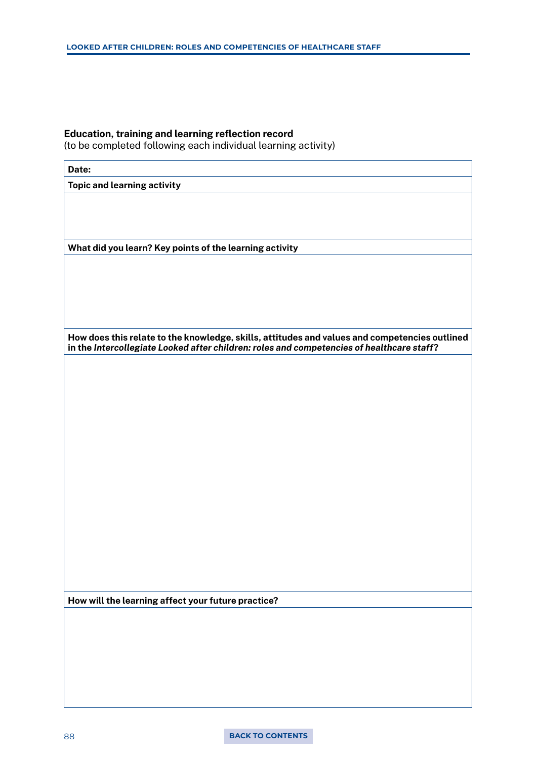(to be completed following each individual learning activity)

Date:

Topic and learning activity

What did you learn? Key points of the learning activity

How does this relate to the knowledge, skills, attitudes and values and competencies outlined in the *Intercollegiate Looked after children: roles and competencies of healthcare staff*?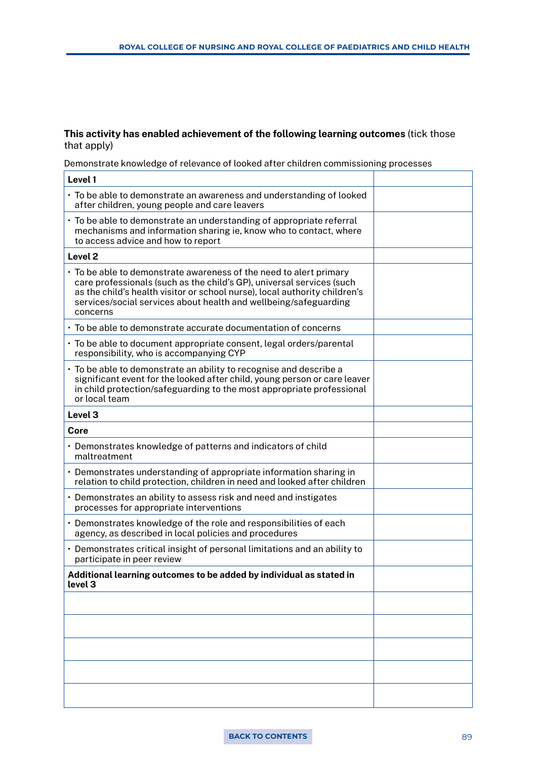Demonstrate knowledge of relevance of looked after children commissioning processes

| Level 1                                                                                                                                                                                                                                                                                                   |  |
|-----------------------------------------------------------------------------------------------------------------------------------------------------------------------------------------------------------------------------------------------------------------------------------------------------------|--|
| • To be able to demonstrate an awareness and understanding of looked<br>after children, young people and care leavers                                                                                                                                                                                     |  |
| • To be able to demonstrate an understanding of appropriate referral<br>mechanisms and information sharing ie, know who to contact, where<br>to access advice and how to report                                                                                                                           |  |
| Level <sub>2</sub>                                                                                                                                                                                                                                                                                        |  |
| • To be able to demonstrate awareness of the need to alert primary<br>care professionals (such as the child's GP), universal services (such<br>as the child's health visitor or school nurse), local authority children's<br>services/social services about health and wellbeing/safeguarding<br>concerns |  |
| • To be able to demonstrate accurate documentation of concerns                                                                                                                                                                                                                                            |  |
| • To be able to document appropriate consent, legal orders/parental<br>responsibility, who is accompanying CYP                                                                                                                                                                                            |  |
| • To be able to demonstrate an ability to recognise and describe a<br>significant event for the looked after child, young person or care leaver<br>in child protection/safeguarding to the most appropriate professional<br>or local team                                                                 |  |
| Level <sub>3</sub>                                                                                                                                                                                                                                                                                        |  |
| Core                                                                                                                                                                                                                                                                                                      |  |
| • Demonstrates knowledge of patterns and indicators of child<br>maltreatment                                                                                                                                                                                                                              |  |
| • Demonstrates understanding of appropriate information sharing in<br>relation to child protection, children in need and looked after children                                                                                                                                                            |  |
| • Demonstrates an ability to assess risk and need and instigates<br>processes for appropriate interventions                                                                                                                                                                                               |  |
| • Demonstrates knowledge of the role and responsibilities of each<br>agency, as described in local policies and procedures                                                                                                                                                                                |  |
| • Demonstrates critical insight of personal limitations and an ability to<br>participate in peer review                                                                                                                                                                                                   |  |
| Additional learning outcomes to be added by individual as stated in<br>level <sub>3</sub>                                                                                                                                                                                                                 |  |
|                                                                                                                                                                                                                                                                                                           |  |
|                                                                                                                                                                                                                                                                                                           |  |
|                                                                                                                                                                                                                                                                                                           |  |
|                                                                                                                                                                                                                                                                                                           |  |
|                                                                                                                                                                                                                                                                                                           |  |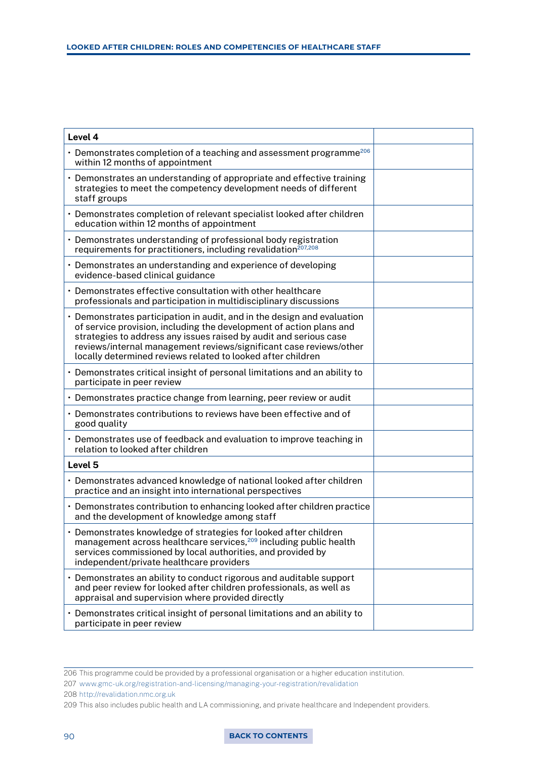| Level 4                                                                                                                                                                                                                                                                                                                                                  |  |
|----------------------------------------------------------------------------------------------------------------------------------------------------------------------------------------------------------------------------------------------------------------------------------------------------------------------------------------------------------|--|
| • Demonstrates completion of a teaching and assessment programme <sup>206</sup><br>within 12 months of appointment                                                                                                                                                                                                                                       |  |
| • Demonstrates an understanding of appropriate and effective training<br>strategies to meet the competency development needs of different<br>staff groups                                                                                                                                                                                                |  |
| • Demonstrates completion of relevant specialist looked after children<br>education within 12 months of appointment                                                                                                                                                                                                                                      |  |
| • Demonstrates understanding of professional body registration<br>requirements for practitioners, including revalidation <sup>207,208</sup>                                                                                                                                                                                                              |  |
| • Demonstrates an understanding and experience of developing<br>evidence-based clinical guidance                                                                                                                                                                                                                                                         |  |
| • Demonstrates effective consultation with other healthcare<br>professionals and participation in multidisciplinary discussions                                                                                                                                                                                                                          |  |
| • Demonstrates participation in audit, and in the design and evaluation<br>of service provision, including the development of action plans and<br>strategies to address any issues raised by audit and serious case<br>reviews/internal management reviews/significant case reviews/other<br>locally determined reviews related to looked after children |  |
| • Demonstrates critical insight of personal limitations and an ability to<br>participate in peer review                                                                                                                                                                                                                                                  |  |
| • Demonstrates practice change from learning, peer review or audit                                                                                                                                                                                                                                                                                       |  |
| • Demonstrates contributions to reviews have been effective and of<br>good quality                                                                                                                                                                                                                                                                       |  |
| • Demonstrates use of feedback and evaluation to improve teaching in<br>relation to looked after children                                                                                                                                                                                                                                                |  |
| Level <sub>5</sub>                                                                                                                                                                                                                                                                                                                                       |  |
| • Demonstrates advanced knowledge of national looked after children<br>practice and an insight into international perspectives                                                                                                                                                                                                                           |  |
| • Demonstrates contribution to enhancing looked after children practice<br>and the development of knowledge among staff                                                                                                                                                                                                                                  |  |
| • Demonstrates knowledge of strategies for looked after children<br>management across healthcare services, <sup>209</sup> including public health<br>services commissioned by local authorities, and provided by<br>independent/private healthcare providers                                                                                             |  |
| • Demonstrates an ability to conduct rigorous and auditable support<br>and peer review for looked after children professionals, as well as<br>appraisal and supervision where provided directly                                                                                                                                                          |  |
| • Demonstrates critical insight of personal limitations and an ability to<br>participate in peer review                                                                                                                                                                                                                                                  |  |

206 This programme could be provided by a professional organisation or a higher education institution.

207 [www.gmc-uk.org/registration-and-licensing/managing-your-registration/revalidation](https://www.gmc-uk.org/registration-and-licensing/managing-your-registration/revalidation)

<sup>208</sup> <http://revalidation.nmc.org.uk>

<sup>209</sup> This also includes public health and LA commissioning, and private healthcare and Independent providers.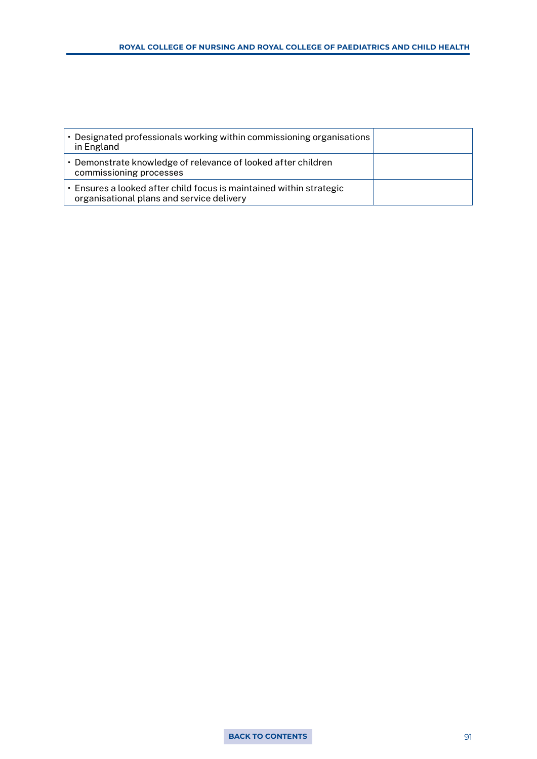| • Designated professionals working within commissioning organisations<br>in England                              |  |
|------------------------------------------------------------------------------------------------------------------|--|
| • Demonstrate knowledge of relevance of looked after children<br>commissioning processes                         |  |
| • Ensures a looked after child focus is maintained within strategic<br>organisational plans and service delivery |  |